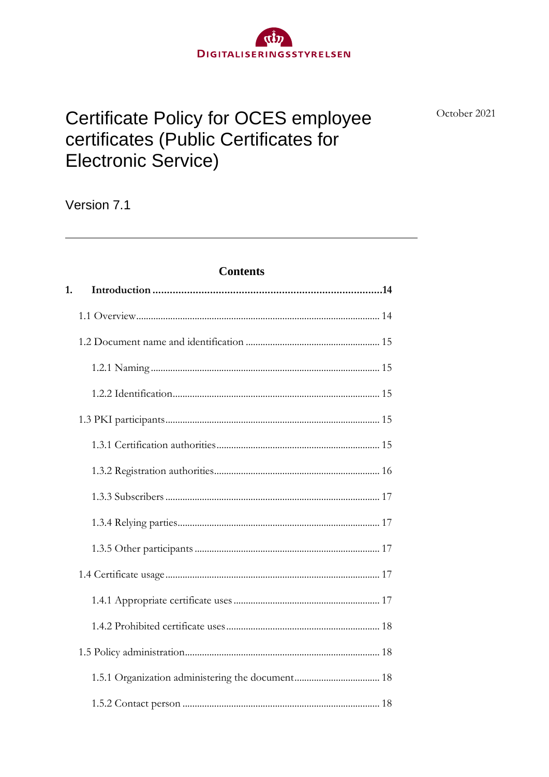# **Certificate Policy for OCES employee** certificates (Public Certificates for **Electronic Service)**

DIGITALISERINGSSTYRELSEN

October 2021

# Version 7.1

### **Contents**

| 1. |  |
|----|--|
|    |  |
|    |  |
|    |  |
|    |  |
|    |  |
|    |  |
|    |  |
|    |  |
|    |  |
|    |  |
|    |  |
|    |  |
|    |  |
|    |  |
|    |  |
|    |  |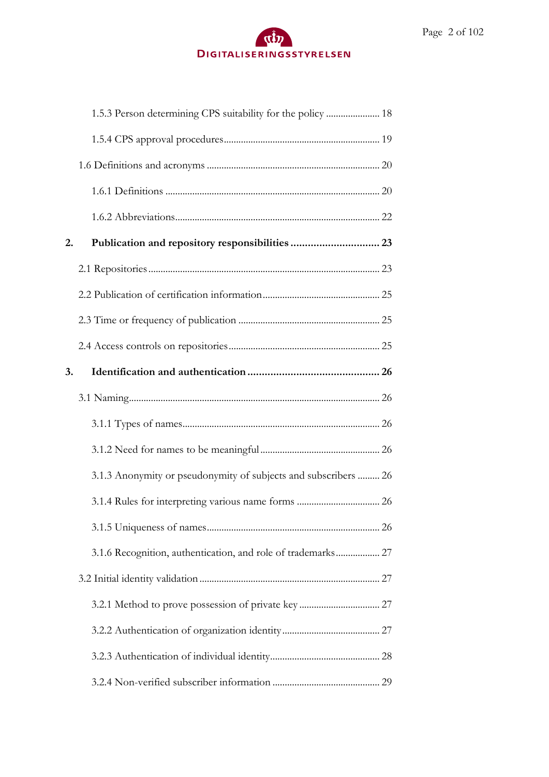# $\alpha$ DIGITALISERINGSSTYRELSEN

|    | 1.5.3 Person determining CPS suitability for the policy  18     |  |
|----|-----------------------------------------------------------------|--|
|    |                                                                 |  |
|    |                                                                 |  |
|    |                                                                 |  |
|    |                                                                 |  |
| 2. |                                                                 |  |
|    |                                                                 |  |
|    |                                                                 |  |
|    |                                                                 |  |
|    |                                                                 |  |
| 3. |                                                                 |  |
|    |                                                                 |  |
|    |                                                                 |  |
|    |                                                                 |  |
|    |                                                                 |  |
|    | 3.1.3 Anonymity or pseudonymity of subjects and subscribers  26 |  |
|    |                                                                 |  |
|    |                                                                 |  |
|    |                                                                 |  |
|    |                                                                 |  |
|    |                                                                 |  |
|    |                                                                 |  |
|    |                                                                 |  |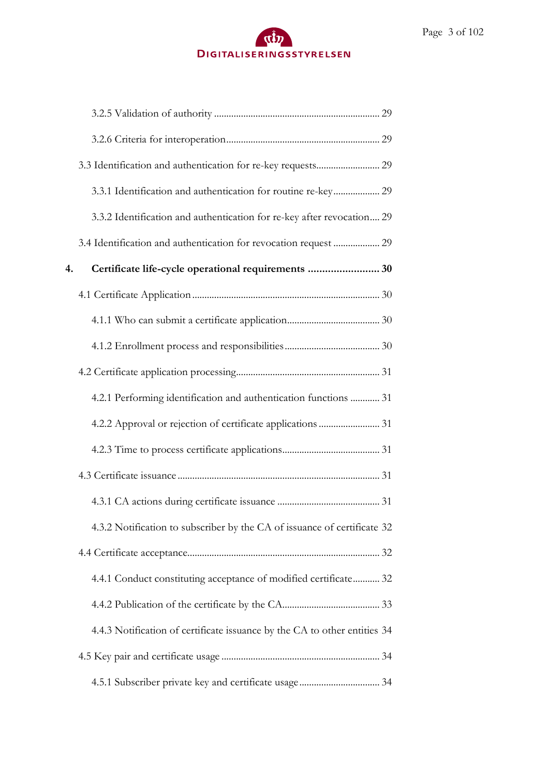|    | 3.3.1 Identification and authentication for routine re-key 29             |
|----|---------------------------------------------------------------------------|
|    | 3.3.2 Identification and authentication for re-key after revocation 29    |
|    | 3.4 Identification and authentication for revocation request  29          |
| 4. | Certificate life-cycle operational requirements  30                       |
|    |                                                                           |
|    |                                                                           |
|    |                                                                           |
|    |                                                                           |
|    | 4.2.1 Performing identification and authentication functions  31          |
|    |                                                                           |
|    |                                                                           |
|    |                                                                           |
|    |                                                                           |
|    | 4.3.2 Notification to subscriber by the CA of issuance of certificate 32  |
|    |                                                                           |
|    | 4.4.1 Conduct constituting acceptance of modified certificate 32          |
|    |                                                                           |
|    | 4.4.3 Notification of certificate issuance by the CA to other entities 34 |
|    |                                                                           |
|    |                                                                           |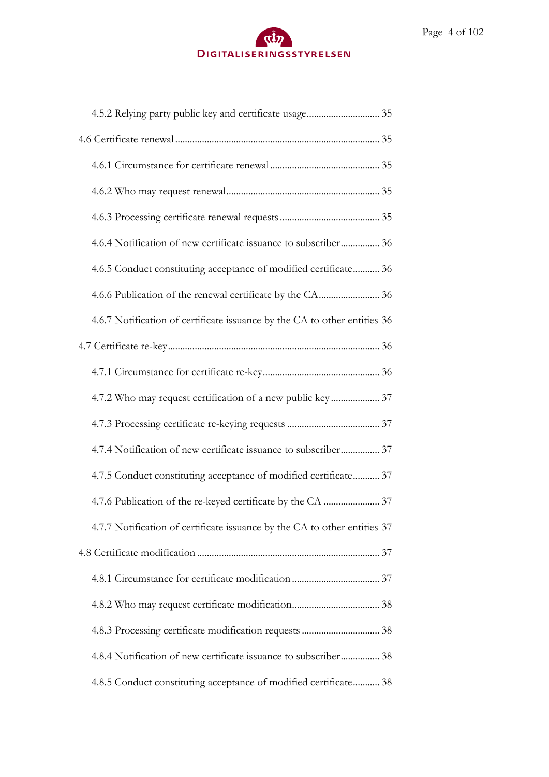# $\mathbf{d}$ DIGITALISERINGSSTYRELSEN

| 4.6.4 Notification of new certificate issuance to subscriber 36           |  |
|---------------------------------------------------------------------------|--|
| 4.6.5 Conduct constituting acceptance of modified certificate 36          |  |
|                                                                           |  |
| 4.6.7 Notification of certificate issuance by the CA to other entities 36 |  |
|                                                                           |  |
|                                                                           |  |
| 4.7.2 Who may request certification of a new public key  37               |  |
|                                                                           |  |
| 4.7.4 Notification of new certificate issuance to subscriber 37           |  |
| 4.7.5 Conduct constituting acceptance of modified certificate 37          |  |
|                                                                           |  |
| 4.7.7 Notification of certificate issuance by the CA to other entities 37 |  |
|                                                                           |  |
|                                                                           |  |
|                                                                           |  |
|                                                                           |  |
| 4.8.4 Notification of new certificate issuance to subscriber 38           |  |
| 4.8.5 Conduct constituting acceptance of modified certificate 38          |  |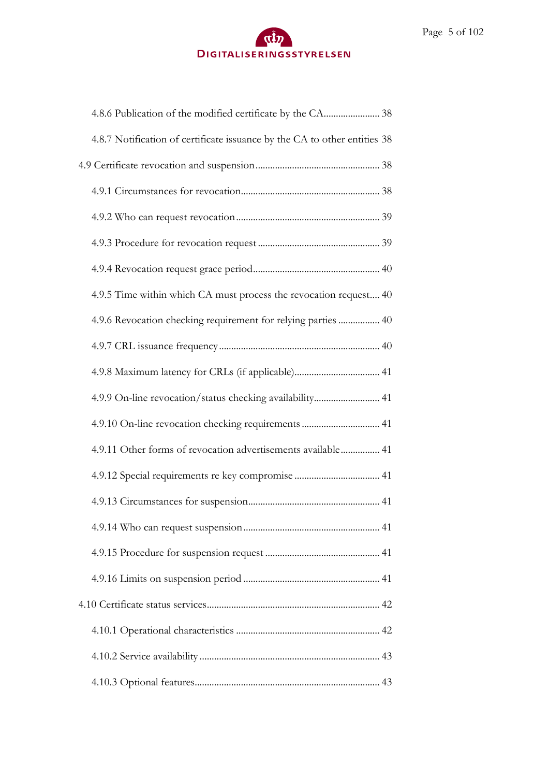| 4.8.7 Notification of certificate issuance by the CA to other entities 38 |
|---------------------------------------------------------------------------|
|                                                                           |
|                                                                           |
|                                                                           |
|                                                                           |
|                                                                           |
| 4.9.5 Time within which CA must process the revocation request 40         |
| 4.9.6 Revocation checking requirement for relying parties  40             |
|                                                                           |
| 4.9.8 Maximum latency for CRLs (if applicable) 41                         |
| 4.9.9 On-line revocation/status checking availability 41                  |
| 4.9.10 On-line revocation checking requirements  41                       |
| 4.9.11 Other forms of revocation advertisements available 41              |
| 4.9.12 Special requirements re key compromise  41                         |
|                                                                           |
|                                                                           |
|                                                                           |
|                                                                           |
|                                                                           |
|                                                                           |
|                                                                           |
|                                                                           |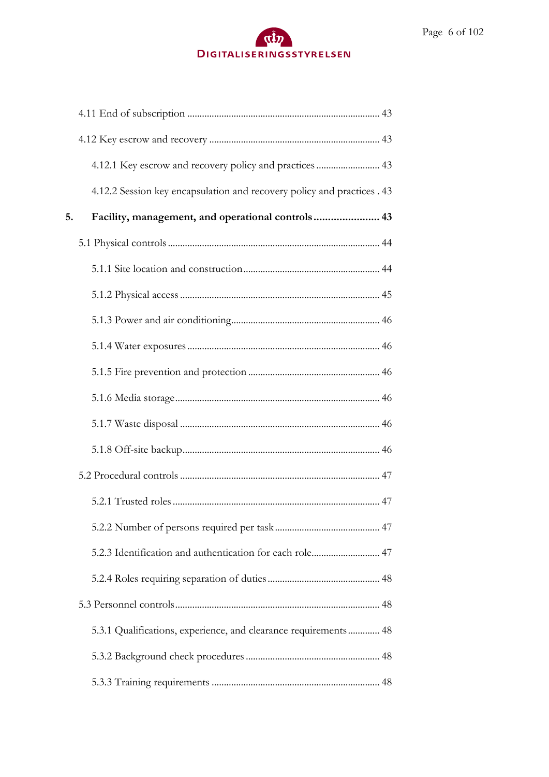|    | 4.12.1 Key escrow and recovery policy and practices  43                 |
|----|-------------------------------------------------------------------------|
|    | 4.12.2 Session key encapsulation and recovery policy and practices . 43 |
| 5. | Facility, management, and operational controls 43                       |
|    |                                                                         |
|    |                                                                         |
|    |                                                                         |
|    |                                                                         |
|    |                                                                         |
|    |                                                                         |
|    |                                                                         |
|    |                                                                         |
|    |                                                                         |
|    |                                                                         |
|    |                                                                         |
|    |                                                                         |
|    | 5.2.3 Identification and authentication for each role 47                |
|    |                                                                         |
|    |                                                                         |
|    | 5.3.1 Qualifications, experience, and clearance requirements 48         |
|    |                                                                         |
|    |                                                                         |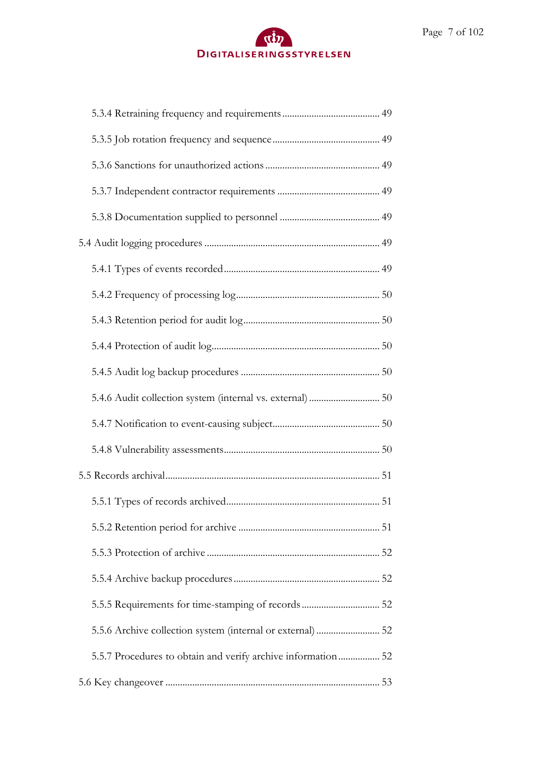| 5.5.5 Requirements for time-stamping of records 52           |
|--------------------------------------------------------------|
|                                                              |
| 5.5.7 Procedures to obtain and verify archive information 52 |
|                                                              |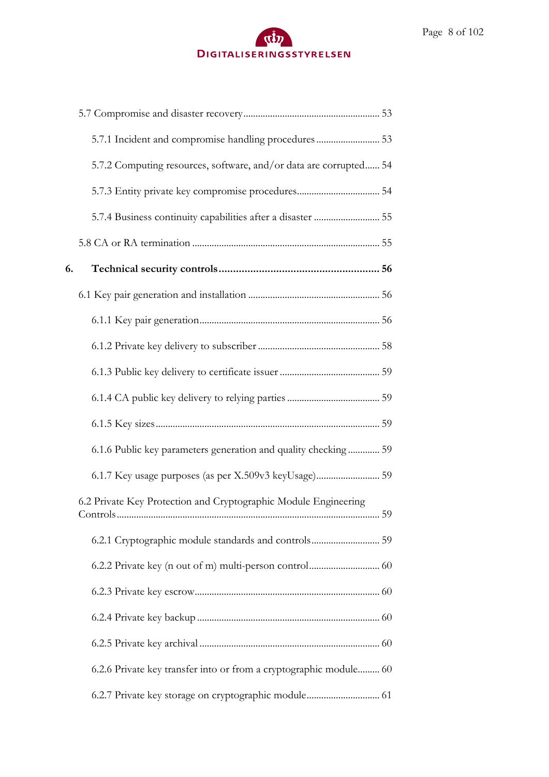|    | 5.7.1 Incident and compromise handling procedures 53              |
|----|-------------------------------------------------------------------|
|    | 5.7.2 Computing resources, software, and/or data are corrupted 54 |
|    |                                                                   |
|    |                                                                   |
|    |                                                                   |
| 6. |                                                                   |
|    |                                                                   |
|    |                                                                   |
|    |                                                                   |
|    |                                                                   |
|    |                                                                   |
|    |                                                                   |
|    | 6.1.6 Public key parameters generation and quality checking 59    |
|    |                                                                   |
|    | 6.2 Private Key Protection and Cryptographic Module Engineering   |
|    | 6.2.1 Cryptographic module standards and controls 59              |
|    |                                                                   |
|    |                                                                   |
|    |                                                                   |
|    |                                                                   |
|    | 6.2.6 Private key transfer into or from a cryptographic module 60 |
|    | 6.2.7 Private key storage on cryptographic module 61              |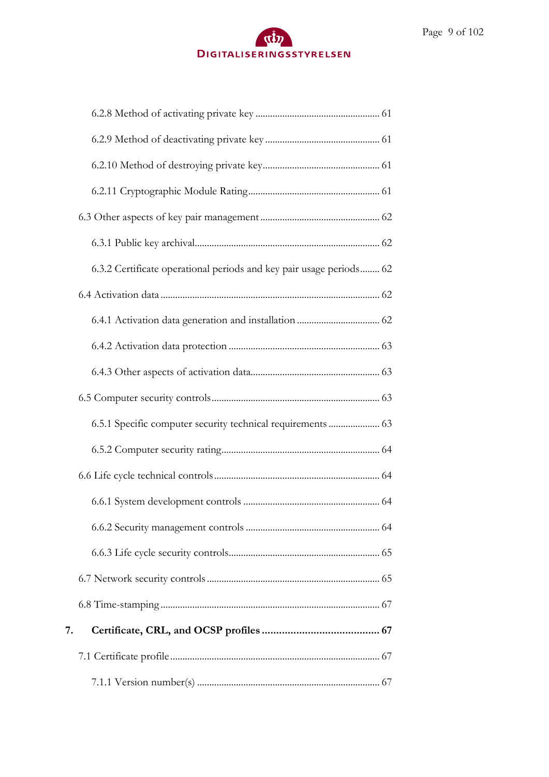# $\alpha$ DIGITALISERINGSSTYRELSEN

| 6.3.2 Certificate operational periods and key pair usage periods 62 |  |
|---------------------------------------------------------------------|--|
|                                                                     |  |
|                                                                     |  |
|                                                                     |  |
|                                                                     |  |
|                                                                     |  |
| 6.5.1 Specific computer security technical requirements  63         |  |
|                                                                     |  |
|                                                                     |  |
|                                                                     |  |
|                                                                     |  |
|                                                                     |  |
|                                                                     |  |
|                                                                     |  |
| 7.                                                                  |  |
|                                                                     |  |
|                                                                     |  |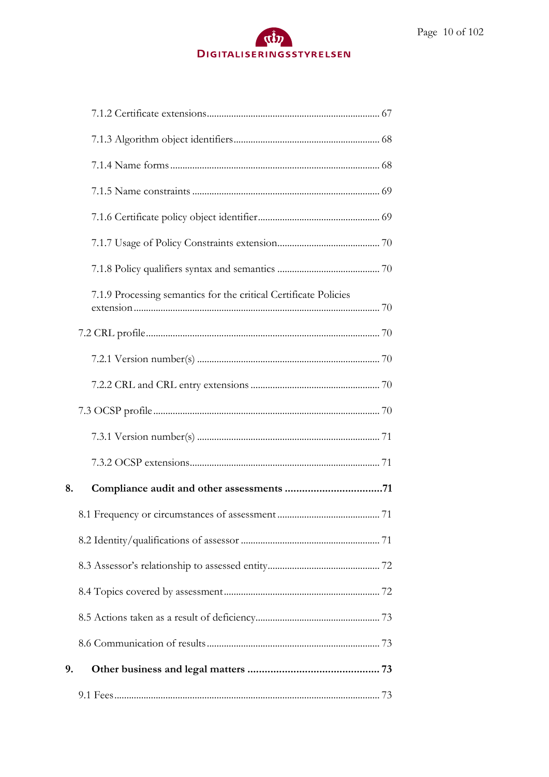|    | 7.1.9 Processing semantics for the critical Certificate Policies |
|----|------------------------------------------------------------------|
|    |                                                                  |
|    |                                                                  |
|    |                                                                  |
|    |                                                                  |
|    |                                                                  |
|    |                                                                  |
| 8. |                                                                  |
|    |                                                                  |
|    |                                                                  |
|    |                                                                  |
|    |                                                                  |
|    |                                                                  |
|    |                                                                  |
| 9. |                                                                  |
|    |                                                                  |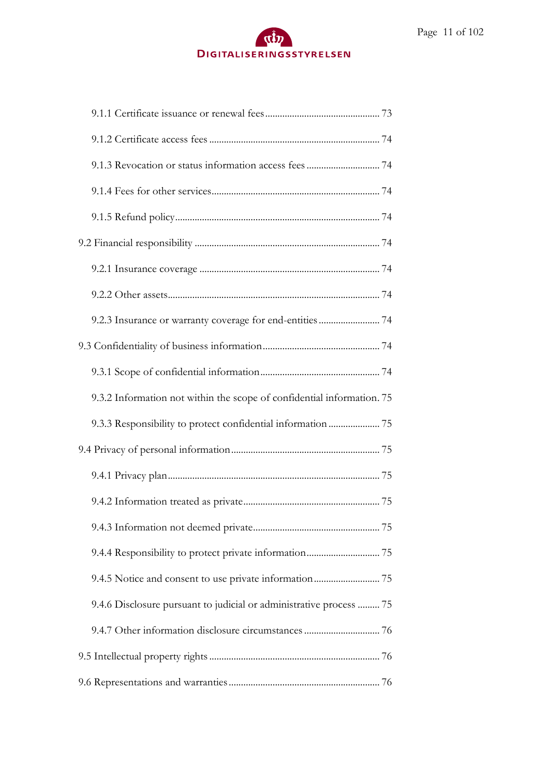# $\alpha$ DIGITALISERINGSSTYRELSEN

| 9.2.3 Insurance or warranty coverage for end-entities  74              |
|------------------------------------------------------------------------|
|                                                                        |
|                                                                        |
| 9.3.2 Information not within the scope of confidential information. 75 |
| 9.3.3 Responsibility to protect confidential information  75           |
|                                                                        |
|                                                                        |
|                                                                        |
|                                                                        |
|                                                                        |
|                                                                        |
| 9.4.6 Disclosure pursuant to judicial or administrative process  75    |
| 9.4.7 Other information disclosure circumstances  76                   |
|                                                                        |
|                                                                        |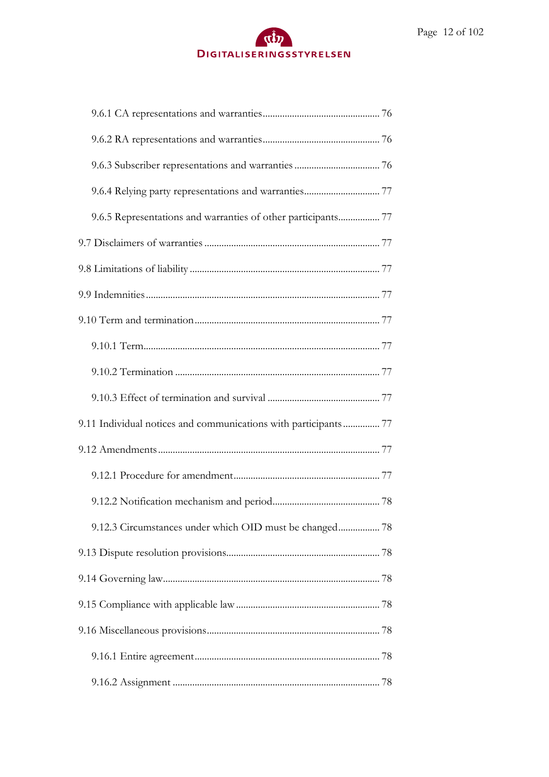# $\alpha$ DIGITALISERINGSSTYRELSEN

| 9.6.5 Representations and warranties of other participants 77    |
|------------------------------------------------------------------|
|                                                                  |
|                                                                  |
|                                                                  |
|                                                                  |
|                                                                  |
|                                                                  |
|                                                                  |
| 9.11 Individual notices and communications with participants  77 |
|                                                                  |
|                                                                  |
|                                                                  |
|                                                                  |
|                                                                  |
|                                                                  |
|                                                                  |
|                                                                  |
|                                                                  |
|                                                                  |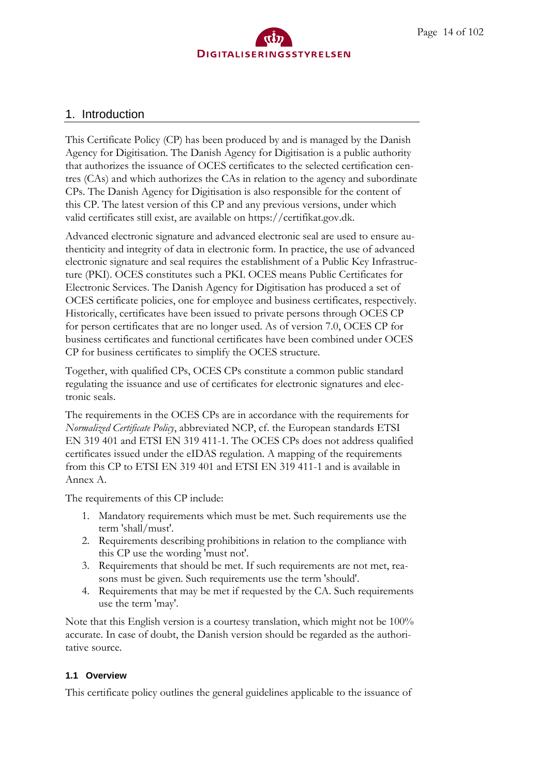

# <span id="page-13-0"></span>1. Introduction

This Certificate Policy (CP) has been produced by and is managed by the Danish Agency for Digitisation. The Danish Agency for Digitisation is a public authority that authorizes the issuance of OCES certificates to the selected certification centres (CAs) and which authorizes the CAs in relation to the agency and subordinate CPs. The Danish Agency for Digitisation is also responsible for the content of this CP. The latest version of this CP and any previous versions, under which valid certificates still exist, are available on https://certifikat.gov.dk.

Advanced electronic signature and advanced electronic seal are used to ensure authenticity and integrity of data in electronic form. In practice, the use of advanced electronic signature and seal requires the establishment of a Public Key Infrastructure (PKI). OCES constitutes such a PKI. OCES means Public Certificates for Electronic Services. The Danish Agency for Digitisation has produced a set of OCES certificate policies, one for employee and business certificates, respectively. Historically, certificates have been issued to private persons through OCES CP for person certificates that are no longer used. As of version 7.0, OCES CP for business certificates and functional certificates have been combined under OCES CP for business certificates to simplify the OCES structure.

Together, with qualified CPs, OCES CPs constitute a common public standard regulating the issuance and use of certificates for electronic signatures and electronic seals.

The requirements in the OCES CPs are in accordance with the requirements for *Normalized Certificate Policy*, abbreviated NCP, cf. the European standards ETSI EN 319 401 and ETSI EN 319 411-1. The OCES CPs does not address qualified certificates issued under the eIDAS regulation. A mapping of the requirements from this CP to ETSI EN 319 401 and ETSI EN 319 411-1 and is available in Annex A.

The requirements of this CP include:

- 1. Mandatory requirements which must be met. Such requirements use the term 'shall/must'.
- 2. Requirements describing prohibitions in relation to the compliance with this CP use the wording 'must not'.
- 3. Requirements that should be met. If such requirements are not met, reasons must be given. Such requirements use the term 'should'.
- 4. Requirements that may be met if requested by the CA. Such requirements use the term 'may'.

Note that this English version is a courtesy translation, which might not be 100% accurate. In case of doubt, the Danish version should be regarded as the authoritative source.

#### <span id="page-13-1"></span>**1.1 Overview**

This certificate policy outlines the general guidelines applicable to the issuance of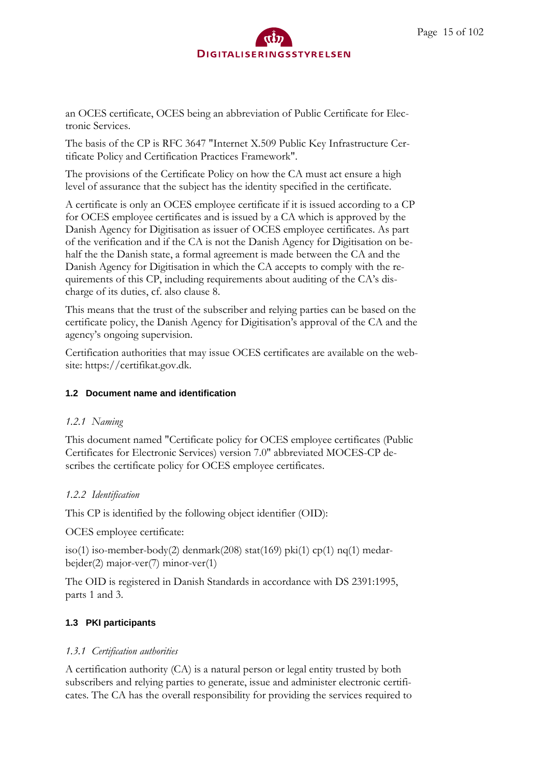

an OCES certificate, OCES being an abbreviation of Public Certificate for Electronic Services.

The basis of the CP is RFC 3647 "Internet X.509 Public Key Infrastructure Certificate Policy and Certification Practices Framework".

The provisions of the Certificate Policy on how the CA must act ensure a high level of assurance that the subject has the identity specified in the certificate.

A certificate is only an OCES employee certificate if it is issued according to a CP for OCES employee certificates and is issued by a CA which is approved by the Danish Agency for Digitisation as issuer of OCES employee certificates. As part of the verification and if the CA is not the Danish Agency for Digitisation on behalf the the Danish state, a formal agreement is made between the CA and the Danish Agency for Digitisation in which the CA accepts to comply with the requirements of this CP, including requirements about auditing of the CA's discharge of its duties, cf. also clause 8.

This means that the trust of the subscriber and relying parties can be based on the certificate policy, the Danish Agency for Digitisation's approval of the CA and the agency's ongoing supervision.

Certification authorities that may issue OCES certificates are available on the website: https://certifikat.gov.dk.

#### <span id="page-14-0"></span>**1.2 Document name and identification**

#### <span id="page-14-1"></span>*1.2.1 Naming*

This document named "Certificate policy for OCES employee certificates (Public Certificates for Electronic Services) version 7.0" abbreviated MOCES-CP describes the certificate policy for OCES employee certificates.

#### <span id="page-14-2"></span>*1.2.2 Identification*

This CP is identified by the following object identifier (OID):

OCES employee certificate:

iso(1) iso-member-body(2) denmark(208) stat(169) pki(1) cp(1) nq(1) medarbejder(2) major-ver(7) minor-ver(1)

The OID is registered in Danish Standards in accordance with DS 2391:1995, parts 1 and 3.

#### <span id="page-14-3"></span>**1.3 PKI participants**

#### <span id="page-14-4"></span>*1.3.1 Certification authorities*

A certification authority (CA) is a natural person or legal entity trusted by both subscribers and relying parties to generate, issue and administer electronic certificates. The CA has the overall responsibility for providing the services required to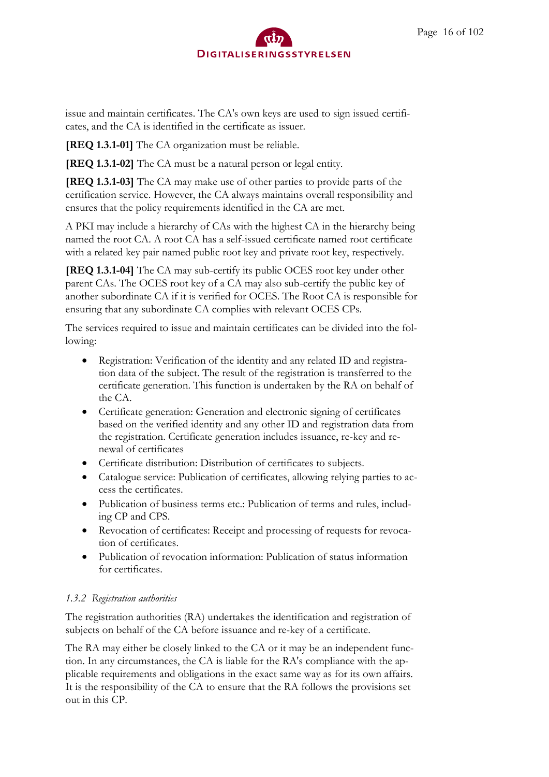issue and maintain certificates. The CA's own keys are used to sign issued certificates, and the CA is identified in the certificate as issuer.

**[REQ 1.3.1-01]** The CA organization must be reliable.

**[REQ 1.3.1-02]** The CA must be a natural person or legal entity.

**[REQ 1.3.1-03]** The CA may make use of other parties to provide parts of the certification service. However, the CA always maintains overall responsibility and ensures that the policy requirements identified in the CA are met.

A PKI may include a hierarchy of CAs with the highest CA in the hierarchy being named the root CA. A root CA has a self-issued certificate named root certificate with a related key pair named public root key and private root key, respectively.

**[REQ 1.3.1-04]** The CA may sub-certify its public OCES root key under other parent CAs. The OCES root key of a CA may also sub-certify the public key of another subordinate CA if it is verified for OCES. The Root CA is responsible for ensuring that any subordinate CA complies with relevant OCES CPs.

The services required to issue and maintain certificates can be divided into the following:

- Registration: Verification of the identity and any related ID and registration data of the subject. The result of the registration is transferred to the certificate generation. This function is undertaken by the RA on behalf of the CA.
- Certificate generation: Generation and electronic signing of certificates based on the verified identity and any other ID and registration data from the registration. Certificate generation includes issuance, re-key and renewal of certificates
- Certificate distribution: Distribution of certificates to subjects.
- Catalogue service: Publication of certificates, allowing relying parties to access the certificates.
- Publication of business terms etc.: Publication of terms and rules, including CP and CPS.
- Revocation of certificates: Receipt and processing of requests for revocation of certificates.
- Publication of revocation information: Publication of status information for certificates.

## <span id="page-15-0"></span>*1.3.2 Registration authorities*

The registration authorities (RA) undertakes the identification and registration of subjects on behalf of the CA before issuance and re-key of a certificate.

The RA may either be closely linked to the CA or it may be an independent function. In any circumstances, the CA is liable for the RA's compliance with the applicable requirements and obligations in the exact same way as for its own affairs. It is the responsibility of the CA to ensure that the RA follows the provisions set out in this CP.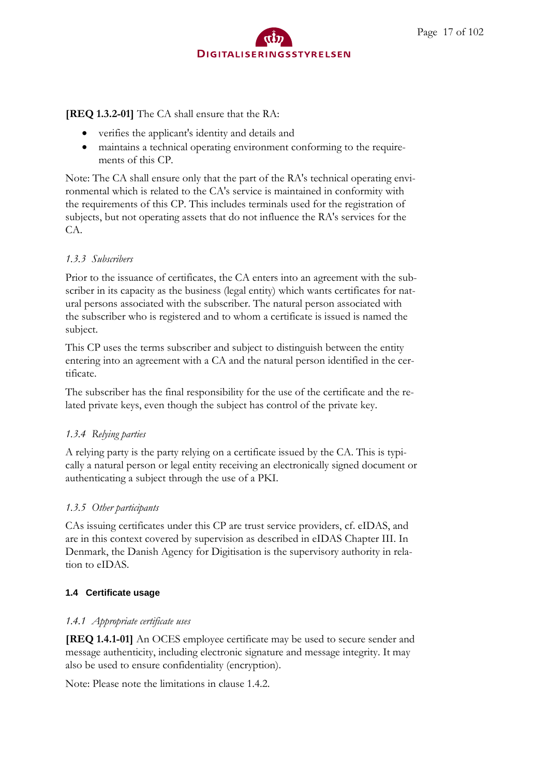

**[REQ 1.3.2-01]** The CA shall ensure that the RA:

- verifies the applicant's identity and details and
- maintains a technical operating environment conforming to the requirements of this CP.

Note: The CA shall ensure only that the part of the RA's technical operating environmental which is related to the CA's service is maintained in conformity with the requirements of this CP. This includes terminals used for the registration of subjects, but not operating assets that do not influence the RA's services for the CA.

#### <span id="page-16-0"></span>*1.3.3 Subscribers*

Prior to the issuance of certificates, the CA enters into an agreement with the subscriber in its capacity as the business (legal entity) which wants certificates for natural persons associated with the subscriber. The natural person associated with the subscriber who is registered and to whom a certificate is issued is named the subject.

This CP uses the terms subscriber and subject to distinguish between the entity entering into an agreement with a CA and the natural person identified in the certificate.

The subscriber has the final responsibility for the use of the certificate and the related private keys, even though the subject has control of the private key.

## <span id="page-16-1"></span>*1.3.4 Relying parties*

A relying party is the party relying on a certificate issued by the CA. This is typically a natural person or legal entity receiving an electronically signed document or authenticating a subject through the use of a PKI.

#### <span id="page-16-2"></span>*1.3.5 Other participants*

CAs issuing certificates under this CP are trust service providers, cf. eIDAS, and are in this context covered by supervision as described in eIDAS Chapter III. In Denmark, the Danish Agency for Digitisation is the supervisory authority in relation to eIDAS.

#### <span id="page-16-3"></span>**1.4 Certificate usage**

#### <span id="page-16-4"></span>*1.4.1 Appropriate certificate uses*

**[REQ 1.4.1-01]** An OCES employee certificate may be used to secure sender and message authenticity, including electronic signature and message integrity. It may also be used to ensure confidentiality (encryption).

Note: Please note the limitations in clause 1.4.2.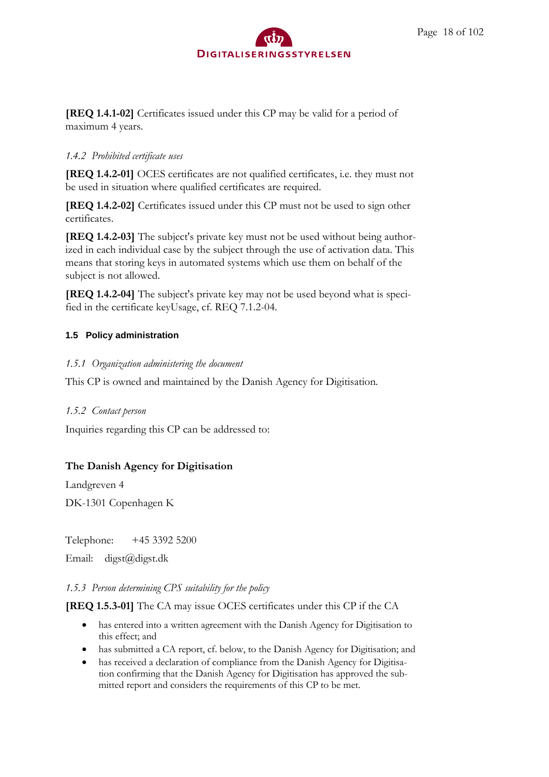

**[REQ 1.4.1-02]** Certificates issued under this CP may be valid for a period of maximum 4 years.

#### <span id="page-17-0"></span>*1.4.2 Prohibited certificate uses*

**[REQ 1.4.2-01]** OCES certificates are not qualified certificates, i.e. they must not be used in situation where qualified certificates are required.

**[REQ 1.4.2-02]** Certificates issued under this CP must not be used to sign other certificates.

**[REQ 1.4.2-03]** The subject's private key must not be used without being authorized in each individual case by the subject through the use of activation data. This means that storing keys in automated systems which use them on behalf of the subject is not allowed.

**[REQ 1.4.2-04]** The subject's private key may not be used beyond what is specified in the certificate keyUsage, cf. REQ 7.1.2-04.

#### <span id="page-17-1"></span>**1.5 Policy administration**

#### <span id="page-17-2"></span>*1.5.1 Organization administering the document*

This CP is owned and maintained by the Danish Agency for Digitisation.

#### <span id="page-17-3"></span>*1.5.2 Contact person*

Inquiries regarding this CP can be addressed to:

## **The Danish Agency for Digitisation**

Landgreven 4 DK-1301 Copenhagen K

Telephone: +45 3392 5200

Email: digst@digst.dk

#### <span id="page-17-4"></span>*1.5.3 Person determining CPS suitability for the policy*

#### **[REQ 1.5.3-01]** The CA may issue OCES certificates under this CP if the CA

- has entered into a written agreement with the Danish Agency for Digitisation to this effect; and
- has submitted a CA report, cf. below, to the Danish Agency for Digitisation; and
- has received a declaration of compliance from the Danish Agency for Digitisation confirming that the Danish Agency for Digitisation has approved the submitted report and considers the requirements of this CP to be met.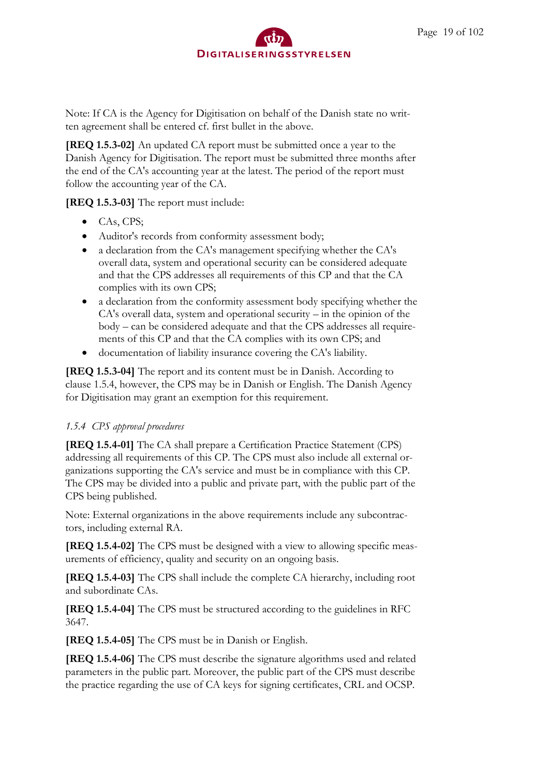Note: If CA is the Agency for Digitisation on behalf of the Danish state no written agreement shall be entered cf. first bullet in the above.

**[REQ 1.5.3-02]** An updated CA report must be submitted once a year to the Danish Agency for Digitisation. The report must be submitted three months after the end of the CA's accounting year at the latest. The period of the report must follow the accounting year of the CA.

**[REQ 1.5.3-03]** The report must include:

- CAs, CPS;
- Auditor's records from conformity assessment body;
- a declaration from the CA's management specifying whether the CA's overall data, system and operational security can be considered adequate and that the CPS addresses all requirements of this CP and that the CA complies with its own CPS;
- a declaration from the conformity assessment body specifying whether the CA's overall data, system and operational security – in the opinion of the body – can be considered adequate and that the CPS addresses all requirements of this CP and that the CA complies with its own CPS; and
- documentation of liability insurance covering the CA's liability.

**[REQ 1.5.3-04]** The report and its content must be in Danish. According to clause 1.5.4, however, the CPS may be in Danish or English. The Danish Agency for Digitisation may grant an exemption for this requirement.

# <span id="page-18-0"></span>*1.5.4 CPS approval procedures*

**[REQ 1.5.4-01]** The CA shall prepare a Certification Practice Statement (CPS) addressing all requirements of this CP. The CPS must also include all external organizations supporting the CA's service and must be in compliance with this CP. The CPS may be divided into a public and private part, with the public part of the CPS being published.

Note: External organizations in the above requirements include any subcontractors, including external RA.

**[REQ 1.5.4-02]** The CPS must be designed with a view to allowing specific measurements of efficiency, quality and security on an ongoing basis.

**[REQ 1.5.4-03]** The CPS shall include the complete CA hierarchy, including root and subordinate CAs.

**[REQ 1.5.4-04]** The CPS must be structured according to the guidelines in RFC 3647.

**[REQ 1.5.4-05]** The CPS must be in Danish or English.

**[REQ 1.5.4-06]** The CPS must describe the signature algorithms used and related parameters in the public part. Moreover, the public part of the CPS must describe the practice regarding the use of CA keys for signing certificates, CRL and OCSP.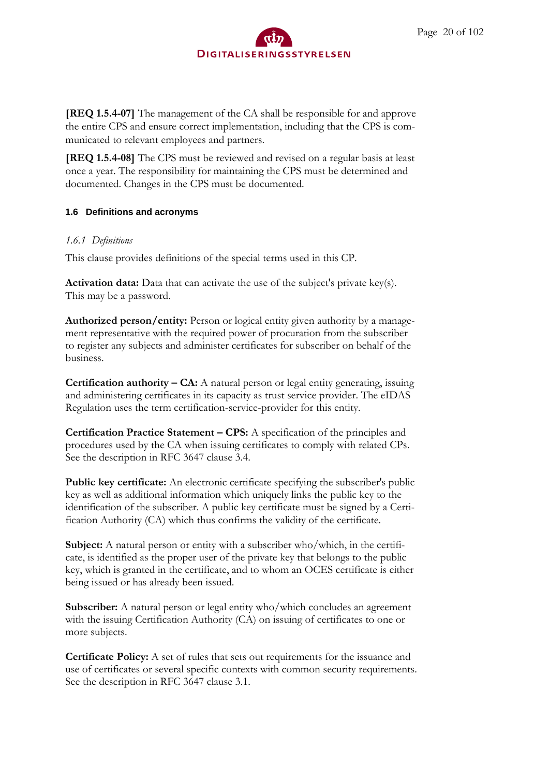

**[REQ 1.5.4-07]** The management of the CA shall be responsible for and approve the entire CPS and ensure correct implementation, including that the CPS is communicated to relevant employees and partners.

**[REQ 1.5.4-08]** The CPS must be reviewed and revised on a regular basis at least once a year. The responsibility for maintaining the CPS must be determined and documented. Changes in the CPS must be documented.

#### <span id="page-19-0"></span>**1.6 Definitions and acronyms**

#### <span id="page-19-1"></span>*1.6.1 Definitions*

This clause provides definitions of the special terms used in this CP.

**Activation data:** Data that can activate the use of the subject's private key(s). This may be a password.

**Authorized person/entity:** Person or logical entity given authority by a management representative with the required power of procuration from the subscriber to register any subjects and administer certificates for subscriber on behalf of the business.

**Certification authority – CA:** A natural person or legal entity generating, issuing and administering certificates in its capacity as trust service provider. The eIDAS Regulation uses the term certification-service-provider for this entity.

**Certification Practice Statement – CPS:** A specification of the principles and procedures used by the CA when issuing certificates to comply with related CPs. See the description in RFC 3647 clause 3.4.

**Public key certificate:** An electronic certificate specifying the subscriber's public key as well as additional information which uniquely links the public key to the identification of the subscriber. A public key certificate must be signed by a Certification Authority (CA) which thus confirms the validity of the certificate.

**Subject:** A natural person or entity with a subscriber who/which, in the certificate, is identified as the proper user of the private key that belongs to the public key, which is granted in the certificate, and to whom an OCES certificate is either being issued or has already been issued.

**Subscriber:** A natural person or legal entity who/which concludes an agreement with the issuing Certification Authority (CA) on issuing of certificates to one or more subjects.

**Certificate Policy:** A set of rules that sets out requirements for the issuance and use of certificates or several specific contexts with common security requirements. See the description in RFC 3647 clause 3.1.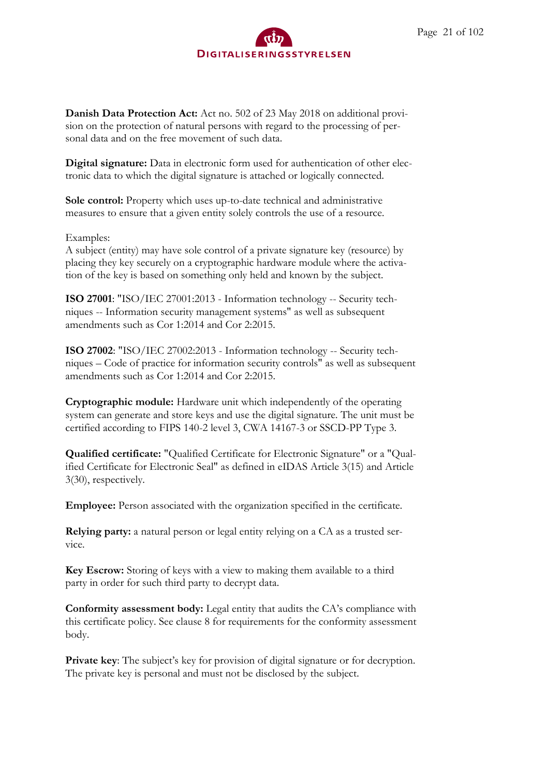**Danish Data Protection Act:** Act no. 502 of 23 May 2018 on additional provision on the protection of natural persons with regard to the processing of personal data and on the free movement of such data.

**Digital signature:** Data in electronic form used for authentication of other electronic data to which the digital signature is attached or logically connected.

**Sole control:** Property which uses up-to-date technical and administrative measures to ensure that a given entity solely controls the use of a resource.

#### Examples:

A subject (entity) may have sole control of a private signature key (resource) by placing they key securely on a cryptographic hardware module where the activation of the key is based on something only held and known by the subject.

**ISO 27001**: "ISO/IEC 27001:2013 - Information technology -- Security techniques -- Information security management systems" as well as subsequent amendments such as Cor 1:2014 and Cor 2:2015.

**ISO 27002**: "ISO/IEC 27002:2013 - Information technology -- Security techniques – Code of practice for information security controls" as well as subsequent amendments such as Cor 1:2014 and Cor 2:2015.

**Cryptographic module:** Hardware unit which independently of the operating system can generate and store keys and use the digital signature. The unit must be certified according to FIPS 140-2 level 3, CWA 14167-3 or SSCD-PP Type 3.

**Qualified certificate:** "Qualified Certificate for Electronic Signature" or a "Qualified Certificate for Electronic Seal" as defined in eIDAS Article 3(15) and Article 3(30), respectively.

**Employee:** Person associated with the organization specified in the certificate.

**Relying party:** a natural person or legal entity relying on a CA as a trusted service.

**Key Escrow:** Storing of keys with a view to making them available to a third party in order for such third party to decrypt data.

**Conformity assessment body:** Legal entity that audits the CA's compliance with this certificate policy. See clause 8 for requirements for the conformity assessment body.

**Private key**: The subject's key for provision of digital signature or for decryption. The private key is personal and must not be disclosed by the subject.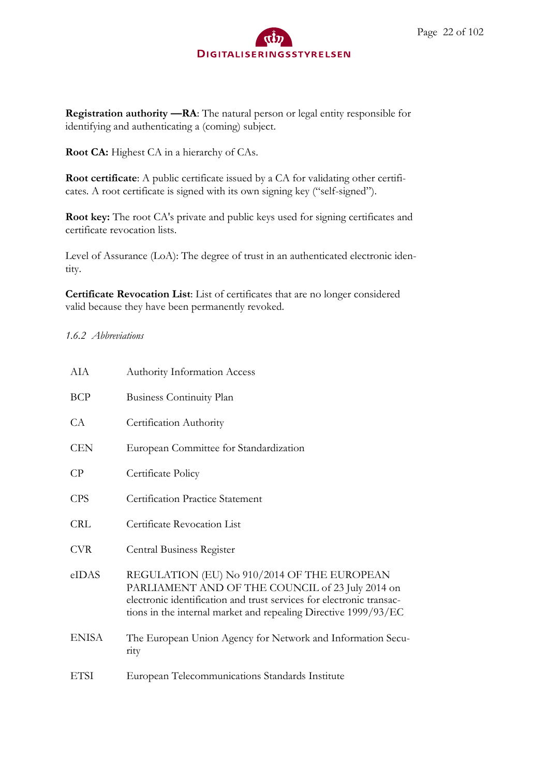**Registration authority —RA**: The natural person or legal entity responsible for identifying and authenticating a (coming) subject.

**Root CA:** Highest CA in a hierarchy of CAs.

**Root certificate**: A public certificate issued by a CA for validating other certificates. A root certificate is signed with its own signing key ("self-signed").

**Root key:** The root CA's private and public keys used for signing certificates and certificate revocation lists.

Level of Assurance (LoA): The degree of trust in an authenticated electronic identity.

**Certificate Revocation List**: List of certificates that are no longer considered valid because they have been permanently revoked.

#### <span id="page-21-0"></span>*1.6.2 Abbreviations*

| AIA          | <b>Authority Information Access</b>                                                                                                                                                                                                        |
|--------------|--------------------------------------------------------------------------------------------------------------------------------------------------------------------------------------------------------------------------------------------|
| <b>BCP</b>   | <b>Business Continuity Plan</b>                                                                                                                                                                                                            |
| CA           | Certification Authority                                                                                                                                                                                                                    |
| <b>CEN</b>   | European Committee for Standardization                                                                                                                                                                                                     |
| $\rm CP$     | Certificate Policy                                                                                                                                                                                                                         |
| <b>CPS</b>   | <b>Certification Practice Statement</b>                                                                                                                                                                                                    |
| <b>CRL</b>   | Certificate Revocation List                                                                                                                                                                                                                |
| <b>CVR</b>   | Central Business Register                                                                                                                                                                                                                  |
| eIDAS        | REGULATION (EU) No 910/2014 OF THE EUROPEAN<br>PARLIAMENT AND OF THE COUNCIL of 23 July 2014 on<br>electronic identification and trust services for electronic transac-<br>tions in the internal market and repealing Directive 1999/93/EC |
| <b>ENISA</b> | The European Union Agency for Network and Information Secu-<br>rity                                                                                                                                                                        |
| <b>ETSI</b>  | European Telecommunications Standards Institute                                                                                                                                                                                            |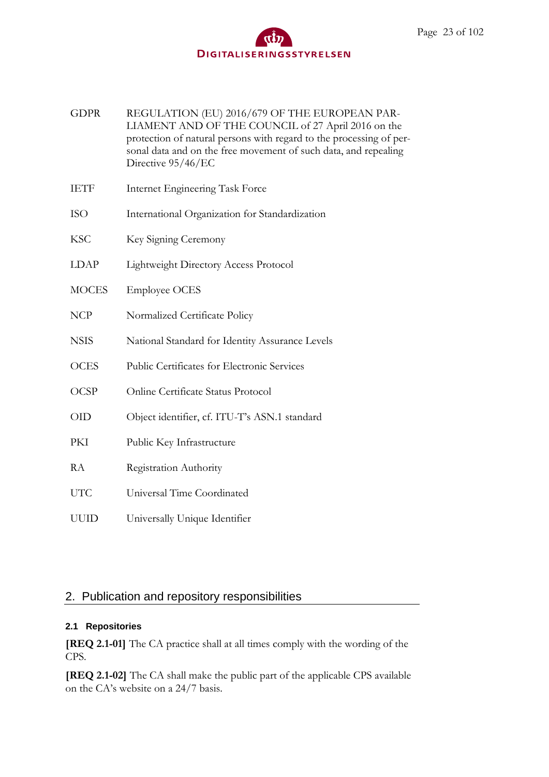| <b>GDPR</b> | REGULATION (EU) 2016/679 OF THE EUROPEAN PAR-                       |
|-------------|---------------------------------------------------------------------|
|             | LIAMENT AND OF THE COUNCIL of 27 April 2016 on the                  |
|             | protection of natural persons with regard to the processing of per- |
|             | sonal data and on the free movement of such data, and repealing     |
|             | Directive 95/46/EC                                                  |
|             |                                                                     |

- IETF Internet Engineering Task Force
- ISO International Organization for Standardization
- KSC Key Signing Ceremony
- LDAP Lightweight Directory Access Protocol
- MOCES Employee OCES
- NCP Normalized Certificate Policy
- NSIS National Standard for Identity Assurance Levels
- OCES Public Certificates for Electronic Services
- OCSP Online Certificate Status Protocol
- OID Object identifier, cf. ITU-T's ASN.1 standard
- PKI Public Key Infrastructure
- RA Registration Authority
- UTC Universal Time Coordinated
- UUID Universally Unique Identifier

## <span id="page-22-0"></span>2. Publication and repository responsibilities

#### <span id="page-22-1"></span>**2.1 Repositories**

**[REQ 2.1-01]** The CA practice shall at all times comply with the wording of the CPS.

**[REQ 2.1-02]** The CA shall make the public part of the applicable CPS available on the CA's website on a 24/7 basis.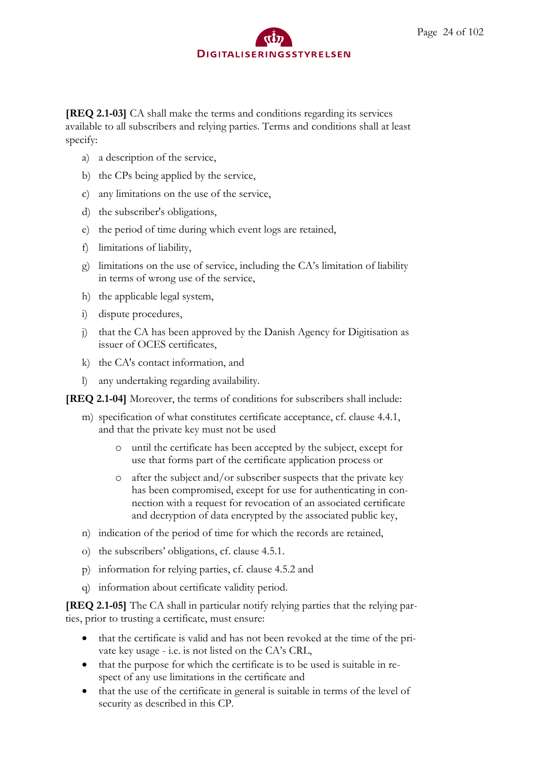**[REQ 2.1-03]** CA shall make the terms and conditions regarding its services available to all subscribers and relying parties. Terms and conditions shall at least specify:

- a) a description of the service,
- b) the CPs being applied by the service,
- c) any limitations on the use of the service,
- d) the subscriber's obligations,
- e) the period of time during which event logs are retained,
- f) limitations of liability,
- g) limitations on the use of service, including the CA's limitation of liability in terms of wrong use of the service,
- h) the applicable legal system,
- i) dispute procedures,
- j) that the CA has been approved by the Danish Agency for Digitisation as issuer of OCES certificates,
- k) the CA's contact information, and
- l) any undertaking regarding availability.

**[REQ 2.1-04]** Moreover, the terms of conditions for subscribers shall include:

- m) specification of what constitutes certificate acceptance, cf. clause 4.4.1, and that the private key must not be used
	- o until the certificate has been accepted by the subject, except for use that forms part of the certificate application process or
	- o after the subject and/or subscriber suspects that the private key has been compromised, except for use for authenticating in connection with a request for revocation of an associated certificate and decryption of data encrypted by the associated public key,
- n) indication of the period of time for which the records are retained,
- o) the subscribers' obligations, cf. clause 4.5.1.
- p) information for relying parties, cf. clause 4.5.2 and
- q) information about certificate validity period.

**[REQ 2.1-05]** The CA shall in particular notify relying parties that the relying parties, prior to trusting a certificate, must ensure:

- that the certificate is valid and has not been revoked at the time of the private key usage - i.e. is not listed on the CA's CRL,
- that the purpose for which the certificate is to be used is suitable in respect of any use limitations in the certificate and
- that the use of the certificate in general is suitable in terms of the level of security as described in this CP.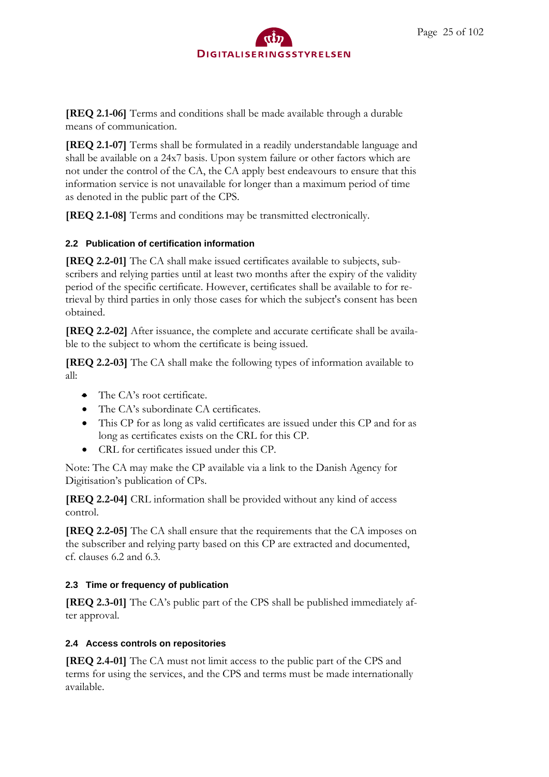**[REQ 2.1-06]** Terms and conditions shall be made available through a durable means of communication.

**[REQ 2.1-07]** Terms shall be formulated in a readily understandable language and shall be available on a 24x7 basis. Upon system failure or other factors which are not under the control of the CA, the CA apply best endeavours to ensure that this information service is not unavailable for longer than a maximum period of time as denoted in the public part of the CPS.

**[REQ 2.1-08]** Terms and conditions may be transmitted electronically.

## <span id="page-24-0"></span>**2.2 Publication of certification information**

**[REQ 2.2-01]** The CA shall make issued certificates available to subjects, subscribers and relying parties until at least two months after the expiry of the validity period of the specific certificate. However, certificates shall be available to for retrieval by third parties in only those cases for which the subject's consent has been obtained.

**[REQ 2.2-02]** After issuance, the complete and accurate certificate shall be available to the subject to whom the certificate is being issued.

**[REQ 2.2-03]** The CA shall make the following types of information available to all:

- The CA's root certificate.
- The CA's subordinate CA certificates.
- This CP for as long as valid certificates are issued under this CP and for as long as certificates exists on the CRL for this CP.
- CRL for certificates issued under this CP.

Note: The CA may make the CP available via a link to the Danish Agency for Digitisation's publication of CPs.

**[REQ 2.2-04]** CRL information shall be provided without any kind of access control.

**[REQ 2.2-05]** The CA shall ensure that the requirements that the CA imposes on the subscriber and relying party based on this CP are extracted and documented, cf. clauses 6.2 and 6.3.

## <span id="page-24-1"></span>**2.3 Time or frequency of publication**

**[REQ 2.3-01]** The CA's public part of the CPS shall be published immediately after approval.

## <span id="page-24-2"></span>**2.4 Access controls on repositories**

**[REQ 2.4-01]** The CA must not limit access to the public part of the CPS and terms for using the services, and the CPS and terms must be made internationally available.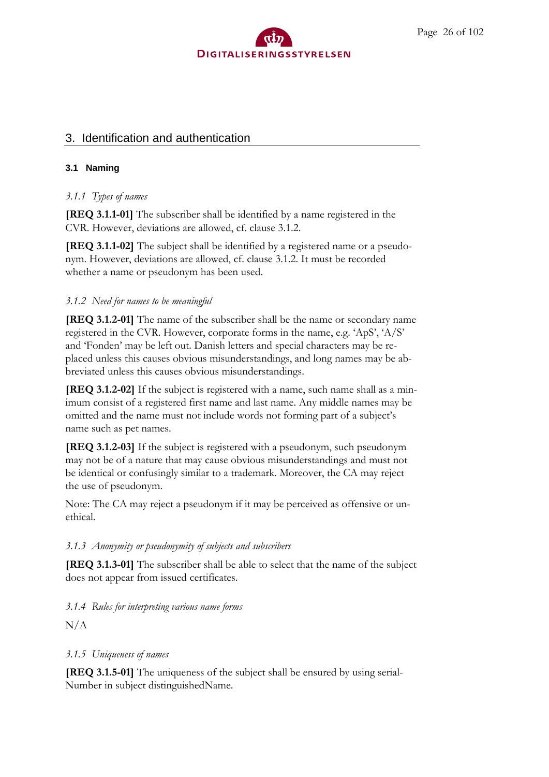#### Page 26 of 102



## <span id="page-25-0"></span>3. Identification and authentication

#### <span id="page-25-1"></span>**3.1 Naming**

#### <span id="page-25-2"></span>*3.1.1 Types of names*

**[REQ 3.1.1-01]** The subscriber shall be identified by a name registered in the CVR. However, deviations are allowed, cf. clause 3.1.2.

**[REQ 3.1.1-02]** The subject shall be identified by a registered name or a pseudonym. However, deviations are allowed, cf. clause 3.1.2. It must be recorded whether a name or pseudonym has been used.

#### <span id="page-25-3"></span>*3.1.2 Need for names to be meaningful*

**[REQ 3.1.2-01]** The name of the subscriber shall be the name or secondary name registered in the CVR. However, corporate forms in the name, e.g. 'ApS', 'A/S' and 'Fonden' may be left out. Danish letters and special characters may be replaced unless this causes obvious misunderstandings, and long names may be abbreviated unless this causes obvious misunderstandings.

**[REQ 3.1.2-02]** If the subject is registered with a name, such name shall as a minimum consist of a registered first name and last name. Any middle names may be omitted and the name must not include words not forming part of a subject's name such as pet names.

**[REQ 3.1.2-03]** If the subject is registered with a pseudonym, such pseudonym may not be of a nature that may cause obvious misunderstandings and must not be identical or confusingly similar to a trademark. Moreover, the CA may reject the use of pseudonym.

Note: The CA may reject a pseudonym if it may be perceived as offensive or unethical.

#### <span id="page-25-4"></span>*3.1.3 Anonymity or pseudonymity of subjects and subscribers*

**[REQ 3.1.3-01]** The subscriber shall be able to select that the name of the subject does not appear from issued certificates.

#### <span id="page-25-5"></span>*3.1.4 Rules for interpreting various name forms*

 $N/A$ 

#### <span id="page-25-6"></span>*3.1.5 Uniqueness of names*

**[REQ 3.1.5-01]** The uniqueness of the subject shall be ensured by using serial-Number in subject distinguishedName.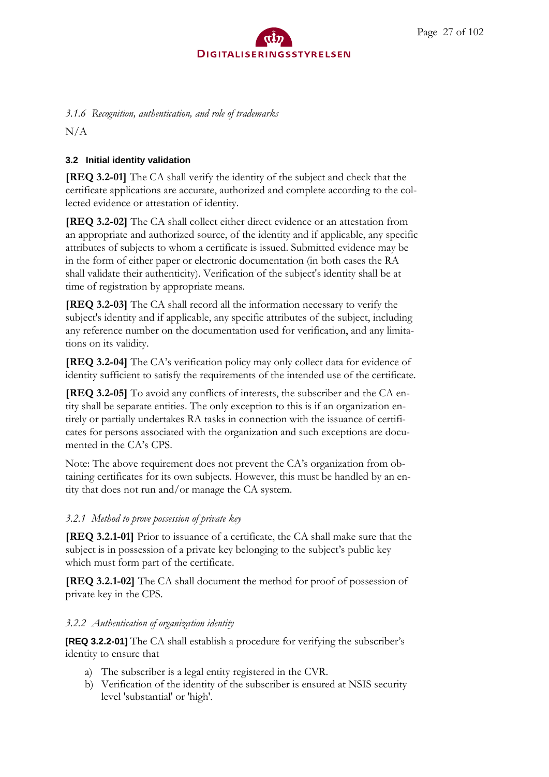# <span id="page-26-0"></span>*3.1.6 Recognition, authentication, and role of trademarks*

 $N/A$ 

# <span id="page-26-1"></span>**3.2 Initial identity validation**

**[REQ 3.2-01]** The CA shall verify the identity of the subject and check that the certificate applications are accurate, authorized and complete according to the collected evidence or attestation of identity.

**[REQ 3.2-02]** The CA shall collect either direct evidence or an attestation from an appropriate and authorized source, of the identity and if applicable, any specific attributes of subjects to whom a certificate is issued. Submitted evidence may be in the form of either paper or electronic documentation (in both cases the RA shall validate their authenticity). Verification of the subject's identity shall be at time of registration by appropriate means.

**[REQ 3.2-03]** The CA shall record all the information necessary to verify the subject's identity and if applicable, any specific attributes of the subject, including any reference number on the documentation used for verification, and any limitations on its validity.

**[REQ 3.2-04]** The CA's verification policy may only collect data for evidence of identity sufficient to satisfy the requirements of the intended use of the certificate.

**[REQ 3.2-05]** To avoid any conflicts of interests, the subscriber and the CA entity shall be separate entities. The only exception to this is if an organization entirely or partially undertakes RA tasks in connection with the issuance of certificates for persons associated with the organization and such exceptions are documented in the CA's CPS.

Note: The above requirement does not prevent the CA's organization from obtaining certificates for its own subjects. However, this must be handled by an entity that does not run and/or manage the CA system.

## <span id="page-26-2"></span>*3.2.1 Method to prove possession of private key*

**[REQ 3.2.1-01]** Prior to issuance of a certificate, the CA shall make sure that the subject is in possession of a private key belonging to the subject's public key which must form part of the certificate.

**[REQ 3.2.1-02]** The CA shall document the method for proof of possession of private key in the CPS.

# <span id="page-26-3"></span>*3.2.2 Authentication of organization identity*

**[REQ 3.2.2-01]** The CA shall establish a procedure for verifying the subscriber's identity to ensure that

- a) The subscriber is a legal entity registered in the CVR.
- b) Verification of the identity of the subscriber is ensured at NSIS security level 'substantial' or 'high'.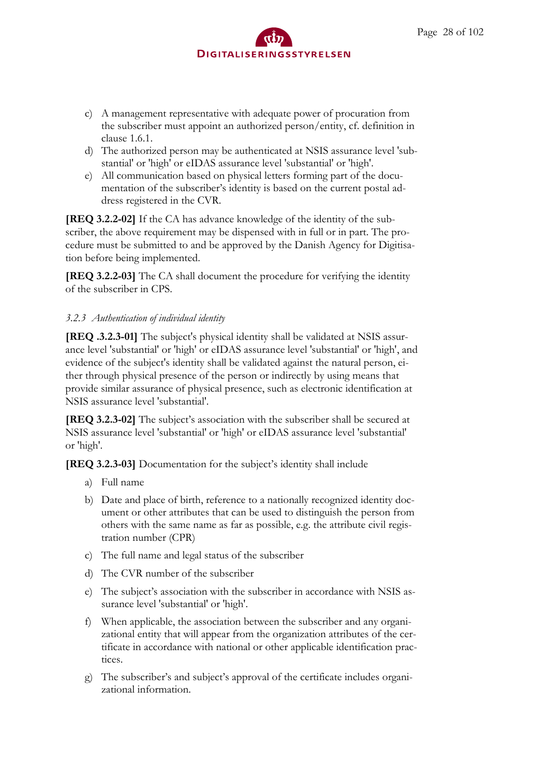- c) A management representative with adequate power of procuration from the subscriber must appoint an authorized person/entity, cf. definition in clause 1.6.1.
- d) The authorized person may be authenticated at NSIS assurance level 'substantial' or 'high' or eIDAS assurance level 'substantial' or 'high'.
- e) All communication based on physical letters forming part of the documentation of the subscriber's identity is based on the current postal address registered in the CVR.

**[REQ 3.2.2-02]** If the CA has advance knowledge of the identity of the subscriber, the above requirement may be dispensed with in full or in part. The procedure must be submitted to and be approved by the Danish Agency for Digitisation before being implemented.

**[REQ 3.2.2-03]** The CA shall document the procedure for verifying the identity of the subscriber in CPS.

# <span id="page-27-0"></span>*3.2.3 Authentication of individual identity*

**[REQ .3.2.3-01]** The subject's physical identity shall be validated at NSIS assurance level 'substantial' or 'high' or eIDAS assurance level 'substantial' or 'high', and evidence of the subject's identity shall be validated against the natural person, either through physical presence of the person or indirectly by using means that provide similar assurance of physical presence, such as electronic identification at NSIS assurance level 'substantial'.

**[REQ 3.2.3-02]** The subject's association with the subscriber shall be secured at NSIS assurance level 'substantial' or 'high' or eIDAS assurance level 'substantial' or 'high'.

**[REQ 3.2.3-03]** Documentation for the subject's identity shall include

- a) Full name
- b) Date and place of birth, reference to a nationally recognized identity document or other attributes that can be used to distinguish the person from others with the same name as far as possible, e.g. the attribute civil registration number (CPR)
- c) The full name and legal status of the subscriber
- d) The CVR number of the subscriber
- e) The subject's association with the subscriber in accordance with NSIS assurance level 'substantial' or 'high'.
- f) When applicable, the association between the subscriber and any organizational entity that will appear from the organization attributes of the certificate in accordance with national or other applicable identification practices.
- g) The subscriber's and subject's approval of the certificate includes organizational information.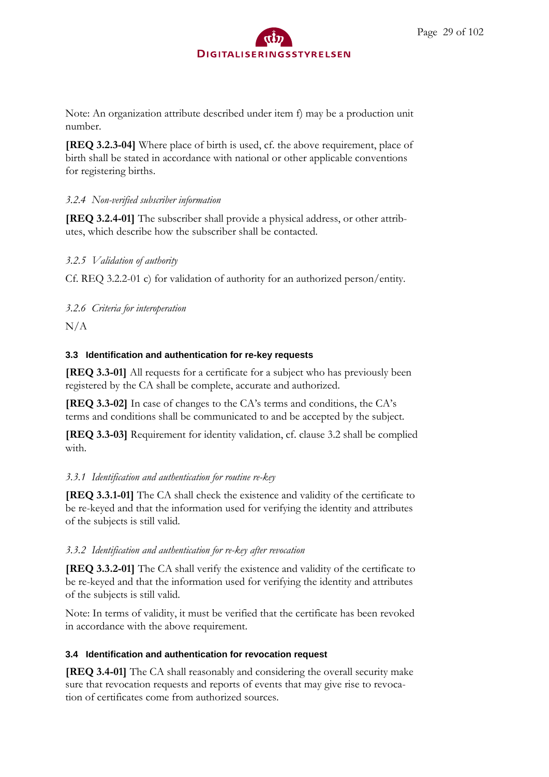Note: An organization attribute described under item f) may be a production unit number.

**[REQ 3.2.3-04]** Where place of birth is used, cf. the above requirement, place of birth shall be stated in accordance with national or other applicable conventions for registering births.

## <span id="page-28-0"></span>*3.2.4 Non-verified subscriber information*

**[REQ 3.2.4-01]** The subscriber shall provide a physical address, or other attributes, which describe how the subscriber shall be contacted.

## <span id="page-28-1"></span>*3.2.5 Validation of authority*

Cf. REQ 3.2.2-01 c) for validation of authority for an authorized person/entity.

<span id="page-28-2"></span>*3.2.6 Criteria for interoperation*

 $N/A$ 

## <span id="page-28-3"></span>**3.3 Identification and authentication for re-key requests**

**[REQ 3.3-01]** All requests for a certificate for a subject who has previously been registered by the CA shall be complete, accurate and authorized.

**[REQ 3.3-02]** In case of changes to the CA's terms and conditions, the CA's terms and conditions shall be communicated to and be accepted by the subject.

**[REQ 3.3-03]** Requirement for identity validation, cf. clause 3.2 shall be complied with.

# <span id="page-28-4"></span>*3.3.1 Identification and authentication for routine re-key*

**[REQ 3.3.1-01]** The CA shall check the existence and validity of the certificate to be re-keyed and that the information used for verifying the identity and attributes of the subjects is still valid.

## <span id="page-28-5"></span>*3.3.2 Identification and authentication for re-key after revocation*

**[REQ 3.3.2-01]** The CA shall verify the existence and validity of the certificate to be re-keyed and that the information used for verifying the identity and attributes of the subjects is still valid.

Note: In terms of validity, it must be verified that the certificate has been revoked in accordance with the above requirement.

## <span id="page-28-6"></span>**3.4 Identification and authentication for revocation request**

**[REQ 3.4-01]** The CA shall reasonably and considering the overall security make sure that revocation requests and reports of events that may give rise to revocation of certificates come from authorized sources.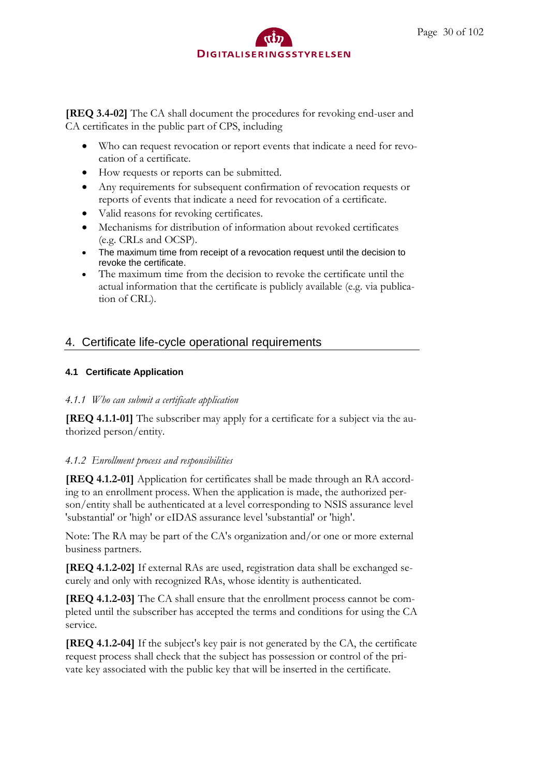

**[REQ 3.4-02]** The CA shall document the procedures for revoking end-user and CA certificates in the public part of CPS, including

- Who can request revocation or report events that indicate a need for revocation of a certificate.
- How requests or reports can be submitted.
- Any requirements for subsequent confirmation of revocation requests or reports of events that indicate a need for revocation of a certificate.
- Valid reasons for revoking certificates.
- Mechanisms for distribution of information about revoked certificates (e.g. CRLs and OCSP).
- The maximum time from receipt of a revocation request until the decision to revoke the certificate.
- The maximum time from the decision to revoke the certificate until the actual information that the certificate is publicly available (e.g. via publication of CRL).

## <span id="page-29-0"></span>4. Certificate life-cycle operational requirements

#### <span id="page-29-1"></span>**4.1 Certificate Application**

#### <span id="page-29-2"></span>*4.1.1 Who can submit a certificate application*

**[REQ 4.1.1-01]** The subscriber may apply for a certificate for a subject via the authorized person/entity.

#### <span id="page-29-3"></span>*4.1.2 Enrollment process and responsibilities*

**[REQ 4.1.2-01]** Application for certificates shall be made through an RA according to an enrollment process. When the application is made, the authorized person/entity shall be authenticated at a level corresponding to NSIS assurance level 'substantial' or 'high' or eIDAS assurance level 'substantial' or 'high'.

Note: The RA may be part of the CA's organization and/or one or more external business partners.

**[REQ 4.1.2-02]** If external RAs are used, registration data shall be exchanged securely and only with recognized RAs, whose identity is authenticated.

**[REQ 4.1.2-03]** The CA shall ensure that the enrollment process cannot be completed until the subscriber has accepted the terms and conditions for using the CA service.

**[REQ 4.1.2-04]** If the subject's key pair is not generated by the CA, the certificate request process shall check that the subject has possession or control of the private key associated with the public key that will be inserted in the certificate.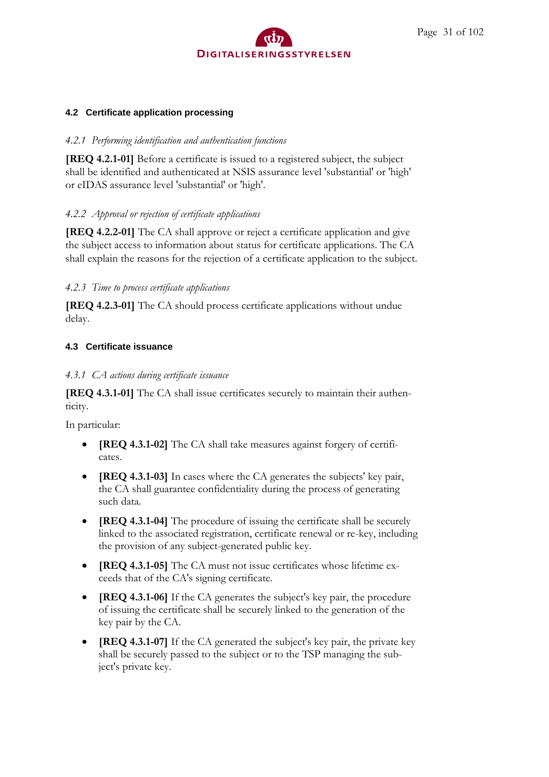

#### <span id="page-30-0"></span>**4.2 Certificate application processing**

#### <span id="page-30-1"></span>*4.2.1 Performing identification and authentication functions*

**[REQ 4.2.1-01]** Before a certificate is issued to a registered subject, the subject shall be identified and authenticated at NSIS assurance level 'substantial' or 'high' or eIDAS assurance level 'substantial' or 'high'.

#### <span id="page-30-2"></span>*4.2.2 Approval or rejection of certificate applications*

**[REQ 4.2.2-01]** The CA shall approve or reject a certificate application and give the subject access to information about status for certificate applications. The CA shall explain the reasons for the rejection of a certificate application to the subject.

## <span id="page-30-3"></span>*4.2.3 Time to process certificate applications*

**[REQ 4.2.3-01]** The CA should process certificate applications without undue delay.

#### <span id="page-30-4"></span>**4.3 Certificate issuance**

#### <span id="page-30-5"></span>*4.3.1 CA actions during certificate issuance*

**[REQ 4.3.1-01]** The CA shall issue certificates securely to maintain their authenticity.

In particular:

- **[REQ 4.3.1-02]** The CA shall take measures against forgery of certificates.
- **[REQ 4.3.1-03]** In cases where the CA generates the subjects' key pair, the CA shall guarantee confidentiality during the process of generating such data.
- **[REQ 4.3.1-04]** The procedure of issuing the certificate shall be securely linked to the associated registration, certificate renewal or re-key, including the provision of any subject-generated public key.
- **[REQ 4.3.1-05]** The CA must not issue certificates whose lifetime exceeds that of the CA's signing certificate.
- **[REQ 4.3.1-06]** If the CA generates the subject's key pair, the procedure of issuing the certificate shall be securely linked to the generation of the key pair by the CA.
- **[REQ 4.3.1-07]** If the CA generated the subject's key pair, the private key shall be securely passed to the subject or to the TSP managing the subject's private key.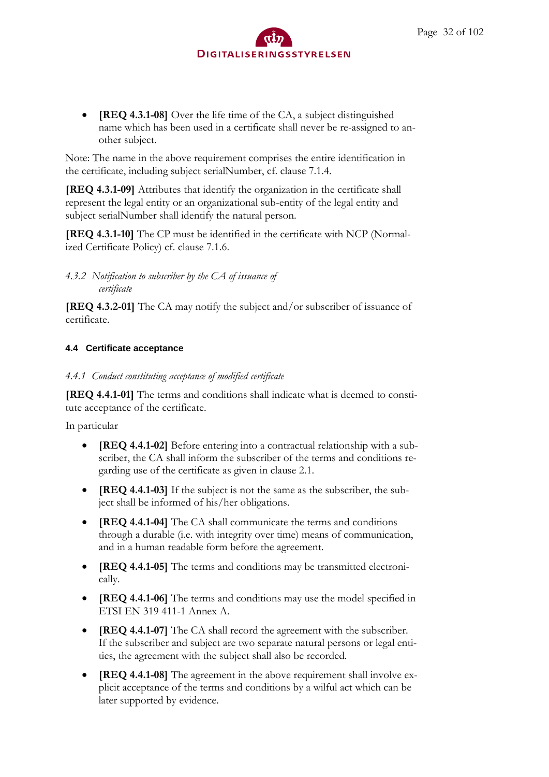

• **[REQ 4.3.1-08]** Over the life time of the CA, a subject distinguished name which has been used in a certificate shall never be re-assigned to another subject.

Note: The name in the above requirement comprises the entire identification in the certificate, including subject serialNumber, cf. clause 7.1.4.

**[REQ 4.3.1-09]** Attributes that identify the organization in the certificate shall represent the legal entity or an organizational sub-entity of the legal entity and subject serialNumber shall identify the natural person.

**[REQ 4.3.1-10]** The CP must be identified in the certificate with NCP (Normalized Certificate Policy) cf. clause 7.1.6.

<span id="page-31-0"></span>*4.3.2 Notification to subscriber by the CA of issuance of certificate*

**[REQ 4.3.2-01]** The CA may notify the subject and/or subscriber of issuance of certificate.

#### <span id="page-31-1"></span>**4.4 Certificate acceptance**

<span id="page-31-2"></span>*4.4.1 Conduct constituting acceptance of modified certificate*

**[REQ 4.4.1-01]** The terms and conditions shall indicate what is deemed to constitute acceptance of the certificate.

In particular

- **[REQ 4.4.1-02]** Before entering into a contractual relationship with a subscriber, the CA shall inform the subscriber of the terms and conditions regarding use of the certificate as given in clause 2.1.
- **[REQ 4.4.1-03]** If the subject is not the same as the subscriber, the subject shall be informed of his/her obligations.
- **[REQ 4.4.1-04]** The CA shall communicate the terms and conditions through a durable (i.e. with integrity over time) means of communication, and in a human readable form before the agreement.
- **[REQ 4.4.1-05]** The terms and conditions may be transmitted electronically.
- **[REQ 4.4.1-06]** The terms and conditions may use the model specified in ETSI EN 319 411-1 Annex A.
- **[REQ 4.4.1-07]** The CA shall record the agreement with the subscriber. If the subscriber and subject are two separate natural persons or legal entities, the agreement with the subject shall also be recorded.
- **[REQ 4.4.1-08]** The agreement in the above requirement shall involve explicit acceptance of the terms and conditions by a wilful act which can be later supported by evidence.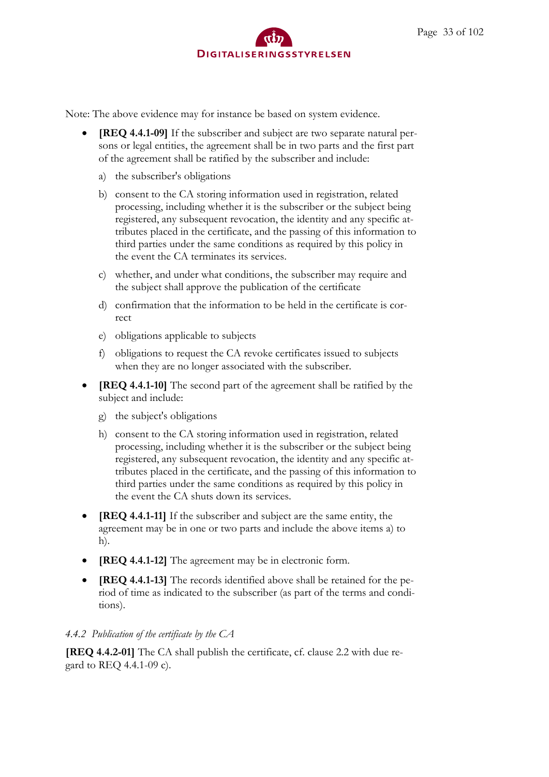Note: The above evidence may for instance be based on system evidence.

- **[REQ 4.4.1-09]** If the subscriber and subject are two separate natural persons or legal entities, the agreement shall be in two parts and the first part of the agreement shall be ratified by the subscriber and include:
	- a) the subscriber's obligations
	- b) consent to the CA storing information used in registration, related processing, including whether it is the subscriber or the subject being registered, any subsequent revocation, the identity and any specific attributes placed in the certificate, and the passing of this information to third parties under the same conditions as required by this policy in the event the CA terminates its services.
	- c) whether, and under what conditions, the subscriber may require and the subject shall approve the publication of the certificate
	- d) confirmation that the information to be held in the certificate is correct
	- e) obligations applicable to subjects
	- f) obligations to request the CA revoke certificates issued to subjects when they are no longer associated with the subscriber.
- **[REQ 4.4.1-10]** The second part of the agreement shall be ratified by the subject and include:
	- g) the subject's obligations
	- h) consent to the CA storing information used in registration, related processing, including whether it is the subscriber or the subject being registered, any subsequent revocation, the identity and any specific attributes placed in the certificate, and the passing of this information to third parties under the same conditions as required by this policy in the event the CA shuts down its services.
- **[REQ 4.4.1-11]** If the subscriber and subject are the same entity, the agreement may be in one or two parts and include the above items a) to h).
- **[REQ 4.4.1-12]** The agreement may be in electronic form.
- **[REQ 4.4.1-13]** The records identified above shall be retained for the period of time as indicated to the subscriber (as part of the terms and conditions).

#### <span id="page-32-0"></span>*4.4.2 Publication of the certificate by the CA*

**[REQ 4.4.2-01]** The CA shall publish the certificate, cf. clause 2.2 with due regard to REQ 4.4.1-09 c).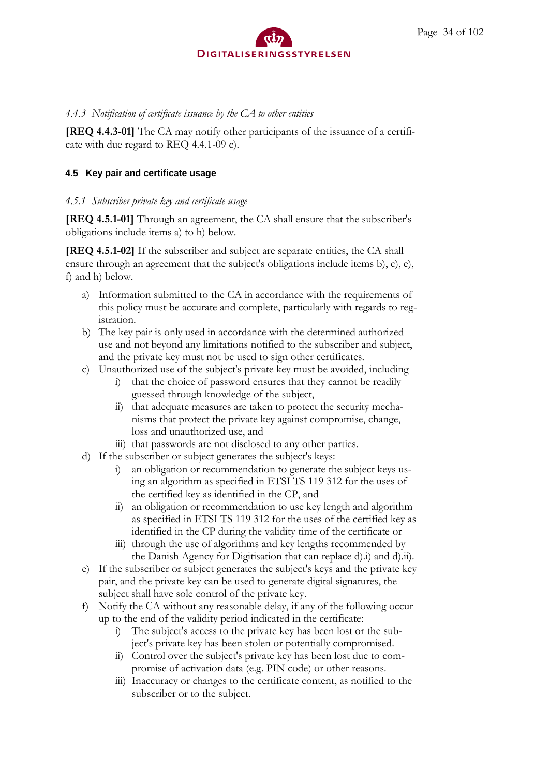### <span id="page-33-0"></span>*4.4.3 Notification of certificate issuance by the CA to other entities*

**[REQ 4.4.3-01]** The CA may notify other participants of the issuance of a certificate with due regard to REQ 4.4.1-09 c).

#### <span id="page-33-1"></span>**4.5 Key pair and certificate usage**

#### <span id="page-33-2"></span>*4.5.1 Subscriber private key and certificate usage*

**[REQ 4.5.1-01]** Through an agreement, the CA shall ensure that the subscriber's obligations include items a) to h) below.

**[REQ 4.5.1-02]** If the subscriber and subject are separate entities, the CA shall ensure through an agreement that the subject's obligations include items b), c), e), f) and h) below.

- a) Information submitted to the CA in accordance with the requirements of this policy must be accurate and complete, particularly with regards to registration.
- b) The key pair is only used in accordance with the determined authorized use and not beyond any limitations notified to the subscriber and subject, and the private key must not be used to sign other certificates.
- c) Unauthorized use of the subject's private key must be avoided, including
	- i) that the choice of password ensures that they cannot be readily guessed through knowledge of the subject,
	- ii) that adequate measures are taken to protect the security mechanisms that protect the private key against compromise, change, loss and unauthorized use, and
	- iii) that passwords are not disclosed to any other parties.
- d) If the subscriber or subject generates the subject's keys:
	- i) an obligation or recommendation to generate the subject keys using an algorithm as specified in ETSI TS 119 312 for the uses of the certified key as identified in the CP, and
	- ii) an obligation or recommendation to use key length and algorithm as specified in ETSI TS 119 312 for the uses of the certified key as identified in the CP during the validity time of the certificate or
	- iii) through the use of algorithms and key lengths recommended by the Danish Agency for Digitisation that can replace d).i) and d).ii).
- e) If the subscriber or subject generates the subject's keys and the private key pair, and the private key can be used to generate digital signatures, the subject shall have sole control of the private key.
- f) Notify the CA without any reasonable delay, if any of the following occur up to the end of the validity period indicated in the certificate:
	- i) The subject's access to the private key has been lost or the subject's private key has been stolen or potentially compromised.
	- ii) Control over the subject's private key has been lost due to compromise of activation data (e.g. PIN code) or other reasons.
	- iii) Inaccuracy or changes to the certificate content, as notified to the subscriber or to the subject.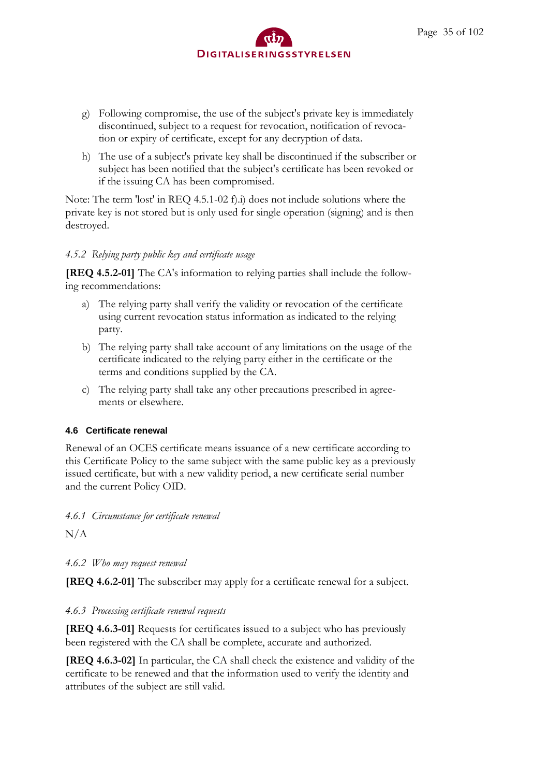- g) Following compromise, the use of the subject's private key is immediately discontinued, subject to a request for revocation, notification of revocation or expiry of certificate, except for any decryption of data.
- h) The use of a subject's private key shall be discontinued if the subscriber or subject has been notified that the subject's certificate has been revoked or if the issuing CA has been compromised.

Note: The term 'lost' in REQ 4.5.1-02 f).i) does not include solutions where the private key is not stored but is only used for single operation (signing) and is then destroyed.

#### <span id="page-34-0"></span>*4.5.2 Relying party public key and certificate usage*

**[REQ 4.5.2-01]** The CA's information to relying parties shall include the following recommendations:

- a) The relying party shall verify the validity or revocation of the certificate using current revocation status information as indicated to the relying party.
- b) The relying party shall take account of any limitations on the usage of the certificate indicated to the relying party either in the certificate or the terms and conditions supplied by the CA.
- c) The relying party shall take any other precautions prescribed in agreements or elsewhere.

#### <span id="page-34-1"></span>**4.6 Certificate renewal**

Renewal of an OCES certificate means issuance of a new certificate according to this Certificate Policy to the same subject with the same public key as a previously issued certificate, but with a new validity period, a new certificate serial number and the current Policy OID.

<span id="page-34-2"></span>*4.6.1 Circumstance for certificate renewal*

 $N/A$ 

<span id="page-34-3"></span>*4.6.2 Who may request renewal*

**[REQ 4.6.2-01]** The subscriber may apply for a certificate renewal for a subject.

#### <span id="page-34-4"></span>*4.6.3 Processing certificate renewal requests*

**[REQ 4.6.3-01]** Requests for certificates issued to a subject who has previously been registered with the CA shall be complete, accurate and authorized.

**[REQ 4.6.3-02]** In particular, the CA shall check the existence and validity of the certificate to be renewed and that the information used to verify the identity and attributes of the subject are still valid.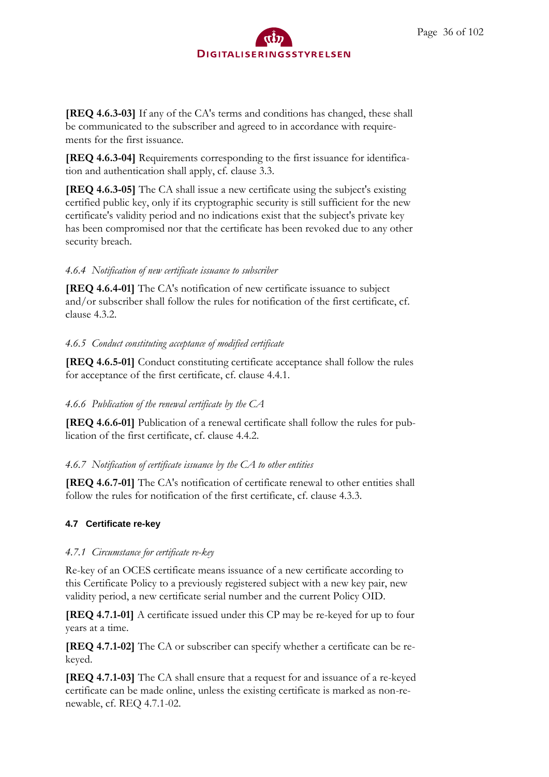**[REQ 4.6.3-03]** If any of the CA's terms and conditions has changed, these shall be communicated to the subscriber and agreed to in accordance with requirements for the first issuance.

**[REQ 4.6.3-04]** Requirements corresponding to the first issuance for identification and authentication shall apply, cf. clause 3.3.

**[REQ 4.6.3-05]** The CA shall issue a new certificate using the subject's existing certified public key, only if its cryptographic security is still sufficient for the new certificate's validity period and no indications exist that the subject's private key has been compromised nor that the certificate has been revoked due to any other security breach.

## <span id="page-35-0"></span>*4.6.4 Notification of new certificate issuance to subscriber*

**[REQ 4.6.4-01]** The CA's notification of new certificate issuance to subject and/or subscriber shall follow the rules for notification of the first certificate, cf. clause 4.3.2.

## <span id="page-35-1"></span>*4.6.5 Conduct constituting acceptance of modified certificate*

**[REQ 4.6.5-01]** Conduct constituting certificate acceptance shall follow the rules for acceptance of the first certificate, cf. clause 4.4.1.

# <span id="page-35-2"></span>*4.6.6 Publication of the renewal certificate by the CA*

**[REQ 4.6.6-01]** Publication of a renewal certificate shall follow the rules for publication of the first certificate, cf. clause 4.4.2.

# <span id="page-35-3"></span>*4.6.7 Notification of certificate issuance by the CA to other entities*

**[REQ 4.6.7-01]** The CA's notification of certificate renewal to other entities shall follow the rules for notification of the first certificate, cf. clause 4.3.3.

# <span id="page-35-4"></span>**4.7 Certificate re-key**

## <span id="page-35-5"></span>*4.7.1 Circumstance for certificate re-key*

Re-key of an OCES certificate means issuance of a new certificate according to this Certificate Policy to a previously registered subject with a new key pair, new validity period, a new certificate serial number and the current Policy OID.

**[REQ 4.7.1-01]** A certificate issued under this CP may be re-keyed for up to four years at a time.

**[REQ 4.7.1-02]** The CA or subscriber can specify whether a certificate can be rekeyed.

**[REQ 4.7.1-03]** The CA shall ensure that a request for and issuance of a re-keyed certificate can be made online, unless the existing certificate is marked as non-renewable, cf. REQ 4.7.1-02.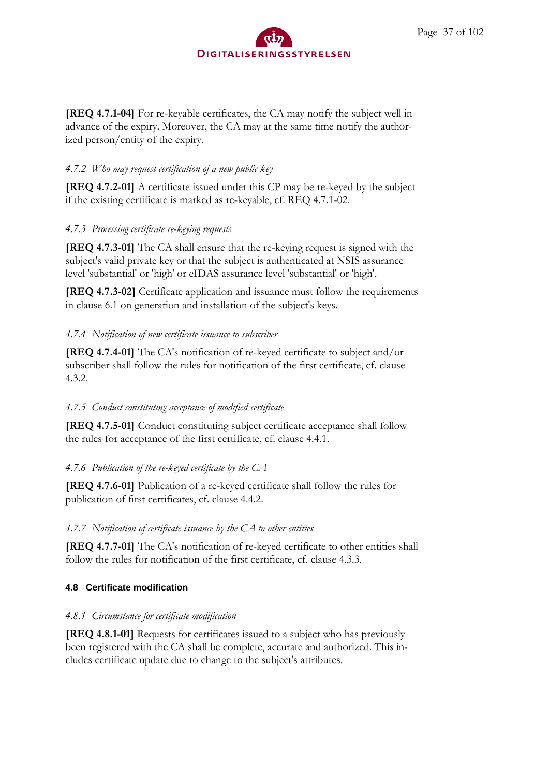

**[REQ 4.7.1-04]** For re-keyable certificates, the CA may notify the subject well in advance of the expiry. Moreover, the CA may at the same time notify the authorized person/entity of the expiry.

### *4.7.2 Who may request certification of a new public key*

**[REQ 4.7.2-01]** A certificate issued under this CP may be re-keyed by the subject if the existing certificate is marked as re-keyable, cf. REQ 4.7.1-02.

### *4.7.3 Processing certificate re-keying requests*

**[REQ 4.7.3-01]** The CA shall ensure that the re-keying request is signed with the subject's valid private key or that the subject is authenticated at NSIS assurance level 'substantial' or 'high' or eIDAS assurance level 'substantial' or 'high'.

**[REQ 4.7.3-02]** Certificate application and issuance must follow the requirements in clause 6.1 on generation and installation of the subject's keys.

### *4.7.4 Notification of new certificate issuance to subscriber*

**[REQ 4.7.4-01]** The CA's notification of re-keyed certificate to subject and/or subscriber shall follow the rules for notification of the first certificate, cf. clause 4.3.2.

## *4.7.5 Conduct constituting acceptance of modified certificate*

**[REQ 4.7.5-01]** Conduct constituting subject certificate acceptance shall follow the rules for acceptance of the first certificate, cf. clause 4.4.1.

## *4.7.6 Publication of the re-keyed certificate by the CA*

**[REQ 4.7.6-01]** Publication of a re-keyed certificate shall follow the rules for publication of first certificates, cf. clause 4.4.2.

## *4.7.7 Notification of certificate issuance by the CA to other entities*

**[REQ 4.7.7-01]** The CA's notification of re-keyed certificate to other entities shall follow the rules for notification of the first certificate, cf. clause 4.3.3.

### **4.8 Certificate modification**

## *4.8.1 Circumstance for certificate modification*

**[REQ 4.8.1-01]** Requests for certificates issued to a subject who has previously been registered with the CA shall be complete, accurate and authorized. This includes certificate update due to change to the subject's attributes.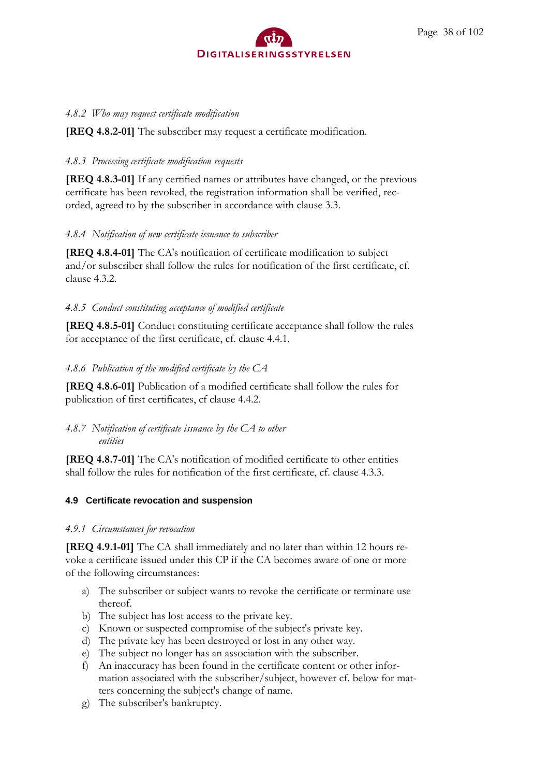

### *4.8.2 Who may request certificate modification*

**[REQ 4.8.2-01]** The subscriber may request a certificate modification.

### *4.8.3 Processing certificate modification requests*

**[REQ 4.8.3-01]** If any certified names or attributes have changed, or the previous certificate has been revoked, the registration information shall be verified, recorded, agreed to by the subscriber in accordance with clause 3.3.

### *4.8.4 Notification of new certificate issuance to subscriber*

**[REQ 4.8.4-01]** The CA's notification of certificate modification to subject and/or subscriber shall follow the rules for notification of the first certificate, cf. clause 4.3.2.

## *4.8.5 Conduct constituting acceptance of modified certificate*

**[REQ 4.8.5-01]** Conduct constituting certificate acceptance shall follow the rules for acceptance of the first certificate, cf. clause 4.4.1.

### *4.8.6 Publication of the modified certificate by the CA*

**[REQ 4.8.6-01]** Publication of a modified certificate shall follow the rules for publication of first certificates, cf clause 4.4.2.

### *4.8.7 Notification of certificate issuance by the CA to other entities*

**[REQ 4.8.7-01]** The CA's notification of modified certificate to other entities shall follow the rules for notification of the first certificate, cf. clause 4.3.3.

## **4.9 Certificate revocation and suspension**

### *4.9.1 Circumstances for revocation*

**[REQ 4.9.1-01]** The CA shall immediately and no later than within 12 hours revoke a certificate issued under this CP if the CA becomes aware of one or more of the following circumstances:

- a) The subscriber or subject wants to revoke the certificate or terminate use thereof.
- b) The subject has lost access to the private key.
- c) Known or suspected compromise of the subject's private key.
- d) The private key has been destroyed or lost in any other way.
- e) The subject no longer has an association with the subscriber.
- f) An inaccuracy has been found in the certificate content or other information associated with the subscriber/subject, however cf. below for matters concerning the subject's change of name.
- g) The subscriber's bankruptcy.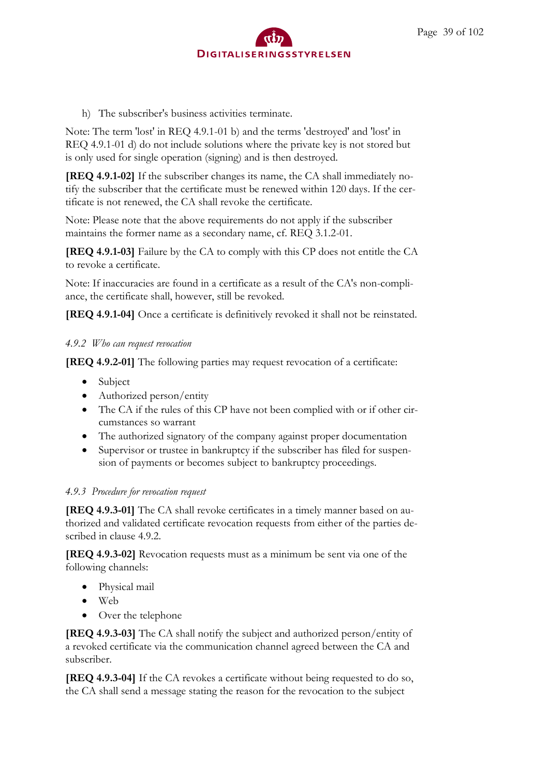

h) The subscriber's business activities terminate.

Note: The term 'lost' in REQ 4.9.1-01 b) and the terms 'destroyed' and 'lost' in REQ 4.9.1-01 d) do not include solutions where the private key is not stored but is only used for single operation (signing) and is then destroyed.

**[REQ 4.9.1-02]** If the subscriber changes its name, the CA shall immediately notify the subscriber that the certificate must be renewed within 120 days. If the certificate is not renewed, the CA shall revoke the certificate.

Note: Please note that the above requirements do not apply if the subscriber maintains the former name as a secondary name, cf. REQ 3.1.2-01.

**[REQ 4.9.1-03]** Failure by the CA to comply with this CP does not entitle the CA to revoke a certificate.

Note: If inaccuracies are found in a certificate as a result of the CA's non-compliance, the certificate shall, however, still be revoked.

**[REQ 4.9.1-04]** Once a certificate is definitively revoked it shall not be reinstated.

### *4.9.2 Who can request revocation*

**[REQ 4.9.2-01]** The following parties may request revocation of a certificate:

- Subject
- Authorized person/entity
- The CA if the rules of this CP have not been complied with or if other circumstances so warrant
- The authorized signatory of the company against proper documentation
- Supervisor or trustee in bankruptcy if the subscriber has filed for suspension of payments or becomes subject to bankruptcy proceedings.

### *4.9.3 Procedure for revocation request*

**[REQ 4.9.3-01]** The CA shall revoke certificates in a timely manner based on authorized and validated certificate revocation requests from either of the parties described in clause 4.9.2.

**[REQ 4.9.3-02]** Revocation requests must as a minimum be sent via one of the following channels:

- Physical mail
- Web
- Over the telephone

**[REQ 4.9.3-03]** The CA shall notify the subject and authorized person/entity of a revoked certificate via the communication channel agreed between the CA and subscriber.

**[REQ 4.9.3-04]** If the CA revokes a certificate without being requested to do so, the CA shall send a message stating the reason for the revocation to the subject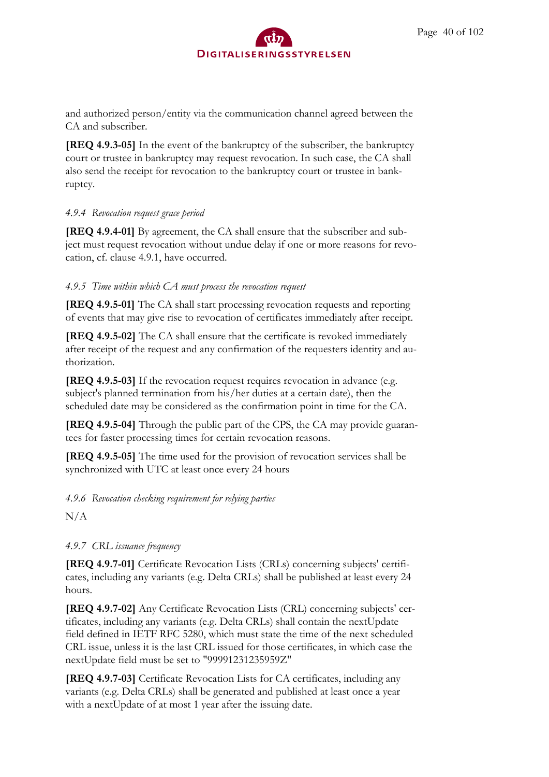and authorized person/entity via the communication channel agreed between the CA and subscriber.

**[REQ 4.9.3-05]** In the event of the bankruptcy of the subscriber, the bankruptcy court or trustee in bankruptcy may request revocation. In such case, the CA shall also send the receipt for revocation to the bankruptcy court or trustee in bankruptcy.

## *4.9.4 Revocation request grace period*

**[REQ 4.9.4-01]** By agreement, the CA shall ensure that the subscriber and subject must request revocation without undue delay if one or more reasons for revocation, cf. clause 4.9.1, have occurred.

## *4.9.5 Time within which CA must process the revocation request*

**[REQ 4.9.5-01]** The CA shall start processing revocation requests and reporting of events that may give rise to revocation of certificates immediately after receipt.

**[REQ 4.9.5-02]** The CA shall ensure that the certificate is revoked immediately after receipt of the request and any confirmation of the requesters identity and authorization.

**[REQ 4.9.5-03]** If the revocation request requires revocation in advance (e.g. subject's planned termination from his/her duties at a certain date), then the scheduled date may be considered as the confirmation point in time for the CA.

**[REQ 4.9.5-04]** Through the public part of the CPS, the CA may provide guarantees for faster processing times for certain revocation reasons.

**[REQ 4.9.5-05]** The time used for the provision of revocation services shall be synchronized with UTC at least once every 24 hours

# *4.9.6 Revocation checking requirement for relying parties*

N/A

# *4.9.7 CRL issuance frequency*

**[REQ 4.9.7-01]** Certificate Revocation Lists (CRLs) concerning subjects' certificates, including any variants (e.g. Delta CRLs) shall be published at least every 24 hours.

**[REQ 4.9.7-02]** Any Certificate Revocation Lists (CRL) concerning subjects' certificates, including any variants (e.g. Delta CRLs) shall contain the nextUpdate field defined in IETF RFC 5280, which must state the time of the next scheduled CRL issue, unless it is the last CRL issued for those certificates, in which case the nextUpdate field must be set to "99991231235959Z"

**[REQ 4.9.7-03]** Certificate Revocation Lists for CA certificates, including any variants (e.g. Delta CRLs) shall be generated and published at least once a year with a nextUpdate of at most 1 year after the issuing date.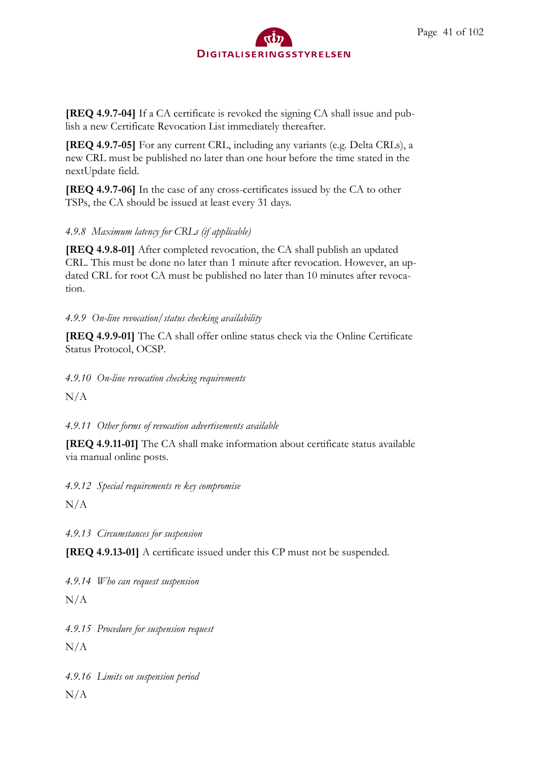**[REQ 4.9.7-04]** If a CA certificate is revoked the signing CA shall issue and publish a new Certificate Revocation List immediately thereafter.

**[REQ 4.9.7-05]** For any current CRL, including any variants (e.g. Delta CRLs), a new CRL must be published no later than one hour before the time stated in the nextUpdate field.

**[REQ 4.9.7-06]** In the case of any cross-certificates issued by the CA to other TSPs, the CA should be issued at least every 31 days.

# *4.9.8 Maximum latency for CRLs (if applicable)*

**[REQ 4.9.8-01]** After completed revocation, the CA shall publish an updated CRL. This must be done no later than 1 minute after revocation. However, an updated CRL for root CA must be published no later than 10 minutes after revocation.

## *4.9.9 On-line revocation/status checking availability*

**[REQ 4.9.9-01]** The CA shall offer online status check via the Online Certificate Status Protocol, OCSP.

*4.9.10 On-line revocation checking requirements*

 $N/A$ 

*4.9.11 Other forms of revocation advertisements available*

**[REQ 4.9.11-01]** The CA shall make information about certificate status available via manual online posts.

*4.9.12 Special requirements re key compromise*

 $N/A$ 

*4.9.13 Circumstances for suspension*

**[REQ 4.9.13-01]** A certificate issued under this CP must not be suspended.

*4.9.14 Who can request suspension*

 $N/A$ 

*4.9.15 Procedure for suspension request*

 $N/A$ 

*4.9.16 Limits on suspension period*

 $N/A$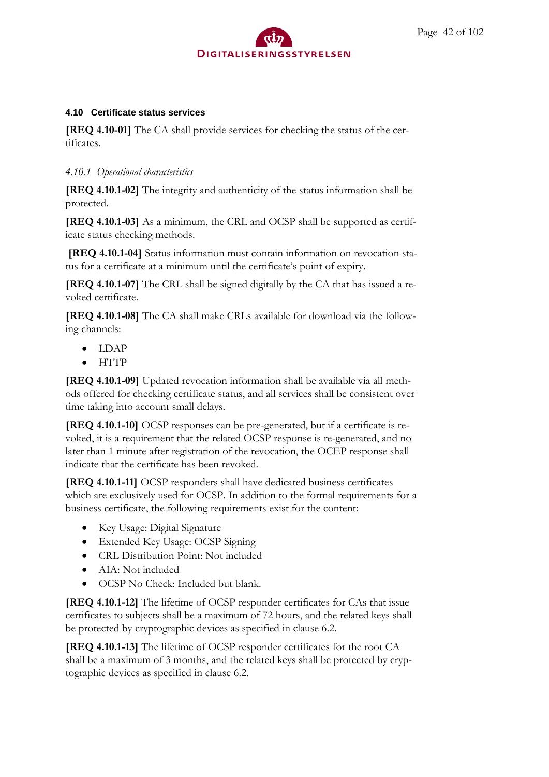

#### **4.10 Certificate status services**

**[REQ 4.10-01]** The CA shall provide services for checking the status of the certificates.

### *4.10.1 Operational characteristics*

**[REQ 4.10.1-02]** The integrity and authenticity of the status information shall be protected.

**[REQ 4.10.1-03]** As a minimum, the CRL and OCSP shall be supported as certificate status checking methods.

**[REQ 4.10.1-04]** Status information must contain information on revocation status for a certificate at a minimum until the certificate's point of expiry.

**[REQ 4.10.1-07]** The CRL shall be signed digitally by the CA that has issued a revoked certificate.

**[REQ 4.10.1-08]** The CA shall make CRLs available for download via the following channels:

- LDAP
- HTTP

**[REQ 4.10.1-09]** Updated revocation information shall be available via all methods offered for checking certificate status, and all services shall be consistent over time taking into account small delays.

**[REQ 4.10.1-10]** OCSP responses can be pre-generated, but if a certificate is revoked, it is a requirement that the related OCSP response is re-generated, and no later than 1 minute after registration of the revocation, the OCEP response shall indicate that the certificate has been revoked.

**[REQ 4.10.1-11]** OCSP responders shall have dedicated business certificates which are exclusively used for OCSP. In addition to the formal requirements for a business certificate, the following requirements exist for the content:

- Key Usage: Digital Signature
- Extended Key Usage: OCSP Signing
- CRL Distribution Point: Not included
- AIA: Not included
- OCSP No Check: Included but blank.

**[REQ 4.10.1-12]** The lifetime of OCSP responder certificates for CAs that issue certificates to subjects shall be a maximum of 72 hours, and the related keys shall be protected by cryptographic devices as specified in clause 6.2.

**[REQ 4.10.1-13]** The lifetime of OCSP responder certificates for the root CA shall be a maximum of 3 months, and the related keys shall be protected by cryptographic devices as specified in clause 6.2.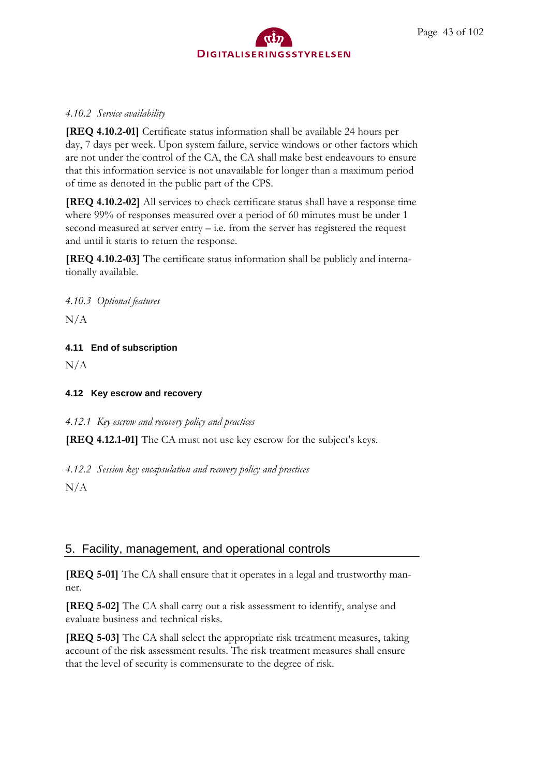

### *4.10.2 Service availability*

**[REQ 4.10.2-01]** Certificate status information shall be available 24 hours per day, 7 days per week. Upon system failure, service windows or other factors which are not under the control of the CA, the CA shall make best endeavours to ensure that this information service is not unavailable for longer than a maximum period of time as denoted in the public part of the CPS.

**[REQ 4.10.2-02]** All services to check certificate status shall have a response time where 99% of responses measured over a period of 60 minutes must be under 1 second measured at server entry – i.e. from the server has registered the request and until it starts to return the response.

**[REQ 4.10.2-03]** The certificate status information shall be publicly and internationally available.

*4.10.3 Optional features*

 $N/A$ 

## **4.11 End of subscription**

N/A

## **4.12 Key escrow and recovery**

*4.12.1 Key escrow and recovery policy and practices*

**[REQ 4.12.1-01]** The CA must not use key escrow for the subject's keys.

*4.12.2 Session key encapsulation and recovery policy and practices*

 $N/A$ 

# 5. Facility, management, and operational controls

**[REQ 5-01]** The CA shall ensure that it operates in a legal and trustworthy manner.

**[REQ 5-02]** The CA shall carry out a risk assessment to identify, analyse and evaluate business and technical risks.

**[REQ 5-03]** The CA shall select the appropriate risk treatment measures, taking account of the risk assessment results. The risk treatment measures shall ensure that the level of security is commensurate to the degree of risk.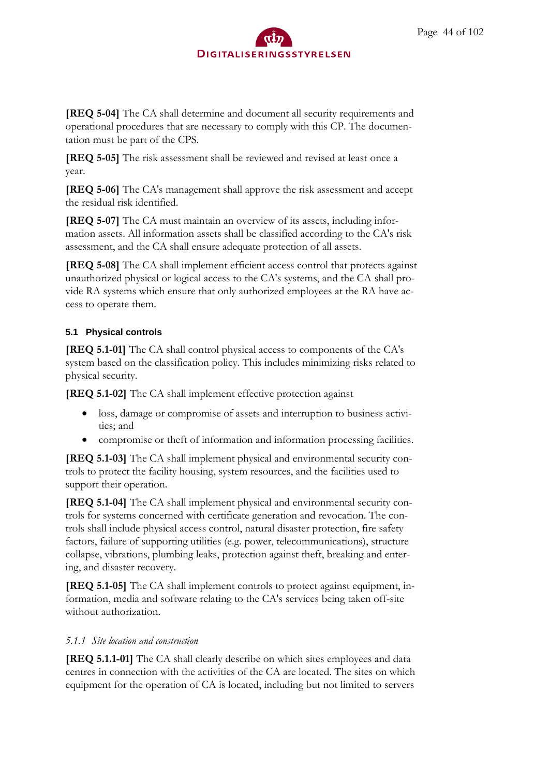**[REQ 5-04]** The CA shall determine and document all security requirements and operational procedures that are necessary to comply with this CP. The documentation must be part of the CPS.

**[REQ 5-05]** The risk assessment shall be reviewed and revised at least once a year.

**[REQ 5-06]** The CA's management shall approve the risk assessment and accept the residual risk identified.

**[REQ 5-07]** The CA must maintain an overview of its assets, including information assets. All information assets shall be classified according to the CA's risk assessment, and the CA shall ensure adequate protection of all assets.

**[REQ 5-08]** The CA shall implement efficient access control that protects against unauthorized physical or logical access to the CA's systems, and the CA shall provide RA systems which ensure that only authorized employees at the RA have access to operate them.

## **5.1 Physical controls**

**[REQ 5.1-01]** The CA shall control physical access to components of the CA's system based on the classification policy. This includes minimizing risks related to physical security.

**[REQ 5.1-02]** The CA shall implement effective protection against

- loss, damage or compromise of assets and interruption to business activities; and
- compromise or theft of information and information processing facilities.

**[REQ 5.1-03]** The CA shall implement physical and environmental security controls to protect the facility housing, system resources, and the facilities used to support their operation.

**[REQ 5.1-04]** The CA shall implement physical and environmental security controls for systems concerned with certificate generation and revocation. The controls shall include physical access control, natural disaster protection, fire safety factors, failure of supporting utilities (e.g. power, telecommunications), structure collapse, vibrations, plumbing leaks, protection against theft, breaking and entering, and disaster recovery.

**[REQ 5.1-05]** The CA shall implement controls to protect against equipment, information, media and software relating to the CA's services being taken off-site without authorization.

## *5.1.1 Site location and construction*

**[REQ 5.1.1-01]** The CA shall clearly describe on which sites employees and data centres in connection with the activities of the CA are located. The sites on which equipment for the operation of CA is located, including but not limited to servers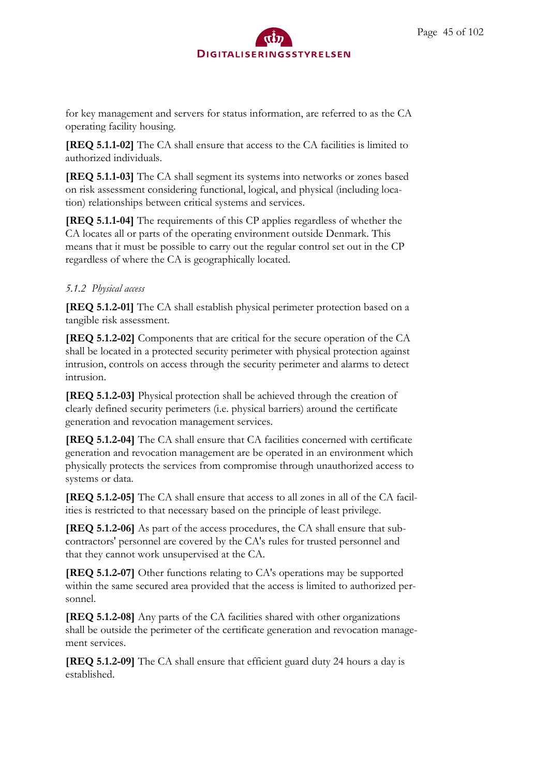for key management and servers for status information, are referred to as the CA operating facility housing.

**[REQ 5.1.1-02]** The CA shall ensure that access to the CA facilities is limited to authorized individuals.

**[REQ 5.1.1-03]** The CA shall segment its systems into networks or zones based on risk assessment considering functional, logical, and physical (including location) relationships between critical systems and services.

**[REQ 5.1.1-04]** The requirements of this CP applies regardless of whether the CA locates all or parts of the operating environment outside Denmark. This means that it must be possible to carry out the regular control set out in the CP regardless of where the CA is geographically located.

## *5.1.2 Physical access*

**[REQ 5.1.2-01]** The CA shall establish physical perimeter protection based on a tangible risk assessment.

**[REQ 5.1.2-02]** Components that are critical for the secure operation of the CA shall be located in a protected security perimeter with physical protection against intrusion, controls on access through the security perimeter and alarms to detect intrusion.

**[REQ 5.1.2-03]** Physical protection shall be achieved through the creation of clearly defined security perimeters (i.e. physical barriers) around the certificate generation and revocation management services.

**[REQ 5.1.2-04]** The CA shall ensure that CA facilities concerned with certificate generation and revocation management are be operated in an environment which physically protects the services from compromise through unauthorized access to systems or data.

**[REQ 5.1.2-05]** The CA shall ensure that access to all zones in all of the CA facilities is restricted to that necessary based on the principle of least privilege.

**[REQ 5.1.2-06]** As part of the access procedures, the CA shall ensure that subcontractors' personnel are covered by the CA's rules for trusted personnel and that they cannot work unsupervised at the CA.

**[REQ 5.1.2-07]** Other functions relating to CA's operations may be supported within the same secured area provided that the access is limited to authorized personnel.

**[REQ 5.1.2-08]** Any parts of the CA facilities shared with other organizations shall be outside the perimeter of the certificate generation and revocation management services.

**[REQ 5.1.2-09]** The CA shall ensure that efficient guard duty 24 hours a day is established.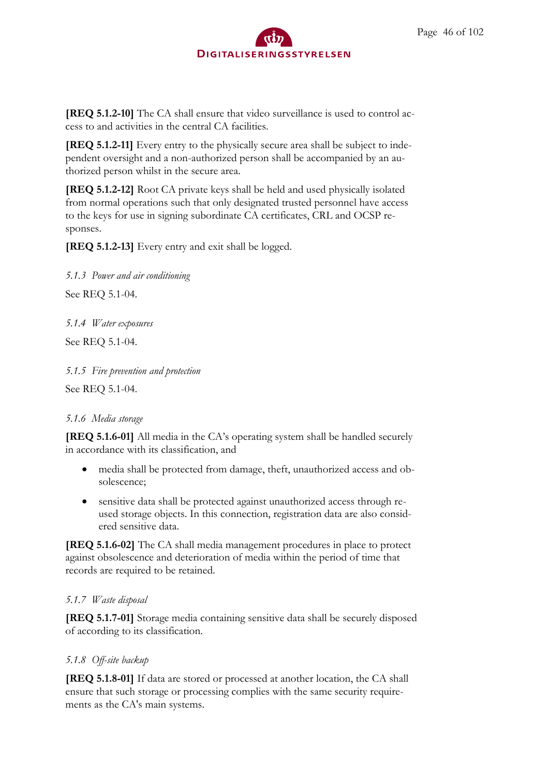

**[REQ 5.1.2-10]** The CA shall ensure that video surveillance is used to control access to and activities in the central CA facilities.

**[REQ 5.1.2-11]** Every entry to the physically secure area shall be subject to independent oversight and a non-authorized person shall be accompanied by an authorized person whilst in the secure area.

**[REQ 5.1.2-12]** Root CA private keys shall be held and used physically isolated from normal operations such that only designated trusted personnel have access to the keys for use in signing subordinate CA certificates, CRL and OCSP responses.

**[REQ 5.1.2-13]** Every entry and exit shall be logged.

*5.1.3 Power and air conditioning*

See REQ 5.1-04.

*5.1.4 Water exposures*

See REQ 5.1-04.

*5.1.5 Fire prevention and protection*

See REQ 5.1-04.

### *5.1.6 Media storage*

**[REQ 5.1.6-01]** All media in the CA's operating system shall be handled securely in accordance with its classification, and

- media shall be protected from damage, theft, unauthorized access and obsolescence;
- sensitive data shall be protected against unauthorized access through reused storage objects. In this connection, registration data are also considered sensitive data.

**[REQ 5.1.6-02]** The CA shall media management procedures in place to protect against obsolescence and deterioration of media within the period of time that records are required to be retained.

### *5.1.7 Waste disposal*

**[REQ 5.1.7-01]** Storage media containing sensitive data shall be securely disposed of according to its classification.

### *5.1.8 Off-site backup*

**[REQ 5.1.8-01]** If data are stored or processed at another location, the CA shall ensure that such storage or processing complies with the same security requirements as the CA's main systems.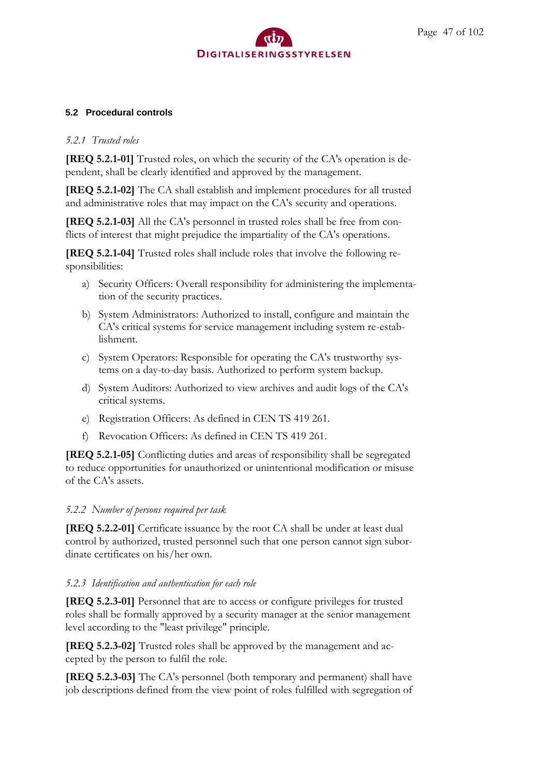### **5.2 Procedural controls**

### *5.2.1 Trusted roles*

**[REQ 5.2.1-01]** Trusted roles, on which the security of the CA's operation is dependent, shall be clearly identified and approved by the management.

**[REQ 5.2.1-02]** The CA shall establish and implement procedures for all trusted and administrative roles that may impact on the CA's security and operations.

**[REQ 5.2.1-03]** All the CA's personnel in trusted roles shall be free from conflicts of interest that might prejudice the impartiality of the CA's operations.

**[REQ 5.2.1-04]** Trusted roles shall include roles that involve the following responsibilities:

- a) Security Officers: Overall responsibility for administering the implementation of the security practices.
- b) System Administrators: Authorized to install, configure and maintain the CA's critical systems for service management including system re-establishment.
- c) System Operators: Responsible for operating the CA's trustworthy systems on a day-to-day basis. Authorized to perform system backup.
- d) System Auditors: Authorized to view archives and audit logs of the CA's critical systems.
- e) Registration Officers: As defined in CEN TS 419 261.
- f) Revocation Officers: As defined in CEN TS 419 261.

**[REQ 5.2.1-05]** Conflicting duties and areas of responsibility shall be segregated to reduce opportunities for unauthorized or unintentional modification or misuse of the CA's assets.

### *5.2.2 Number of persons required per task*

**[REQ 5.2.2-01]** Certificate issuance by the root CA shall be under at least dual control by authorized, trusted personnel such that one person cannot sign subordinate certificates on his/her own.

## *5.2.3 Identification and authentication for each role*

**[REQ 5.2.3-01]** Personnel that are to access or configure privileges for trusted roles shall be formally approved by a security manager at the senior management level according to the "least privilege" principle.

**[REQ 5.2.3-02]** Trusted roles shall be approved by the management and accepted by the person to fulfil the role.

**[REQ 5.2.3-03]** The CA's personnel (both temporary and permanent) shall have job descriptions defined from the view point of roles fulfilled with segregation of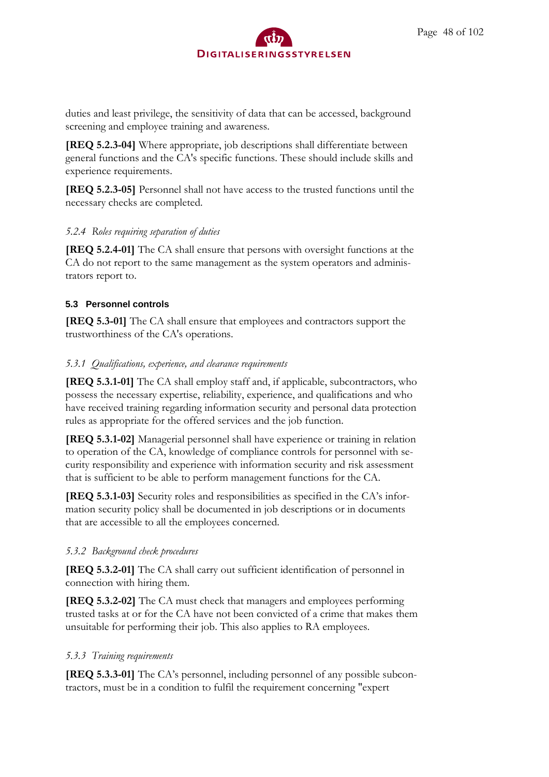

duties and least privilege, the sensitivity of data that can be accessed, background screening and employee training and awareness.

**[REQ 5.2.3-04]** Where appropriate, job descriptions shall differentiate between general functions and the CA's specific functions. These should include skills and experience requirements.

**[REQ 5.2.3-05]** Personnel shall not have access to the trusted functions until the necessary checks are completed.

#### *5.2.4 Roles requiring separation of duties*

**[REQ 5.2.4-01]** The CA shall ensure that persons with oversight functions at the CA do not report to the same management as the system operators and administrators report to.

#### **5.3 Personnel controls**

**[REQ 5.3-01]** The CA shall ensure that employees and contractors support the trustworthiness of the CA's operations.

#### *5.3.1 Qualifications, experience, and clearance requirements*

**[REQ 5.3.1-01]** The CA shall employ staff and, if applicable, subcontractors, who possess the necessary expertise, reliability, experience, and qualifications and who have received training regarding information security and personal data protection rules as appropriate for the offered services and the job function.

**[REQ 5.3.1-02]** Managerial personnel shall have experience or training in relation to operation of the CA, knowledge of compliance controls for personnel with security responsibility and experience with information security and risk assessment that is sufficient to be able to perform management functions for the CA.

**[REQ 5.3.1-03]** Security roles and responsibilities as specified in the CA's information security policy shall be documented in job descriptions or in documents that are accessible to all the employees concerned.

#### *5.3.2 Background check procedures*

**[REQ 5.3.2-01]** The CA shall carry out sufficient identification of personnel in connection with hiring them.

**[REQ 5.3.2-02]** The CA must check that managers and employees performing trusted tasks at or for the CA have not been convicted of a crime that makes them unsuitable for performing their job. This also applies to RA employees.

#### *5.3.3 Training requirements*

**[REQ 5.3.3-01]** The CA's personnel, including personnel of any possible subcontractors, must be in a condition to fulfil the requirement concerning "expert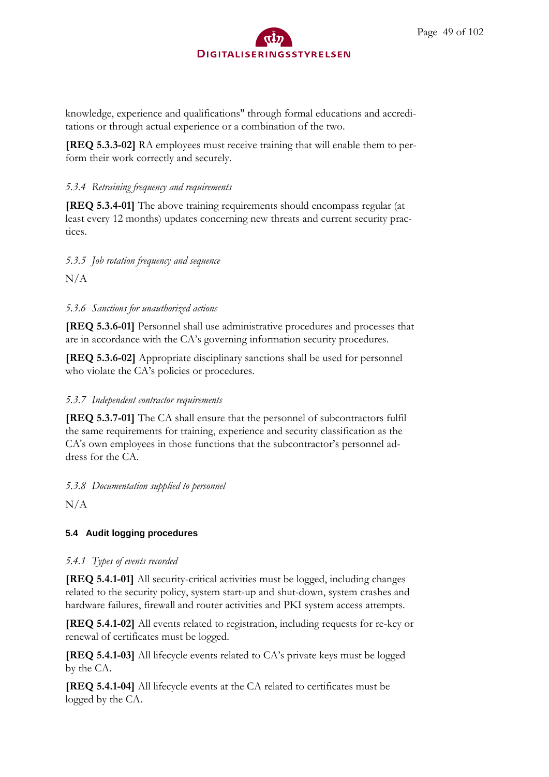knowledge, experience and qualifications" through formal educations and accreditations or through actual experience or a combination of the two.

**[REQ 5.3.3-02]** RA employees must receive training that will enable them to perform their work correctly and securely.

## *5.3.4 Retraining frequency and requirements*

**[REQ 5.3.4-01]** The above training requirements should encompass regular (at least every 12 months) updates concerning new threats and current security practices.

## *5.3.5 Job rotation frequency and sequence*

N/A

## *5.3.6 Sanctions for unauthorized actions*

**[REQ 5.3.6-01]** Personnel shall use administrative procedures and processes that are in accordance with the CA's governing information security procedures.

**[REQ 5.3.6-02]** Appropriate disciplinary sanctions shall be used for personnel who violate the CA's policies or procedures.

## *5.3.7 Independent contractor requirements*

**[REQ 5.3.7-01]** The CA shall ensure that the personnel of subcontractors fulfil the same requirements for training, experience and security classification as the CA's own employees in those functions that the subcontractor's personnel address for the CA.

*5.3.8 Documentation supplied to personnel*

 $N/A$ 

# **5.4 Audit logging procedures**

## *5.4.1 Types of events recorded*

**[REQ 5.4.1-01]** All security-critical activities must be logged, including changes related to the security policy, system start-up and shut-down, system crashes and hardware failures, firewall and router activities and PKI system access attempts.

**[REQ 5.4.1-02]** All events related to registration, including requests for re-key or renewal of certificates must be logged.

**[REQ 5.4.1-03]** All lifecycle events related to CA's private keys must be logged by the CA.

**[REQ 5.4.1-04]** All lifecycle events at the CA related to certificates must be logged by the CA.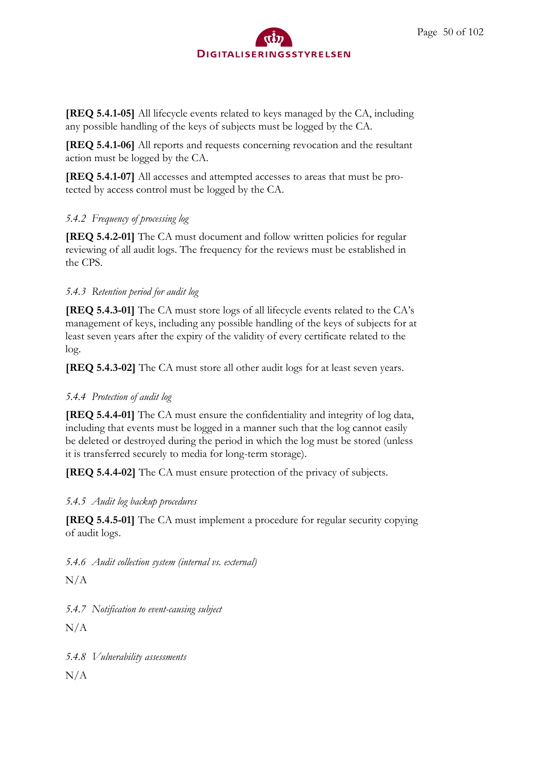**[REQ 5.4.1-05]** All lifecycle events related to keys managed by the CA, including any possible handling of the keys of subjects must be logged by the CA.

**[REQ 5.4.1-06]** All reports and requests concerning revocation and the resultant action must be logged by the CA.

**[REQ 5.4.1-07]** All accesses and attempted accesses to areas that must be protected by access control must be logged by the CA.

## *5.4.2 Frequency of processing log*

**[REQ 5.4.2-01]** The CA must document and follow written policies for regular reviewing of all audit logs. The frequency for the reviews must be established in the CPS.

# *5.4.3 Retention period for audit log*

**[REQ 5.4.3-01]** The CA must store logs of all lifecycle events related to the CA's management of keys, including any possible handling of the keys of subjects for at least seven years after the expiry of the validity of every certificate related to the log.

**[REQ 5.4.3-02]** The CA must store all other audit logs for at least seven years.

# *5.4.4 Protection of audit log*

**[REQ 5.4.4-01]** The CA must ensure the confidentiality and integrity of log data, including that events must be logged in a manner such that the log cannot easily be deleted or destroyed during the period in which the log must be stored (unless it is transferred securely to media for long-term storage).

**[REQ 5.4.4-02]** The CA must ensure protection of the privacy of subjects.

# *5.4.5 Audit log backup procedures*

**[REQ 5.4.5-01]** The CA must implement a procedure for regular security copying of audit logs.

*5.4.6 Audit collection system (internal vs. external)*

 $N/A$ 

*5.4.7 Notification to event-causing subject*

 $N/A$ 

*5.4.8 Vulnerability assessments*

 $N/A$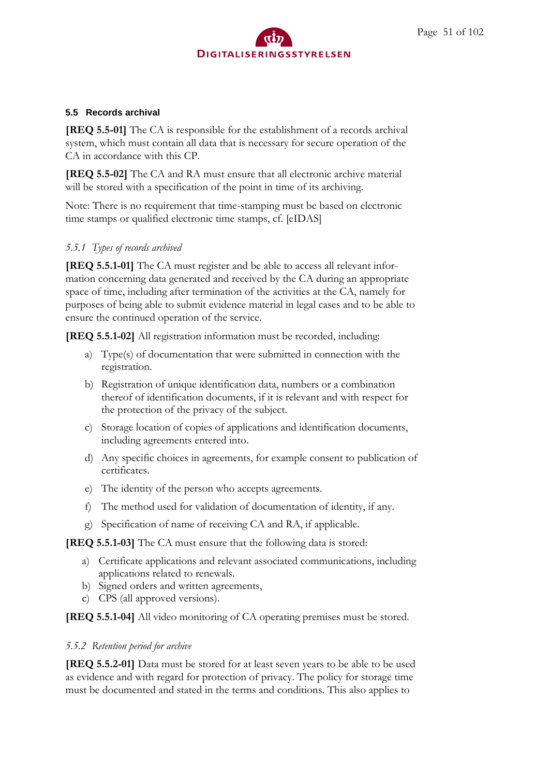### **5.5 Records archival**

**[REQ 5.5-01]** The CA is responsible for the establishment of a records archival system, which must contain all data that is necessary for secure operation of the CA in accordance with this CP.

**[REQ 5.5-02]** The CA and RA must ensure that all electronic archive material will be stored with a specification of the point in time of its archiving.

Note: There is no requirement that time-stamping must be based on electronic time stamps or qualified electronic time stamps, cf. [eIDAS]

## *5.5.1 Types of records archived*

**[REQ 5.5.1-01]** The CA must register and be able to access all relevant information concerning data generated and received by the CA during an appropriate space of time, including after termination of the activities at the CA, namely for purposes of being able to submit evidence material in legal cases and to be able to ensure the continued operation of the service.

**[REQ 5.5.1-02]** All registration information must be recorded, including:

- a) Type(s) of documentation that were submitted in connection with the registration.
- b) Registration of unique identification data, numbers or a combination thereof of identification documents, if it is relevant and with respect for the protection of the privacy of the subject.
- c) Storage location of copies of applications and identification documents, including agreements entered into.
- d) Any specific choices in agreements, for example consent to publication of certificates.
- e) The identity of the person who accepts agreements.
- f) The method used for validation of documentation of identity, if any.
- g) Specification of name of receiving CA and RA, if applicable.

**[REQ 5.5.1-03]** The CA must ensure that the following data is stored:

- a) Certificate applications and relevant associated communications, including applications related to renewals.
- b) Signed orders and written agreements,
- c) CPS (all approved versions).

**[REQ 5.5.1-04]** All video monitoring of CA operating premises must be stored.

### *5.5.2 Retention period for archive*

**[REQ 5.5.2-01]** Data must be stored for at least seven years to be able to be used as evidence and with regard for protection of privacy. The policy for storage time must be documented and stated in the terms and conditions. This also applies to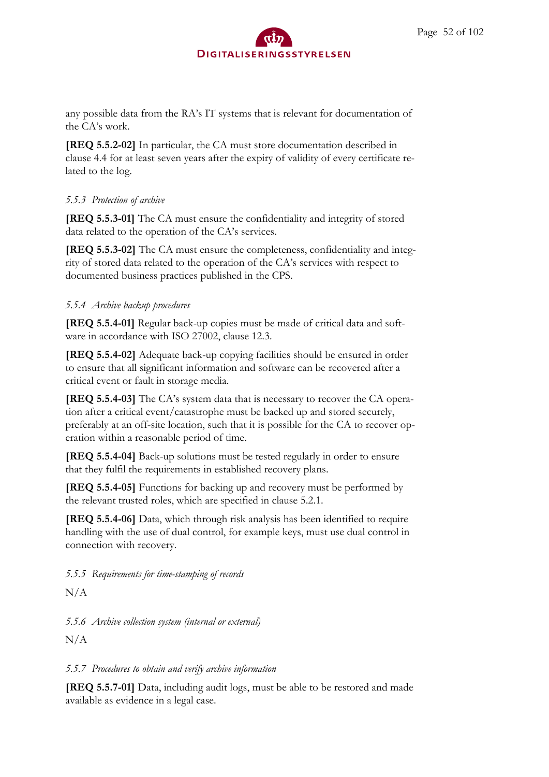any possible data from the RA's IT systems that is relevant for documentation of the CA's work.

**[REQ 5.5.2-02]** In particular, the CA must store documentation described in clause 4.4 for at least seven years after the expiry of validity of every certificate related to the log.

## *5.5.3 Protection of archive*

**[REQ 5.5.3-01]** The CA must ensure the confidentiality and integrity of stored data related to the operation of the CA's services.

**[REQ 5.5.3-02]** The CA must ensure the completeness, confidentiality and integrity of stored data related to the operation of the CA's services with respect to documented business practices published in the CPS.

## *5.5.4 Archive backup procedures*

**[REQ 5.5.4-01]** Regular back-up copies must be made of critical data and software in accordance with ISO 27002, clause 12.3.

**[REQ 5.5.4-02]** Adequate back-up copying facilities should be ensured in order to ensure that all significant information and software can be recovered after a critical event or fault in storage media.

**[REQ 5.5.4-03]** The CA's system data that is necessary to recover the CA operation after a critical event/catastrophe must be backed up and stored securely, preferably at an off-site location, such that it is possible for the CA to recover operation within a reasonable period of time.

**[REQ 5.5.4-04]** Back-up solutions must be tested regularly in order to ensure that they fulfil the requirements in established recovery plans.

**[REQ 5.5.4-05]** Functions for backing up and recovery must be performed by the relevant trusted roles, which are specified in clause 5.2.1.

**[REQ 5.5.4-06]** Data, which through risk analysis has been identified to require handling with the use of dual control, for example keys, must use dual control in connection with recovery.

*5.5.5 Requirements for time-stamping of records*

 $N/A$ 

*5.5.6 Archive collection system (internal or external)*

 $N/A$ 

## *5.5.7 Procedures to obtain and verify archive information*

**[REQ 5.5.7-01]** Data, including audit logs, must be able to be restored and made available as evidence in a legal case.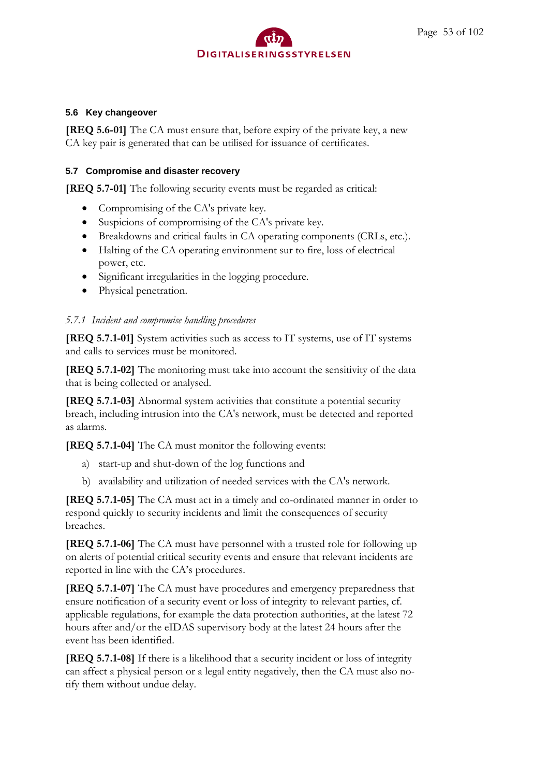### **5.6 Key changeover**

**[REQ 5.6-01]** The CA must ensure that, before expiry of the private key, a new CA key pair is generated that can be utilised for issuance of certificates.

### **5.7 Compromise and disaster recovery**

**[REQ 5.7-01]** The following security events must be regarded as critical:

- Compromising of the CA's private key.
- Suspicions of compromising of the CA's private key.
- Breakdowns and critical faults in CA operating components (CRLs, etc.).
- Halting of the CA operating environment sur to fire, loss of electrical power, etc.
- Significant irregularities in the logging procedure.
- Physical penetration.

### *5.7.1 Incident and compromise handling procedures*

**[REQ 5.7.1-01]** System activities such as access to IT systems, use of IT systems and calls to services must be monitored.

**[REQ 5.7.1-02]** The monitoring must take into account the sensitivity of the data that is being collected or analysed.

**[REQ 5.7.1-03]** Abnormal system activities that constitute a potential security breach, including intrusion into the CA's network, must be detected and reported as alarms.

**[REQ 5.7.1-04]** The CA must monitor the following events:

- a) start-up and shut-down of the log functions and
- b) availability and utilization of needed services with the CA's network.

**[REQ 5.7.1-05]** The CA must act in a timely and co-ordinated manner in order to respond quickly to security incidents and limit the consequences of security breaches.

**[REQ 5.7.1-06]** The CA must have personnel with a trusted role for following up on alerts of potential critical security events and ensure that relevant incidents are reported in line with the CA's procedures.

**[REQ 5.7.1-07]** The CA must have procedures and emergency preparedness that ensure notification of a security event or loss of integrity to relevant parties, cf. applicable regulations, for example the data protection authorities, at the latest 72 hours after and/or the eIDAS supervisory body at the latest 24 hours after the event has been identified.

**[REQ 5.7.1-08]** If there is a likelihood that a security incident or loss of integrity can affect a physical person or a legal entity negatively, then the CA must also notify them without undue delay.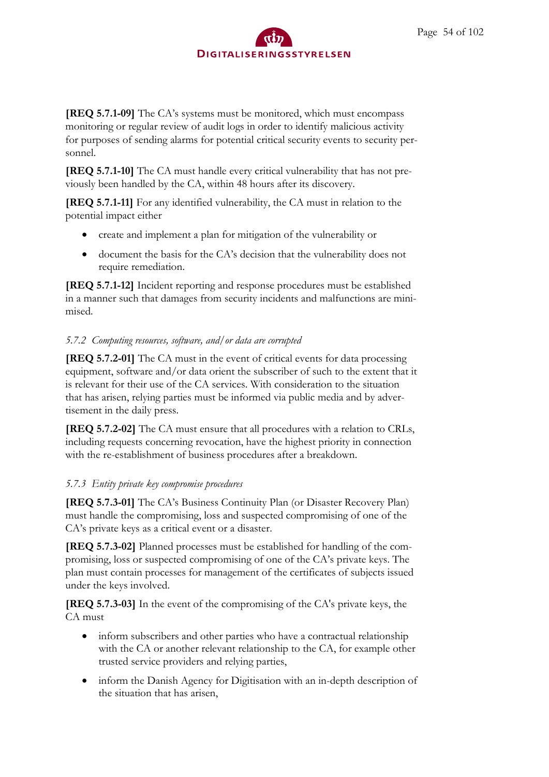**[REQ 5.7.1-09]** The CA's systems must be monitored, which must encompass monitoring or regular review of audit logs in order to identify malicious activity for purposes of sending alarms for potential critical security events to security personnel.

**[REQ 5.7.1-10]** The CA must handle every critical vulnerability that has not previously been handled by the CA, within 48 hours after its discovery.

**[REQ 5.7.1-11]** For any identified vulnerability, the CA must in relation to the potential impact either

- create and implement a plan for mitigation of the vulnerability or
- document the basis for the CA's decision that the vulnerability does not require remediation.

**[REQ 5.7.1-12]** Incident reporting and response procedures must be established in a manner such that damages from security incidents and malfunctions are minimised.

# *5.7.2 Computing resources, software, and/or data are corrupted*

**[REQ 5.7.2-01]** The CA must in the event of critical events for data processing equipment, software and/or data orient the subscriber of such to the extent that it is relevant for their use of the CA services. With consideration to the situation that has arisen, relying parties must be informed via public media and by advertisement in the daily press.

**[REQ 5.7.2-02]** The CA must ensure that all procedures with a relation to CRLs, including requests concerning revocation, have the highest priority in connection with the re-establishment of business procedures after a breakdown.

## *5.7.3 Entity private key compromise procedures*

**[REQ 5.7.3-01]** The CA's Business Continuity Plan (or Disaster Recovery Plan) must handle the compromising, loss and suspected compromising of one of the CA's private keys as a critical event or a disaster.

**[REQ 5.7.3-02]** Planned processes must be established for handling of the compromising, loss or suspected compromising of one of the CA's private keys. The plan must contain processes for management of the certificates of subjects issued under the keys involved.

**[REQ 5.7.3-03]** In the event of the compromising of the CA's private keys, the CA must

- inform subscribers and other parties who have a contractual relationship with the CA or another relevant relationship to the CA, for example other trusted service providers and relying parties,
- inform the Danish Agency for Digitisation with an in-depth description of the situation that has arisen,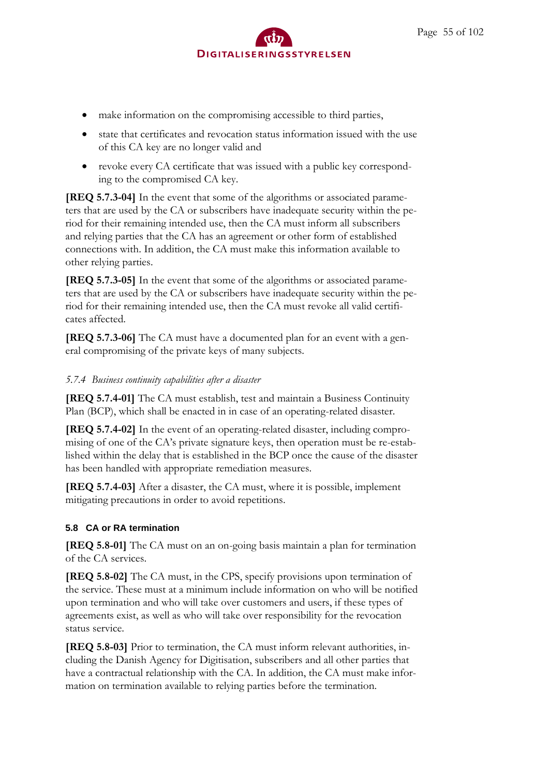- make information on the compromising accessible to third parties,
- state that certificates and revocation status information issued with the use of this CA key are no longer valid and
- revoke every CA certificate that was issued with a public key corresponding to the compromised CA key.

**[REQ 5.7.3-04]** In the event that some of the algorithms or associated parameters that are used by the CA or subscribers have inadequate security within the period for their remaining intended use, then the CA must inform all subscribers and relying parties that the CA has an agreement or other form of established connections with. In addition, the CA must make this information available to other relying parties.

**[REQ 5.7.3-05]** In the event that some of the algorithms or associated parameters that are used by the CA or subscribers have inadequate security within the period for their remaining intended use, then the CA must revoke all valid certificates affected.

**[REQ 5.7.3-06]** The CA must have a documented plan for an event with a general compromising of the private keys of many subjects.

## *5.7.4 Business continuity capabilities after a disaster*

**[REQ 5.7.4-01]** The CA must establish, test and maintain a Business Continuity Plan (BCP), which shall be enacted in in case of an operating-related disaster.

**[REQ 5.7.4-02]** In the event of an operating-related disaster, including compromising of one of the CA's private signature keys, then operation must be re-established within the delay that is established in the BCP once the cause of the disaster has been handled with appropriate remediation measures.

**[REQ 5.7.4-03]** After a disaster, the CA must, where it is possible, implement mitigating precautions in order to avoid repetitions.

## **5.8 CA or RA termination**

**[REQ 5.8-01]** The CA must on an on-going basis maintain a plan for termination of the CA services.

**[REQ 5.8-02]** The CA must, in the CPS, specify provisions upon termination of the service. These must at a minimum include information on who will be notified upon termination and who will take over customers and users, if these types of agreements exist, as well as who will take over responsibility for the revocation status service.

**[REQ 5.8-03]** Prior to termination, the CA must inform relevant authorities, including the Danish Agency for Digitisation, subscribers and all other parties that have a contractual relationship with the CA. In addition, the CA must make information on termination available to relying parties before the termination.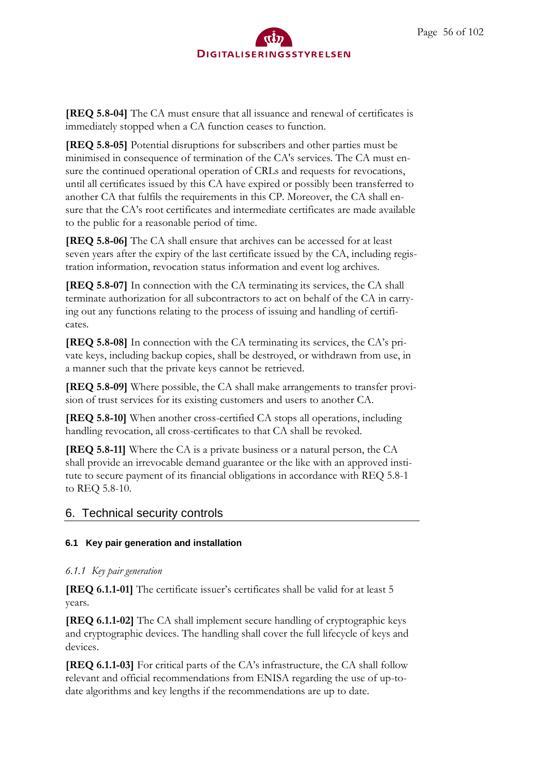

**[REQ 5.8-04]** The CA must ensure that all issuance and renewal of certificates is immediately stopped when a CA function ceases to function.

**[REQ 5.8-05]** Potential disruptions for subscribers and other parties must be minimised in consequence of termination of the CA's services. The CA must ensure the continued operational operation of CRLs and requests for revocations, until all certificates issued by this CA have expired or possibly been transferred to another CA that fulfils the requirements in this CP. Moreover, the CA shall ensure that the CA's root certificates and intermediate certificates are made available to the public for a reasonable period of time.

**[REQ 5.8-06]** The CA shall ensure that archives can be accessed for at least seven years after the expiry of the last certificate issued by the CA, including registration information, revocation status information and event log archives.

**[REQ 5.8-07]** In connection with the CA terminating its services, the CA shall terminate authorization for all subcontractors to act on behalf of the CA in carrying out any functions relating to the process of issuing and handling of certificates.

**[REQ 5.8-08]** In connection with the CA terminating its services, the CA's private keys, including backup copies, shall be destroyed, or withdrawn from use, in a manner such that the private keys cannot be retrieved.

**[REQ 5.8-09]** Where possible, the CA shall make arrangements to transfer provision of trust services for its existing customers and users to another CA.

**[REQ 5.8-10]** When another cross-certified CA stops all operations, including handling revocation, all cross-certificates to that CA shall be revoked.

**[REQ 5.8-11]** Where the CA is a private business or a natural person, the CA shall provide an irrevocable demand guarantee or the like with an approved institute to secure payment of its financial obligations in accordance with REQ 5.8-1 to REQ 5.8-10.

## 6. Technical security controls

#### **6.1 Key pair generation and installation**

#### *6.1.1 Key pair generation*

**[REQ 6.1.1-01]** The certificate issuer's certificates shall be valid for at least 5 years.

**[REQ 6.1.1-02]** The CA shall implement secure handling of cryptographic keys and cryptographic devices. The handling shall cover the full lifecycle of keys and devices.

**[REQ 6.1.1-03]** For critical parts of the CA's infrastructure, the CA shall follow relevant and official recommendations from ENISA regarding the use of up-todate algorithms and key lengths if the recommendations are up to date.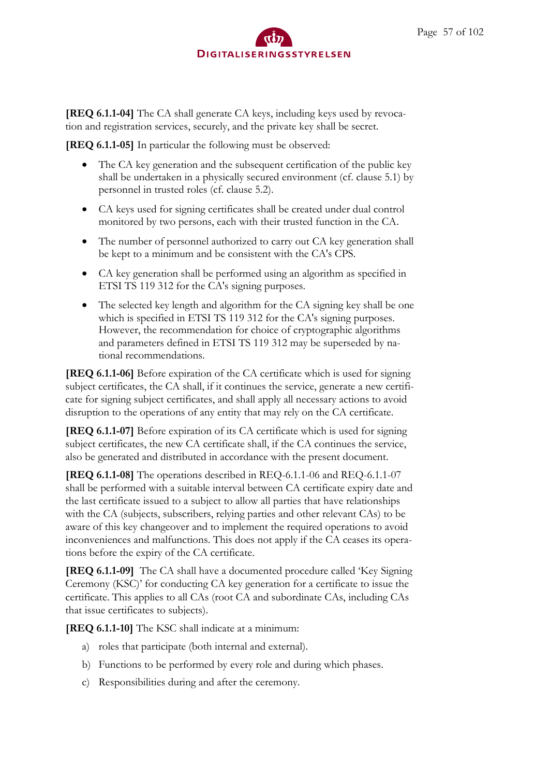

**[REQ 6.1.1-04]** The CA shall generate CA keys, including keys used by revocation and registration services, securely, and the private key shall be secret.

**[REQ 6.1.1-05]** In particular the following must be observed:

- The CA key generation and the subsequent certification of the public key shall be undertaken in a physically secured environment (cf. clause 5.1) by personnel in trusted roles (cf. clause 5.2).
- CA keys used for signing certificates shall be created under dual control monitored by two persons, each with their trusted function in the CA.
- The number of personnel authorized to carry out CA key generation shall be kept to a minimum and be consistent with the CA's CPS.
- CA key generation shall be performed using an algorithm as specified in ETSI TS 119 312 for the CA's signing purposes.
- The selected key length and algorithm for the CA signing key shall be one which is specified in ETSI TS 119 312 for the CA's signing purposes. However, the recommendation for choice of cryptographic algorithms and parameters defined in ETSI TS 119 312 may be superseded by national recommendations.

**[REQ 6.1.1-06]** Before expiration of the CA certificate which is used for signing subject certificates, the CA shall, if it continues the service, generate a new certificate for signing subject certificates, and shall apply all necessary actions to avoid disruption to the operations of any entity that may rely on the CA certificate.

**[REQ 6.1.1-07]** Before expiration of its CA certificate which is used for signing subject certificates, the new CA certificate shall, if the CA continues the service, also be generated and distributed in accordance with the present document.

**[REQ 6.1.1-08]** The operations described in REQ-6.1.1-06 and REQ-6.1.1-07 shall be performed with a suitable interval between CA certificate expiry date and the last certificate issued to a subject to allow all parties that have relationships with the CA (subjects, subscribers, relying parties and other relevant CAs) to be aware of this key changeover and to implement the required operations to avoid inconveniences and malfunctions. This does not apply if the CA ceases its operations before the expiry of the CA certificate.

**[REQ 6.1.1-09]** The CA shall have a documented procedure called 'Key Signing Ceremony (KSC)' for conducting CA key generation for a certificate to issue the certificate. This applies to all CAs (root CA and subordinate CAs, including CAs that issue certificates to subjects).

**[REQ 6.1.1-10]** The KSC shall indicate at a minimum:

- a) roles that participate (both internal and external).
- b) Functions to be performed by every role and during which phases.
- c) Responsibilities during and after the ceremony.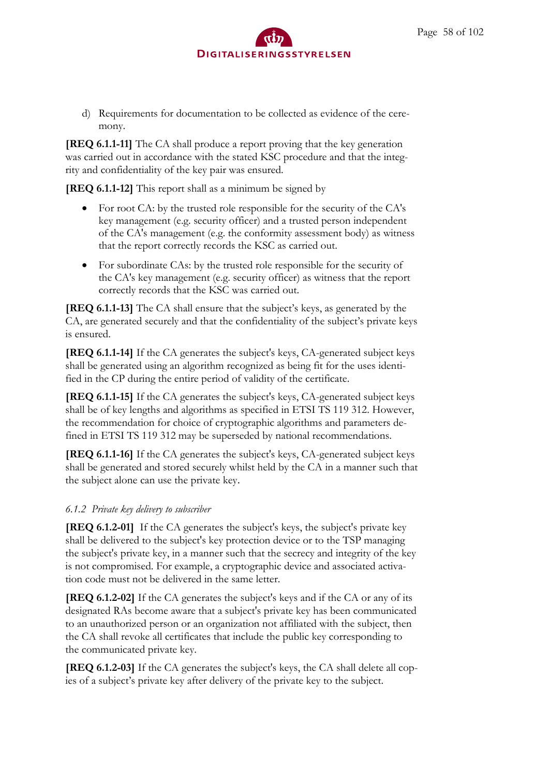d) Requirements for documentation to be collected as evidence of the ceremony.

**[REQ 6.1.1-11]** The CA shall produce a report proving that the key generation was carried out in accordance with the stated KSC procedure and that the integrity and confidentiality of the key pair was ensured.

**[REQ 6.1.1-12]** This report shall as a minimum be signed by

- For root CA: by the trusted role responsible for the security of the CA's key management (e.g. security officer) and a trusted person independent of the CA's management (e.g. the conformity assessment body) as witness that the report correctly records the KSC as carried out.
- For subordinate CAs: by the trusted role responsible for the security of the CA's key management (e.g. security officer) as witness that the report correctly records that the KSC was carried out.

**[REQ 6.1.1-13]** The CA shall ensure that the subject's keys, as generated by the CA, are generated securely and that the confidentiality of the subject's private keys is ensured.

**[REQ 6.1.1-14]** If the CA generates the subject's keys, CA-generated subject keys shall be generated using an algorithm recognized as being fit for the uses identified in the CP during the entire period of validity of the certificate.

**[REQ 6.1.1-15]** If the CA generates the subject's keys, CA-generated subject keys shall be of key lengths and algorithms as specified in ETSI TS 119 312. However, the recommendation for choice of cryptographic algorithms and parameters defined in ETSI TS 119 312 may be superseded by national recommendations.

**[REQ 6.1.1-16]** If the CA generates the subject's keys, CA-generated subject keys shall be generated and stored securely whilst held by the CA in a manner such that the subject alone can use the private key.

## *6.1.2 Private key delivery to subscriber*

**[REQ 6.1.2-01]** If the CA generates the subject's keys, the subject's private key shall be delivered to the subject's key protection device or to the TSP managing the subject's private key, in a manner such that the secrecy and integrity of the key is not compromised. For example, a cryptographic device and associated activation code must not be delivered in the same letter.

**[REQ 6.1.2-02]** If the CA generates the subject's keys and if the CA or any of its designated RAs become aware that a subject's private key has been communicated to an unauthorized person or an organization not affiliated with the subject, then the CA shall revoke all certificates that include the public key corresponding to the communicated private key.

**[REQ 6.1.2-03]** If the CA generates the subject's keys, the CA shall delete all copies of a subject's private key after delivery of the private key to the subject.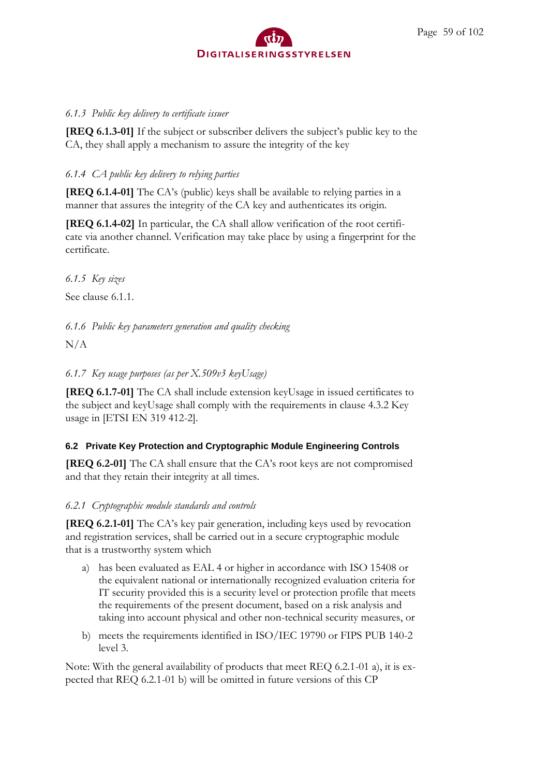

### *6.1.3 Public key delivery to certificate issuer*

**[REQ 6.1.3-01]** If the subject or subscriber delivers the subject's public key to the CA, they shall apply a mechanism to assure the integrity of the key

## *6.1.4 CA public key delivery to relying parties*

**[REQ 6.1.4-01]** The CA's (public) keys shall be available to relying parties in a manner that assures the integrity of the CA key and authenticates its origin.

**[REQ 6.1.4-02]** In particular, the CA shall allow verification of the root certificate via another channel. Verification may take place by using a fingerprint for the certificate.

*6.1.5 Key sizes*

See clause 6.1.1.

*6.1.6 Public key parameters generation and quality checking*

 $N/A$ 

*6.1.7 Key usage purposes (as per X.509v3 keyUsage)*

**[REQ 6.1.7-01]** The CA shall include extension keyUsage in issued certificates to the subject and keyUsage shall comply with the requirements in clause 4.3.2 Key usage in [ETSI EN 319 412-2].

## **6.2 Private Key Protection and Cryptographic Module Engineering Controls**

**[REQ 6.2-01]** The CA shall ensure that the CA's root keys are not compromised and that they retain their integrity at all times.

*6.2.1 Cryptographic module standards and controls*

**[REQ 6.2.1-01]** The CA's key pair generation, including keys used by revocation and registration services, shall be carried out in a secure cryptographic module that is a trustworthy system which

- a) has been evaluated as EAL 4 or higher in accordance with ISO 15408 or the equivalent national or internationally recognized evaluation criteria for IT security provided this is a security level or protection profile that meets the requirements of the present document, based on a risk analysis and taking into account physical and other non-technical security measures, or
- b) meets the requirements identified in ISO/IEC 19790 or FIPS PUB 140-2 level 3.

Note: With the general availability of products that meet REQ 6.2.1-01 a), it is expected that REQ 6.2.1-01 b) will be omitted in future versions of this CP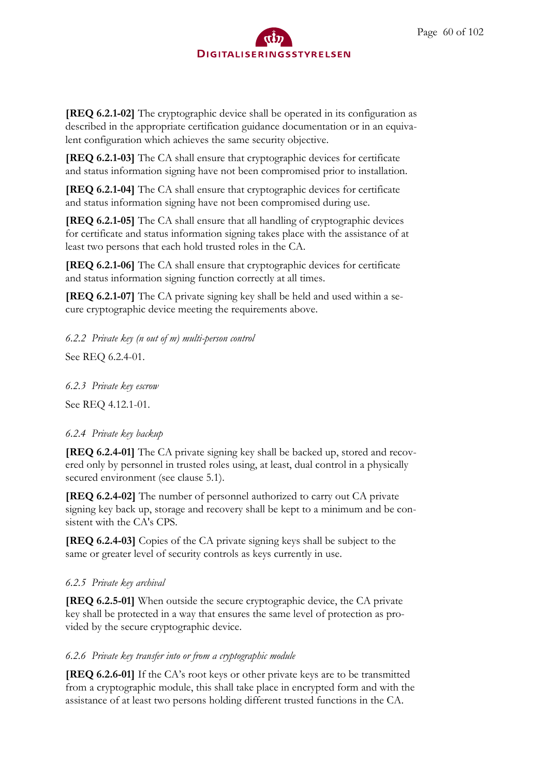**[REQ 6.2.1-02]** The cryptographic device shall be operated in its configuration as described in the appropriate certification guidance documentation or in an equivalent configuration which achieves the same security objective.

**[REQ 6.2.1-03]** The CA shall ensure that cryptographic devices for certificate and status information signing have not been compromised prior to installation.

**[REQ 6.2.1-04]** The CA shall ensure that cryptographic devices for certificate and status information signing have not been compromised during use.

**[REQ 6.2.1-05]** The CA shall ensure that all handling of cryptographic devices for certificate and status information signing takes place with the assistance of at least two persons that each hold trusted roles in the CA.

**[REQ 6.2.1-06]** The CA shall ensure that cryptographic devices for certificate and status information signing function correctly at all times.

**[REQ 6.2.1-07]** The CA private signing key shall be held and used within a secure cryptographic device meeting the requirements above.

*6.2.2 Private key (n out of m) multi-person control* See REQ 6.2.4-01.

*6.2.3 Private key escrow*

See REQ 4.12.1-01.

# *6.2.4 Private key backup*

**[REQ 6.2.4-01]** The CA private signing key shall be backed up, stored and recovered only by personnel in trusted roles using, at least, dual control in a physically secured environment (see clause 5.1).

**[REQ 6.2.4-02]** The number of personnel authorized to carry out CA private signing key back up, storage and recovery shall be kept to a minimum and be consistent with the CA's CPS.

**[REQ 6.2.4-03]** Copies of the CA private signing keys shall be subject to the same or greater level of security controls as keys currently in use.

# *6.2.5 Private key archival*

**[REQ 6.2.5-01]** When outside the secure cryptographic device, the CA private key shall be protected in a way that ensures the same level of protection as provided by the secure cryptographic device.

## *6.2.6 Private key transfer into or from a cryptographic module*

**[REQ 6.2.6-01]** If the CA's root keys or other private keys are to be transmitted from a cryptographic module, this shall take place in encrypted form and with the assistance of at least two persons holding different trusted functions in the CA.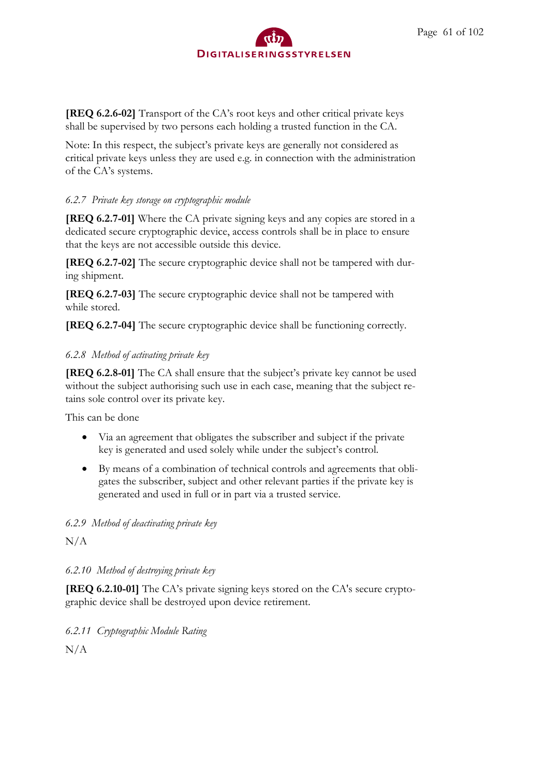

**[REQ 6.2.6-02]** Transport of the CA's root keys and other critical private keys shall be supervised by two persons each holding a trusted function in the CA.

Note: In this respect, the subject's private keys are generally not considered as critical private keys unless they are used e.g. in connection with the administration of the CA's systems.

## *6.2.7 Private key storage on cryptographic module*

**[REQ 6.2.7-01]** Where the CA private signing keys and any copies are stored in a dedicated secure cryptographic device, access controls shall be in place to ensure that the keys are not accessible outside this device.

**[REQ 6.2.7-02]** The secure cryptographic device shall not be tampered with during shipment.

**[REQ 6.2.7-03]** The secure cryptographic device shall not be tampered with while stored.

**[REQ 6.2.7-04]** The secure cryptographic device shall be functioning correctly.

## *6.2.8 Method of activating private key*

**[REQ 6.2.8-01]** The CA shall ensure that the subject's private key cannot be used without the subject authorising such use in each case, meaning that the subject retains sole control over its private key.

This can be done

- Via an agreement that obligates the subscriber and subject if the private key is generated and used solely while under the subject's control.
- By means of a combination of technical controls and agreements that obligates the subscriber, subject and other relevant parties if the private key is generated and used in full or in part via a trusted service.

## *6.2.9 Method of deactivating private key*

 $N/A$ 

## *6.2.10 Method of destroying private key*

**[REQ 6.2.10-01]** The CA's private signing keys stored on the CA's secure cryptographic device shall be destroyed upon device retirement.

*6.2.11 Cryptographic Module Rating*

N/A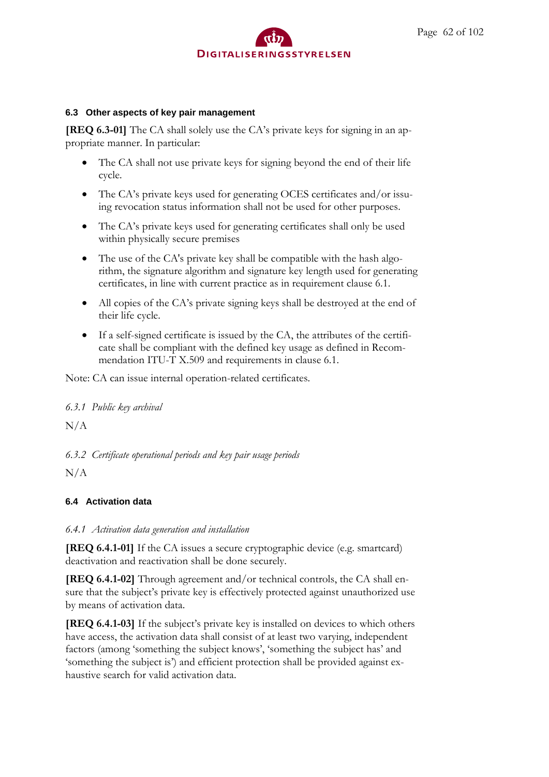

#### **6.3 Other aspects of key pair management**

**[REQ 6.3-01]** The CA shall solely use the CA's private keys for signing in an appropriate manner. In particular:

- The CA shall not use private keys for signing beyond the end of their life cycle.
- The CA's private keys used for generating OCES certificates and/or issuing revocation status information shall not be used for other purposes.
- The CA's private keys used for generating certificates shall only be used within physically secure premises
- The use of the CA's private key shall be compatible with the hash algorithm, the signature algorithm and signature key length used for generating certificates, in line with current practice as in requirement clause 6.1.
- All copies of the CA's private signing keys shall be destroyed at the end of their life cycle.
- If a self-signed certificate is issued by the CA, the attributes of the certificate shall be compliant with the defined key usage as defined in Recommendation ITU-T X.509 and requirements in clause 6.1.

Note: CA can issue internal operation-related certificates.

### *6.3.1 Public key archival*

 $N/A$ 

*6.3.2 Certificate operational periods and key pair usage periods*

N/A

## **6.4 Activation data**

### *6.4.1 Activation data generation and installation*

**[REQ 6.4.1-01]** If the CA issues a secure cryptographic device (e.g. smartcard) deactivation and reactivation shall be done securely.

**[REQ 6.4.1-02]** Through agreement and/or technical controls, the CA shall ensure that the subject's private key is effectively protected against unauthorized use by means of activation data.

**[REQ 6.4.1-03]** If the subject's private key is installed on devices to which others have access, the activation data shall consist of at least two varying, independent factors (among 'something the subject knows', 'something the subject has' and 'something the subject is') and efficient protection shall be provided against exhaustive search for valid activation data.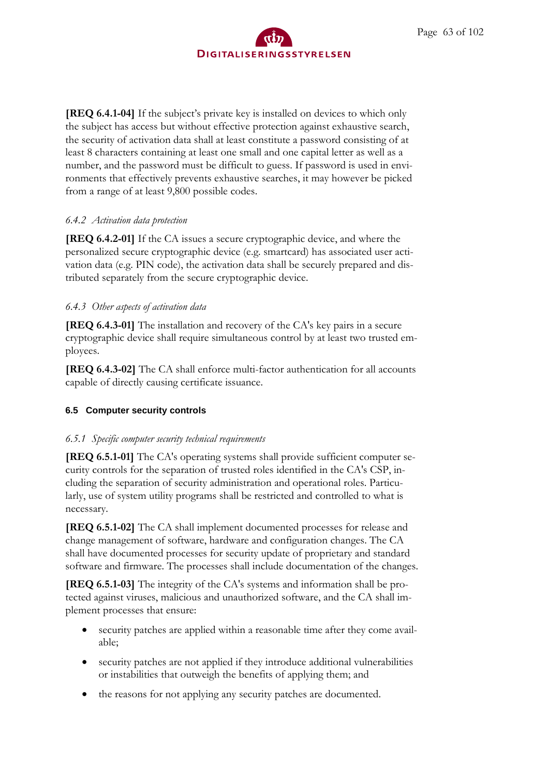

**[REQ 6.4.1-04]** If the subject's private key is installed on devices to which only the subject has access but without effective protection against exhaustive search, the security of activation data shall at least constitute a password consisting of at least 8 characters containing at least one small and one capital letter as well as a number, and the password must be difficult to guess. If password is used in environments that effectively prevents exhaustive searches, it may however be picked from a range of at least 9,800 possible codes.

### *6.4.2 Activation data protection*

**[REQ 6.4.2-01]** If the CA issues a secure cryptographic device, and where the personalized secure cryptographic device (e.g. smartcard) has associated user activation data (e.g. PIN code), the activation data shall be securely prepared and distributed separately from the secure cryptographic device.

### *6.4.3 Other aspects of activation data*

**[REQ 6.4.3-01]** The installation and recovery of the CA's key pairs in a secure cryptographic device shall require simultaneous control by at least two trusted employees.

**[REQ 6.4.3-02]** The CA shall enforce multi-factor authentication for all accounts capable of directly causing certificate issuance.

## **6.5 Computer security controls**

### *6.5.1 Specific computer security technical requirements*

**[REQ 6.5.1-01]** The CA's operating systems shall provide sufficient computer security controls for the separation of trusted roles identified in the CA's CSP, including the separation of security administration and operational roles. Particularly, use of system utility programs shall be restricted and controlled to what is necessary.

**[REQ 6.5.1-02]** The CA shall implement documented processes for release and change management of software, hardware and configuration changes. The CA shall have documented processes for security update of proprietary and standard software and firmware. The processes shall include documentation of the changes.

**[REQ 6.5.1-03]** The integrity of the CA's systems and information shall be protected against viruses, malicious and unauthorized software, and the CA shall implement processes that ensure:

- security patches are applied within a reasonable time after they come available;
- security patches are not applied if they introduce additional vulnerabilities or instabilities that outweigh the benefits of applying them; and
- the reasons for not applying any security patches are documented.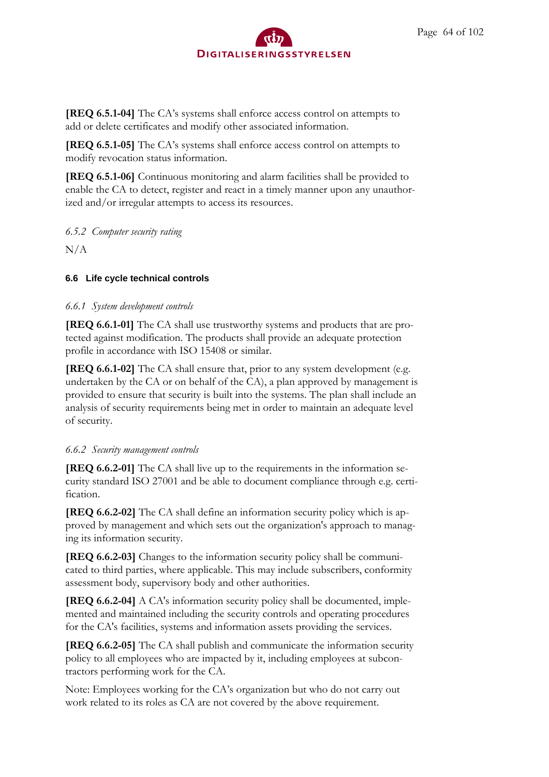**[REQ 6.5.1-04]** The CA's systems shall enforce access control on attempts to add or delete certificates and modify other associated information.

**[REQ 6.5.1-05]** The CA's systems shall enforce access control on attempts to modify revocation status information.

**[REQ 6.5.1-06]** Continuous monitoring and alarm facilities shall be provided to enable the CA to detect, register and react in a timely manner upon any unauthorized and/or irregular attempts to access its resources.

*6.5.2 Computer security rating*

 $N/A$ 

## **6.6 Life cycle technical controls**

## *6.6.1 System development controls*

**[REQ 6.6.1-01]** The CA shall use trustworthy systems and products that are protected against modification. The products shall provide an adequate protection profile in accordance with ISO 15408 or similar.

**[REQ 6.6.1-02]** The CA shall ensure that, prior to any system development (e.g. undertaken by the CA or on behalf of the CA), a plan approved by management is provided to ensure that security is built into the systems. The plan shall include an analysis of security requirements being met in order to maintain an adequate level of security.

## *6.6.2 Security management controls*

**[REQ 6.6.2-01]** The CA shall live up to the requirements in the information security standard ISO 27001 and be able to document compliance through e.g. certification.

**[REQ 6.6.2-02]** The CA shall define an information security policy which is approved by management and which sets out the organization's approach to managing its information security.

**[REQ 6.6.2-03]** Changes to the information security policy shall be communicated to third parties, where applicable. This may include subscribers, conformity assessment body, supervisory body and other authorities.

**[REQ 6.6.2-04]** A CA's information security policy shall be documented, implemented and maintained including the security controls and operating procedures for the CA's facilities, systems and information assets providing the services.

**[REQ 6.6.2-05]** The CA shall publish and communicate the information security policy to all employees who are impacted by it, including employees at subcontractors performing work for the CA.

Note: Employees working for the CA's organization but who do not carry out work related to its roles as CA are not covered by the above requirement.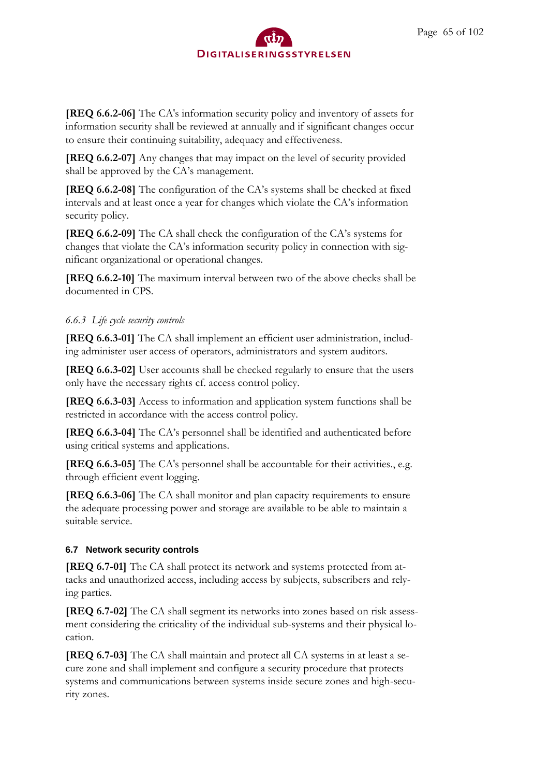**[REQ 6.6.2-06]** The CA's information security policy and inventory of assets for information security shall be reviewed at annually and if significant changes occur to ensure their continuing suitability, adequacy and effectiveness.

**[REQ 6.6.2-07]** Any changes that may impact on the level of security provided shall be approved by the CA's management.

**[REQ 6.6.2-08]** The configuration of the CA's systems shall be checked at fixed intervals and at least once a year for changes which violate the CA's information security policy.

**[REQ 6.6.2-09]** The CA shall check the configuration of the CA's systems for changes that violate the CA's information security policy in connection with significant organizational or operational changes.

**[REQ 6.6.2-10]** The maximum interval between two of the above checks shall be documented in CPS

## *6.6.3 Life cycle security controls*

**[REQ 6.6.3-01]** The CA shall implement an efficient user administration, including administer user access of operators, administrators and system auditors.

**[REQ 6.6.3-02]** User accounts shall be checked regularly to ensure that the users only have the necessary rights cf. access control policy.

**[REQ 6.6.3-03]** Access to information and application system functions shall be restricted in accordance with the access control policy.

**[REQ 6.6.3-04]** The CA's personnel shall be identified and authenticated before using critical systems and applications.

**[REQ 6.6.3-05]** The CA's personnel shall be accountable for their activities., e.g. through efficient event logging.

**[REQ 6.6.3-06]** The CA shall monitor and plan capacity requirements to ensure the adequate processing power and storage are available to be able to maintain a suitable service.

# **6.7 Network security controls**

**[REQ 6.7-01]** The CA shall protect its network and systems protected from attacks and unauthorized access, including access by subjects, subscribers and relying parties.

**[REQ 6.7-02]** The CA shall segment its networks into zones based on risk assessment considering the criticality of the individual sub-systems and their physical location.

**[REQ 6.7-03]** The CA shall maintain and protect all CA systems in at least a secure zone and shall implement and configure a security procedure that protects systems and communications between systems inside secure zones and high-security zones.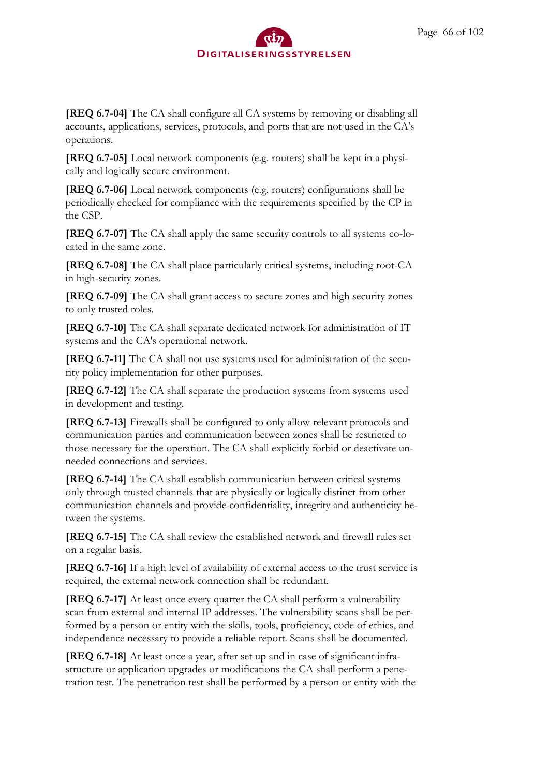**[REQ 6.7-04]** The CA shall configure all CA systems by removing or disabling all accounts, applications, services, protocols, and ports that are not used in the CA's operations.

**[REQ 6.7-05]** Local network components (e.g. routers) shall be kept in a physically and logically secure environment.

**[REQ 6.7-06]** Local network components (e.g. routers) configurations shall be periodically checked for compliance with the requirements specified by the CP in the CSP.

**[REQ 6.7-07]** The CA shall apply the same security controls to all systems co-located in the same zone.

**[REQ 6.7-08]** The CA shall place particularly critical systems, including root-CA in high-security zones.

**[REQ 6.7-09]** The CA shall grant access to secure zones and high security zones to only trusted roles.

**[REQ 6.7-10]** The CA shall separate dedicated network for administration of IT systems and the CA's operational network.

**[REQ 6.7-11]** The CA shall not use systems used for administration of the security policy implementation for other purposes.

**[REQ 6.7-12]** The CA shall separate the production systems from systems used in development and testing.

**[REQ 6.7-13]** Firewalls shall be configured to only allow relevant protocols and communication parties and communication between zones shall be restricted to those necessary for the operation. The CA shall explicitly forbid or deactivate unneeded connections and services.

**[REQ 6.7-14]** The CA shall establish communication between critical systems only through trusted channels that are physically or logically distinct from other communication channels and provide confidentiality, integrity and authenticity between the systems.

**[REQ 6.7-15]** The CA shall review the established network and firewall rules set on a regular basis.

**[REQ 6.7-16]** If a high level of availability of external access to the trust service is required, the external network connection shall be redundant.

**[REQ 6.7-17]** At least once every quarter the CA shall perform a vulnerability scan from external and internal IP addresses. The vulnerability scans shall be performed by a person or entity with the skills, tools, proficiency, code of ethics, and independence necessary to provide a reliable report. Scans shall be documented.

**[REQ 6.7-18]** At least once a year, after set up and in case of significant infrastructure or application upgrades or modifications the CA shall perform a penetration test. The penetration test shall be performed by a person or entity with the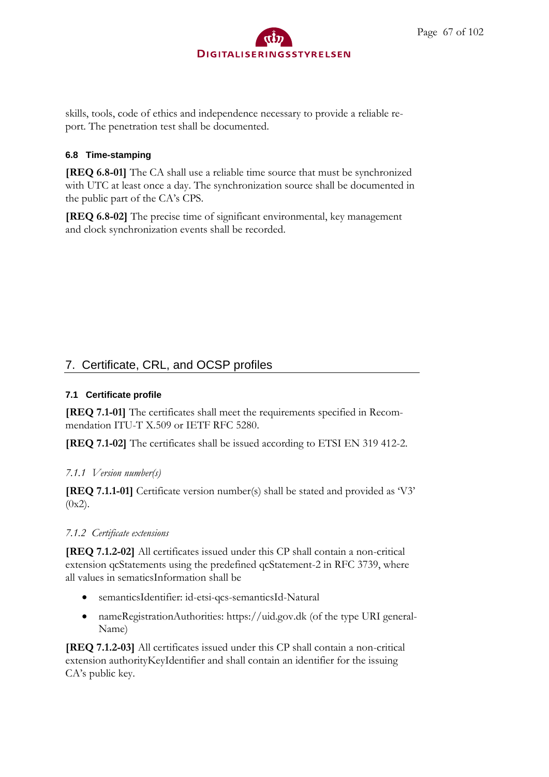

skills, tools, code of ethics and independence necessary to provide a reliable report. The penetration test shall be documented.

### **6.8 Time-stamping**

**[REQ 6.8-01]** The CA shall use a reliable time source that must be synchronized with UTC at least once a day. The synchronization source shall be documented in the public part of the CA's CPS.

**[REQ 6.8-02]** The precise time of significant environmental, key management and clock synchronization events shall be recorded.

# 7. Certificate, CRL, and OCSP profiles

## **7.1 Certificate profile**

**[REQ 7.1-01]** The certificates shall meet the requirements specified in Recommendation ITU-T X.509 or IETF RFC 5280.

**[REQ 7.1-02]** The certificates shall be issued according to ETSI EN 319 412-2.

## *7.1.1 Version number(s)*

**[REQ 7.1.1-01]** Certificate version number(s) shall be stated and provided as 'V3'  $(0x2)$ .

## *7.1.2 Certificate extensions*

**[REQ 7.1.2-02]** All certificates issued under this CP shall contain a non-critical extension qcStatements using the predefined qcStatement-2 in RFC 3739, where all values in sematicsInformation shall be

- semanticsIdentifier: id-etsi-qcs-semanticsId-Natural
- nameRegistrationAuthorities: https://uid.gov.dk (of the type URI general-Name)

**[REQ 7.1.2-03]** All certificates issued under this CP shall contain a non-critical extension authorityKeyIdentifier and shall contain an identifier for the issuing CA's public key.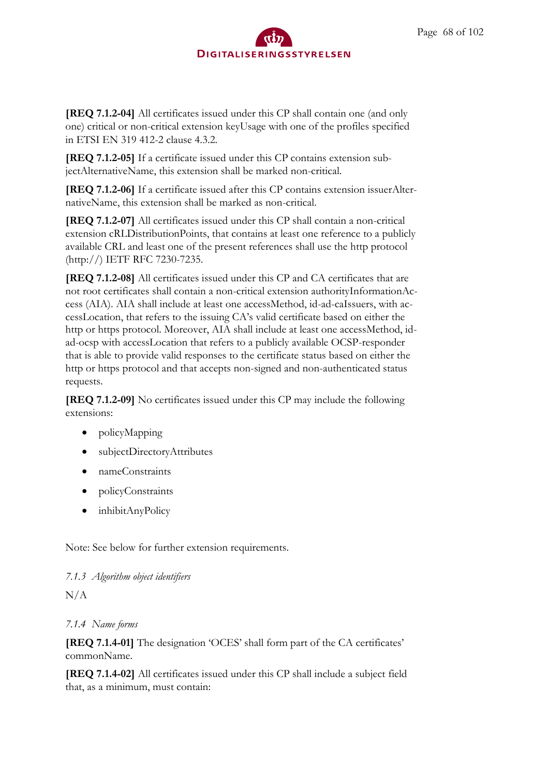**[REQ 7.1.2-04]** All certificates issued under this CP shall contain one (and only one) critical or non-critical extension keyUsage with one of the profiles specified in ETSI EN 319 412-2 clause 4.3.2.

**[REQ 7.1.2-05]** If a certificate issued under this CP contains extension subjectAlternativeName, this extension shall be marked non-critical.

**[REQ 7.1.2-06]** If a certificate issued after this CP contains extension issuerAlternativeName, this extension shall be marked as non-critical.

**[REQ 7.1.2-07]** All certificates issued under this CP shall contain a non-critical extension cRLDistributionPoints, that contains at least one reference to a publicly available CRL and least one of the present references shall use the http protocol (http://) IETF RFC 7230-7235.

**[REQ 7.1.2-08]** All certificates issued under this CP and CA certificates that are not root certificates shall contain a non-critical extension authorityInformationAccess (AIA). AIA shall include at least one accessMethod, id-ad-caIssuers, with accessLocation, that refers to the issuing CA's valid certificate based on either the http or https protocol. Moreover, AIA shall include at least one accessMethod, idad-ocsp with accessLocation that refers to a publicly available OCSP-responder that is able to provide valid responses to the certificate status based on either the http or https protocol and that accepts non-signed and non-authenticated status requests.

**[REQ 7.1.2-09]** No certificates issued under this CP may include the following extensions:

- policyMapping
- subjectDirectoryAttributes
- nameConstraints
- policyConstraints
- inhibitAnyPolicy

Note: See below for further extension requirements.

## *7.1.3 Algorithm object identifiers*

 $N/A$ 

## *7.1.4 Name forms*

**[REQ 7.1.4-01]** The designation 'OCES' shall form part of the CA certificates' commonName.

**[REQ 7.1.4-02]** All certificates issued under this CP shall include a subject field that, as a minimum, must contain: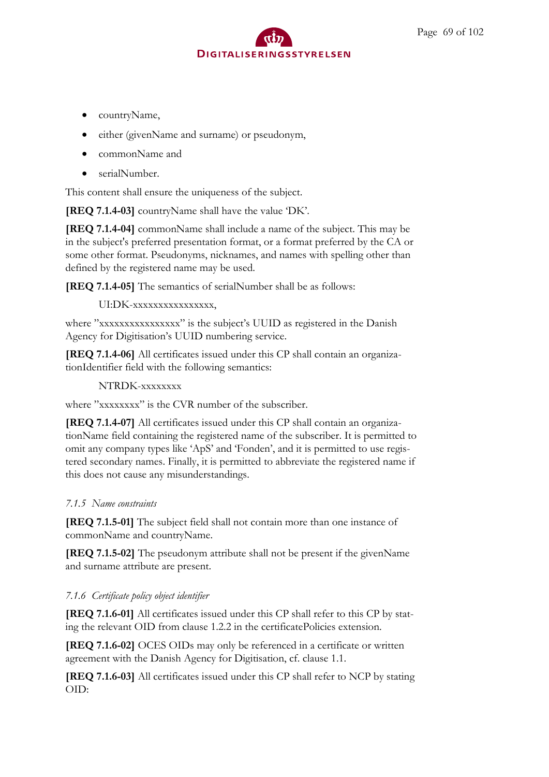- countryName,
- either (givenName and surname) or pseudonym,
- commonName and
- serialNumber.

This content shall ensure the uniqueness of the subject.

**[REQ 7.1.4-03]** countryName shall have the value 'DK'.

**[REQ 7.1.4-04]** commonName shall include a name of the subject. This may be in the subject's preferred presentation format, or a format preferred by the CA or some other format. Pseudonyms, nicknames, and names with spelling other than defined by the registered name may be used.

**[REQ 7.1.4-05]** The semantics of serialNumber shall be as follows:

UI:DK-xxxxxxxxxxxxxxx.

where "xxxxxxxxxxxxxxxx" is the subject's UUID as registered in the Danish Agency for Digitisation's UUID numbering service.

**[REQ 7.1.4-06]** All certificates issued under this CP shall contain an organizationIdentifier field with the following semantics:

NTRDK-xxxxxxxx

where "xxxxxxxx" is the CVR number of the subscriber.

**[REQ 7.1.4-07]** All certificates issued under this CP shall contain an organizationName field containing the registered name of the subscriber. It is permitted to omit any company types like 'ApS' and 'Fonden', and it is permitted to use registered secondary names. Finally, it is permitted to abbreviate the registered name if this does not cause any misunderstandings.

## *7.1.5 Name constraints*

**[REQ 7.1.5-01]** The subject field shall not contain more than one instance of commonName and countryName.

**[REQ 7.1.5-02]** The pseudonym attribute shall not be present if the givenName and surname attribute are present.

## *7.1.6 Certificate policy object identifier*

**[REQ 7.1.6-01]** All certificates issued under this CP shall refer to this CP by stating the relevant OID from clause 1.2.2 in the certificatePolicies extension.

**[REQ 7.1.6-02]** OCES OIDs may only be referenced in a certificate or written agreement with the Danish Agency for Digitisation, cf. clause 1.1.

**[REQ 7.1.6-03]** All certificates issued under this CP shall refer to NCP by stating OID: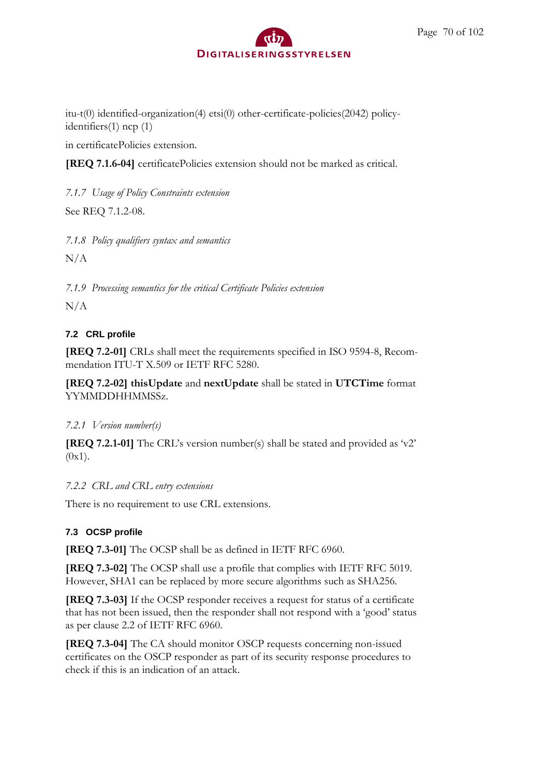itu-t(0) identified-organization(4) etsi(0) other-certificate-policies(2042) policyidentifiers(1) ncp (1)

in certificatePolicies extension.

**[REQ 7.1.6-04]** certificatePolicies extension should not be marked as critical.

*7.1.7 Usage of Policy Constraints extension*

See REQ 7.1.2-08.

*7.1.8 Policy qualifiers syntax and semantics*

 $N/A$ 

*7.1.9 Processing semantics for the critical Certificate Policies extension*

 $N/A$ 

## **7.2 CRL profile**

**[REQ 7.2-01]** CRLs shall meet the requirements specified in ISO 9594-8, Recommendation ITU-T X.509 or IETF RFC 5280.

**[REQ 7.2-02] thisUpdate** and **nextUpdate** shall be stated in **UTCTime** format YYMMDDHHMMSSz.

*7.2.1 Version number(s)*

**[REQ 7.2.1-01]** The CRL's version number(s) shall be stated and provided as 'v2'  $(0x1).$ 

*7.2.2 CRL and CRL entry extensions*

There is no requirement to use CRL extensions.

## **7.3 OCSP profile**

**[REQ 7.3-01]** The OCSP shall be as defined in IETF RFC 6960.

**[REQ 7.3-02]** The OCSP shall use a profile that complies with IETF RFC 5019. However, SHA1 can be replaced by more secure algorithms such as SHA256.

**[REQ 7.3-03]** If the OCSP responder receives a request for status of a certificate that has not been issued, then the responder shall not respond with a 'good' status as per clause 2.2 of IETF RFC 6960.

**[REQ 7.3-04]** The CA should monitor OSCP requests concerning non-issued certificates on the OSCP responder as part of its security response procedures to check if this is an indication of an attack.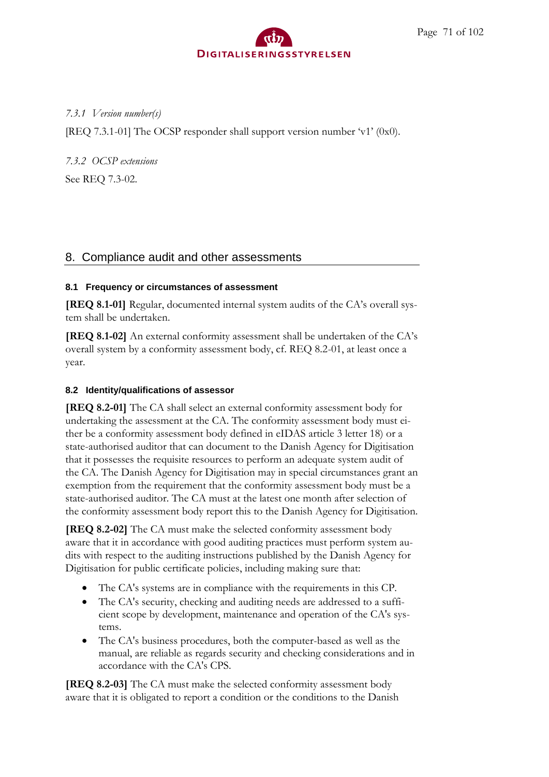## *7.3.1 Version number(s)*

[REQ 7.3.1-01] The OCSP responder shall support version number 'v1' (0x0).

*7.3.2 OCSP extensions*

See REQ 7.3-02.

# 8. Compliance audit and other assessments

## **8.1 Frequency or circumstances of assessment**

**[REQ 8.1-01]** Regular, documented internal system audits of the CA's overall system shall be undertaken.

**[REQ 8.1-02]** An external conformity assessment shall be undertaken of the CA's overall system by a conformity assessment body, cf. REQ 8.2-01, at least once a year.

## **8.2 Identity/qualifications of assessor**

**[REQ 8.2-01]** The CA shall select an external conformity assessment body for undertaking the assessment at the CA. The conformity assessment body must either be a conformity assessment body defined in eIDAS article 3 letter 18) or a state-authorised auditor that can document to the Danish Agency for Digitisation that it possesses the requisite resources to perform an adequate system audit of the CA. The Danish Agency for Digitisation may in special circumstances grant an exemption from the requirement that the conformity assessment body must be a state-authorised auditor. The CA must at the latest one month after selection of the conformity assessment body report this to the Danish Agency for Digitisation.

**[REQ 8.2-02]** The CA must make the selected conformity assessment body aware that it in accordance with good auditing practices must perform system audits with respect to the auditing instructions published by the Danish Agency for Digitisation for public certificate policies, including making sure that:

- The CA's systems are in compliance with the requirements in this CP.
- The CA's security, checking and auditing needs are addressed to a sufficient scope by development, maintenance and operation of the CA's systems.
- The CA's business procedures, both the computer-based as well as the manual, are reliable as regards security and checking considerations and in accordance with the CA's CPS.

**[REQ 8.2-03]** The CA must make the selected conformity assessment body aware that it is obligated to report a condition or the conditions to the Danish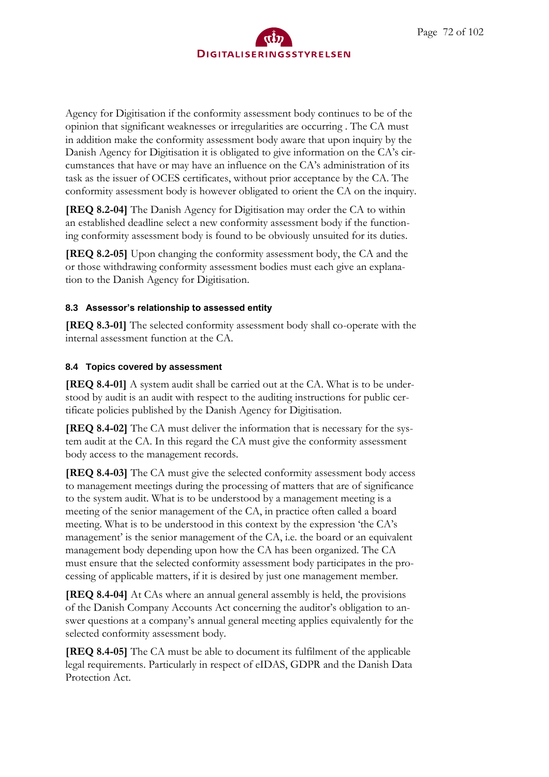Agency for Digitisation if the conformity assessment body continues to be of the opinion that significant weaknesses or irregularities are occurring . The CA must in addition make the conformity assessment body aware that upon inquiry by the Danish Agency for Digitisation it is obligated to give information on the CA's circumstances that have or may have an influence on the CA's administration of its task as the issuer of OCES certificates, without prior acceptance by the CA. The conformity assessment body is however obligated to orient the CA on the inquiry.

**[REQ 8.2-04]** The Danish Agency for Digitisation may order the CA to within an established deadline select a new conformity assessment body if the functioning conformity assessment body is found to be obviously unsuited for its duties.

**[REQ 8.2-05]** Upon changing the conformity assessment body, the CA and the or those withdrawing conformity assessment bodies must each give an explanation to the Danish Agency for Digitisation.

### **8.3 Assessor's relationship to assessed entity**

**[REQ 8.3-01]** The selected conformity assessment body shall co-operate with the internal assessment function at the CA.

### **8.4 Topics covered by assessment**

**[REQ 8.4-01]** A system audit shall be carried out at the CA. What is to be understood by audit is an audit with respect to the auditing instructions for public certificate policies published by the Danish Agency for Digitisation.

**[REQ 8.4-02]** The CA must deliver the information that is necessary for the system audit at the CA. In this regard the CA must give the conformity assessment body access to the management records.

**[REQ 8.4-03]** The CA must give the selected conformity assessment body access to management meetings during the processing of matters that are of significance to the system audit. What is to be understood by a management meeting is a meeting of the senior management of the CA, in practice often called a board meeting. What is to be understood in this context by the expression 'the CA's management' is the senior management of the CA, i.e. the board or an equivalent management body depending upon how the CA has been organized. The CA must ensure that the selected conformity assessment body participates in the processing of applicable matters, if it is desired by just one management member.

**[REQ 8.4-04]** At CAs where an annual general assembly is held, the provisions of the Danish Company Accounts Act concerning the auditor's obligation to answer questions at a company's annual general meeting applies equivalently for the selected conformity assessment body.

**[REQ 8.4-05]** The CA must be able to document its fulfilment of the applicable legal requirements. Particularly in respect of eIDAS, GDPR and the Danish Data Protection Act.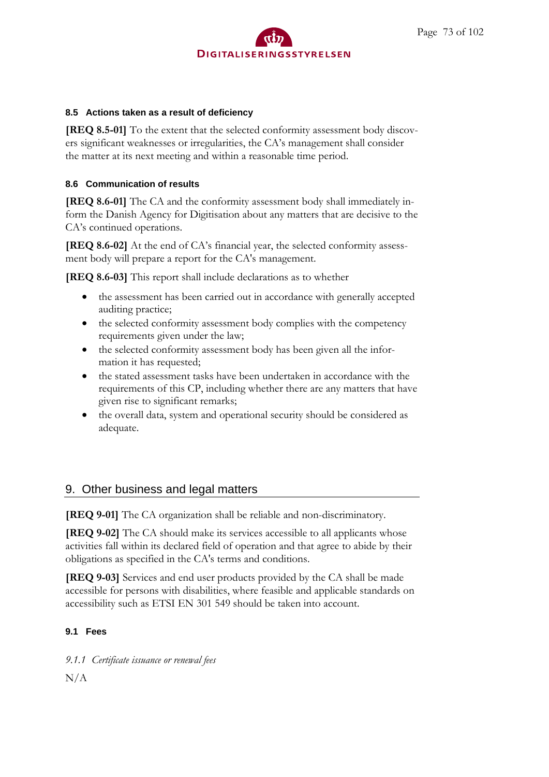

#### **8.5 Actions taken as a result of deficiency**

**[REQ 8.5-01]** To the extent that the selected conformity assessment body discovers significant weaknesses or irregularities, the CA's management shall consider the matter at its next meeting and within a reasonable time period.

#### **8.6 Communication of results**

**[REQ 8.6-01]** The CA and the conformity assessment body shall immediately inform the Danish Agency for Digitisation about any matters that are decisive to the CA's continued operations.

**[REQ 8.6-02]** At the end of CA's financial year, the selected conformity assessment body will prepare a report for the CA's management.

**[REQ 8.6-03]** This report shall include declarations as to whether

- the assessment has been carried out in accordance with generally accepted auditing practice;
- the selected conformity assessment body complies with the competency requirements given under the law;
- the selected conformity assessment body has been given all the information it has requested;
- the stated assessment tasks have been undertaken in accordance with the requirements of this CP, including whether there are any matters that have given rise to significant remarks;
- the overall data, system and operational security should be considered as adequate.

#### 9. Other business and legal matters

**[REQ 9-01]** The CA organization shall be reliable and non-discriminatory.

**[REQ 9-02]** The CA should make its services accessible to all applicants whose activities fall within its declared field of operation and that agree to abide by their obligations as specified in the CA's terms and conditions.

**[REQ 9-03]** Services and end user products provided by the CA shall be made accessible for persons with disabilities, where feasible and applicable standards on accessibility such as ETSI EN 301 549 should be taken into account.

#### **9.1 Fees**

*9.1.1 Certificate issuance or renewal fees*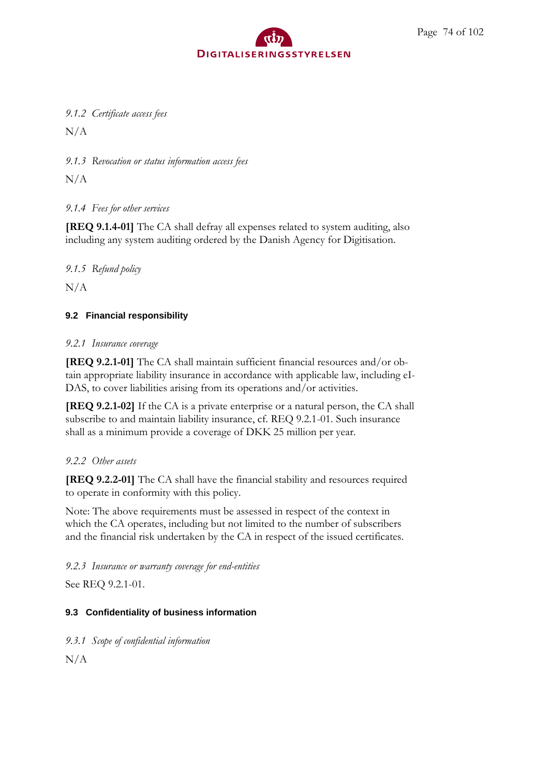### *9.1.2 Certificate access fees*

N/A

*9.1.3 Revocation or status information access fees*

 $N/A$ 

#### *9.1.4 Fees for other services*

**[REQ 9.1.4-01]** The CA shall defray all expenses related to system auditing, also including any system auditing ordered by the Danish Agency for Digitisation.

*9.1.5 Refund policy*

 $N/A$ 

#### **9.2 Financial responsibility**

#### *9.2.1 Insurance coverage*

**[REQ 9.2.1-01]** The CA shall maintain sufficient financial resources and/or obtain appropriate liability insurance in accordance with applicable law, including eI-DAS, to cover liabilities arising from its operations and/or activities.

**[REQ 9.2.1-02]** If the CA is a private enterprise or a natural person, the CA shall subscribe to and maintain liability insurance, cf. REQ 9.2.1-01. Such insurance shall as a minimum provide a coverage of DKK 25 million per year.

#### *9.2.2 Other assets*

**[REQ 9.2.2-01]** The CA shall have the financial stability and resources required to operate in conformity with this policy.

Note: The above requirements must be assessed in respect of the context in which the CA operates, including but not limited to the number of subscribers and the financial risk undertaken by the CA in respect of the issued certificates.

*9.2.3 Insurance or warranty coverage for end-entities*

See REQ 9.2.1-01.

#### **9.3 Confidentiality of business information**

*9.3.1 Scope of confidential information*  $N/A$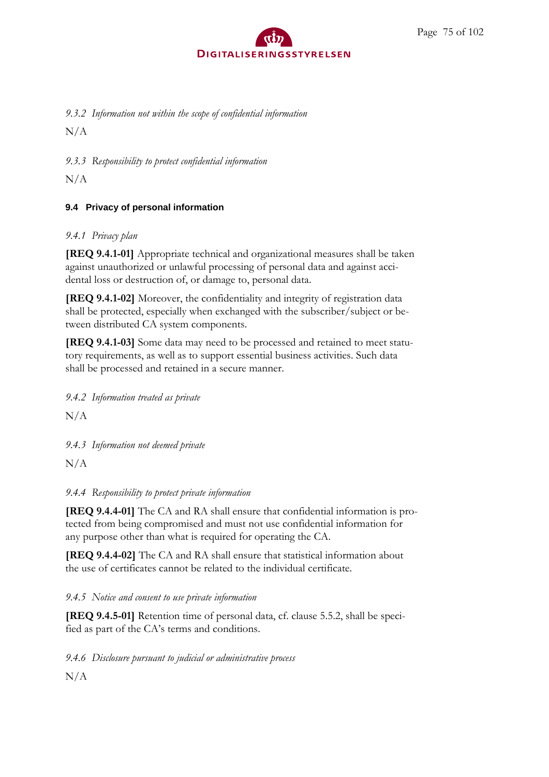*9.3.2 Information not within the scope of confidential information*

N/A

*9.3.3 Responsibility to protect confidential information*

 $N/A$ 

#### **9.4 Privacy of personal information**

#### *9.4.1 Privacy plan*

**[REQ 9.4.1-01]** Appropriate technical and organizational measures shall be taken against unauthorized or unlawful processing of personal data and against accidental loss or destruction of, or damage to, personal data.

**[REQ 9.4.1-02]** Moreover, the confidentiality and integrity of registration data shall be protected, especially when exchanged with the subscriber/subject or between distributed CA system components.

**[REQ 9.4.1-03]** Some data may need to be processed and retained to meet statutory requirements, as well as to support essential business activities. Such data shall be processed and retained in a secure manner.

*9.4.2 Information treated as private*

 $N/A$ 

*9.4.3 Information not deemed private*

N/A

*9.4.4 Responsibility to protect private information*

**[REQ 9.4.4-01]** The CA and RA shall ensure that confidential information is protected from being compromised and must not use confidential information for any purpose other than what is required for operating the CA.

**[REQ 9.4.4-02]** The CA and RA shall ensure that statistical information about the use of certificates cannot be related to the individual certificate.

*9.4.5 Notice and consent to use private information*

**[REQ 9.4.5-01]** Retention time of personal data, cf. clause 5.5.2, shall be specified as part of the CA's terms and conditions.

*9.4.6 Disclosure pursuant to judicial or administrative process*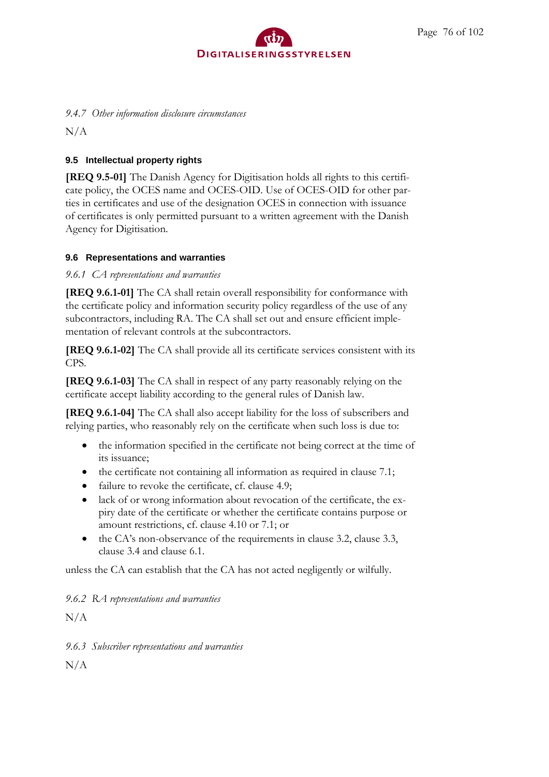

#### *9.4.7 Other information disclosure circumstances*

 $N/A$ 

#### **9.5 Intellectual property rights**

**[REQ 9.5-01]** The Danish Agency for Digitisation holds all rights to this certificate policy, the OCES name and OCES-OID. Use of OCES-OID for other parties in certificates and use of the designation OCES in connection with issuance of certificates is only permitted pursuant to a written agreement with the Danish Agency for Digitisation.

#### **9.6 Representations and warranties**

#### *9.6.1 CA representations and warranties*

**[REQ 9.6.1-01]** The CA shall retain overall responsibility for conformance with the certificate policy and information security policy regardless of the use of any subcontractors, including RA. The CA shall set out and ensure efficient implementation of relevant controls at the subcontractors.

**[REQ 9.6.1-02]** The CA shall provide all its certificate services consistent with its CPS.

**[REQ 9.6.1-03]** The CA shall in respect of any party reasonably relying on the certificate accept liability according to the general rules of Danish law.

**[REQ 9.6.1-04]** The CA shall also accept liability for the loss of subscribers and relying parties, who reasonably rely on the certificate when such loss is due to:

- the information specified in the certificate not being correct at the time of its issuance;
- the certificate not containing all information as required in clause 7.1;
- failure to revoke the certificate, cf. clause 4.9;
- lack of or wrong information about revocation of the certificate, the expiry date of the certificate or whether the certificate contains purpose or amount restrictions, cf. clause 4.10 or 7.1; or
- the CA's non-observance of the requirements in clause 3.2, clause 3.3, clause 3.4 and clause 6.1.

unless the CA can establish that the CA has not acted negligently or wilfully.

*9.6.2 RA representations and warranties*

 $N/A$ 

*9.6.3 Subscriber representations and warranties*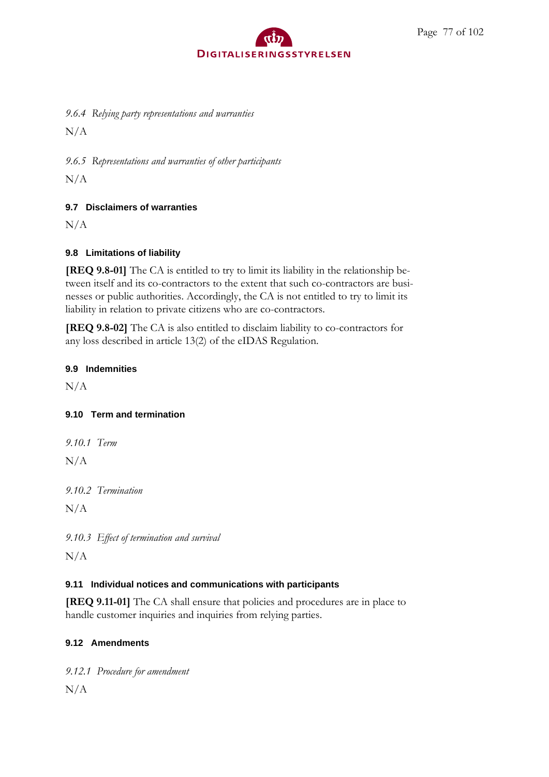*9.6.4 Relying party representations and warranties*

N/A

*9.6.5 Representations and warranties of other participants*

 $N/A$ 

#### **9.7 Disclaimers of warranties**

 $N/A$ 

#### **9.8 Limitations of liability**

**[REQ 9.8-01]** The CA is entitled to try to limit its liability in the relationship between itself and its co-contractors to the extent that such co-contractors are businesses or public authorities. Accordingly, the CA is not entitled to try to limit its liability in relation to private citizens who are co-contractors.

**[REQ 9.8-02]** The CA is also entitled to disclaim liability to co-contractors for any loss described in article 13(2) of the eIDAS Regulation.

#### **9.9 Indemnities**

 $N/A$ 

#### **9.10 Term and termination**

*9.10.1 Term*

N/A

*9.10.2 Termination*

 $N/A$ 

*9.10.3 Effect of termination and survival*  $N/A$ 

#### **9.11 Individual notices and communications with participants**

**[REQ 9.11-01]** The CA shall ensure that policies and procedures are in place to handle customer inquiries and inquiries from relying parties.

#### **9.12 Amendments**

*9.12.1 Procedure for amendment*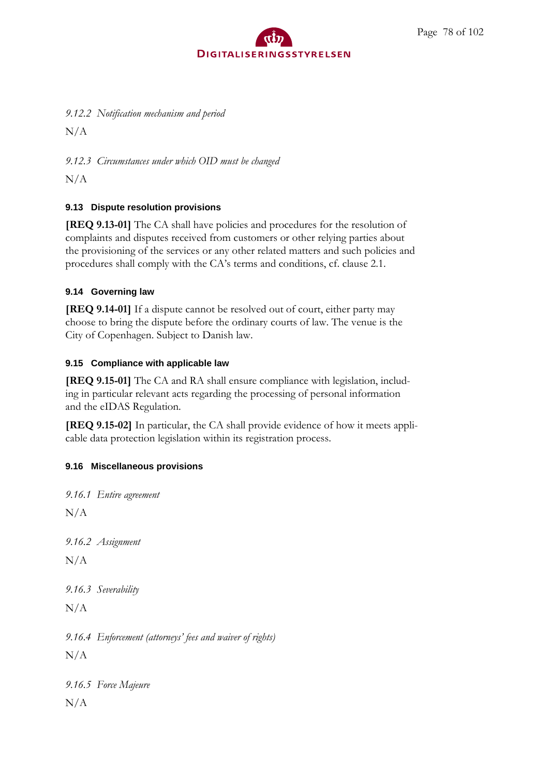*9.12.2 Notification mechanism and period*

N/A

*9.12.3 Circumstances under which OID must be changed*

 $N/A$ 

### **9.13 Dispute resolution provisions**

**[REQ 9.13-01]** The CA shall have policies and procedures for the resolution of complaints and disputes received from customers or other relying parties about the provisioning of the services or any other related matters and such policies and procedures shall comply with the CA's terms and conditions, cf. clause 2.1.

### **9.14 Governing law**

**[REQ 9.14-01]** If a dispute cannot be resolved out of court, either party may choose to bring the dispute before the ordinary courts of law. The venue is the City of Copenhagen. Subject to Danish law.

### **9.15 Compliance with applicable law**

**[REQ 9.15-01]** The CA and RA shall ensure compliance with legislation, including in particular relevant acts regarding the processing of personal information and the eIDAS Regulation.

**[REQ 9.15-02]** In particular, the CA shall provide evidence of how it meets applicable data protection legislation within its registration process.

## **9.16 Miscellaneous provisions**

*9.16.1 Entire agreement*  $N/A$ *9.16.2 Assignment*  $N/A$ *9.16.3 Severability*  $N/A$ *9.16.4 Enforcement (attorneys' fees and waiver of rights)* N/A *9.16.5 Force Majeure*  $N/A$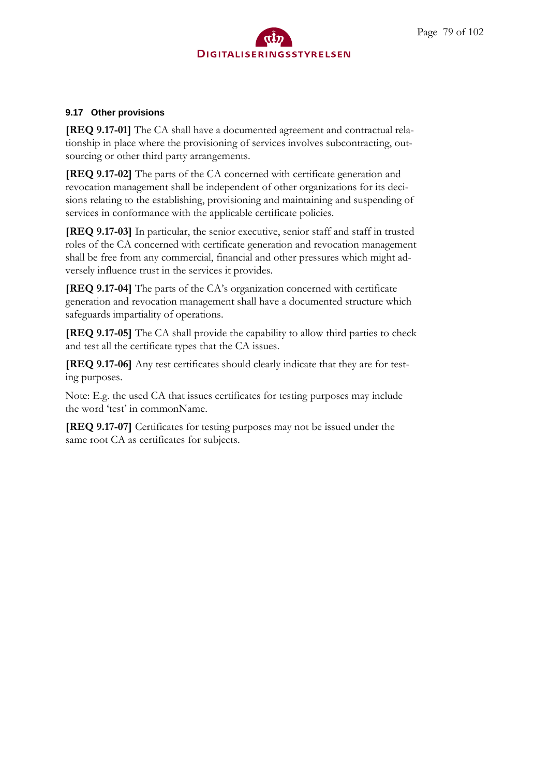#### **9.17 Other provisions**

**[REQ 9.17-01]** The CA shall have a documented agreement and contractual relationship in place where the provisioning of services involves subcontracting, outsourcing or other third party arrangements.

**[REQ 9.17-02]** The parts of the CA concerned with certificate generation and revocation management shall be independent of other organizations for its decisions relating to the establishing, provisioning and maintaining and suspending of services in conformance with the applicable certificate policies.

**[REQ 9.17-03]** In particular, the senior executive, senior staff and staff in trusted roles of the CA concerned with certificate generation and revocation management shall be free from any commercial, financial and other pressures which might adversely influence trust in the services it provides.

**[REQ 9.17-04]** The parts of the CA's organization concerned with certificate generation and revocation management shall have a documented structure which safeguards impartiality of operations.

**[REQ 9.17-05]** The CA shall provide the capability to allow third parties to check and test all the certificate types that the CA issues.

**[REQ 9.17-06]** Any test certificates should clearly indicate that they are for testing purposes.

Note: E.g. the used CA that issues certificates for testing purposes may include the word 'test' in commonName.

**[REQ 9.17-07]** Certificates for testing purposes may not be issued under the same root CA as certificates for subjects.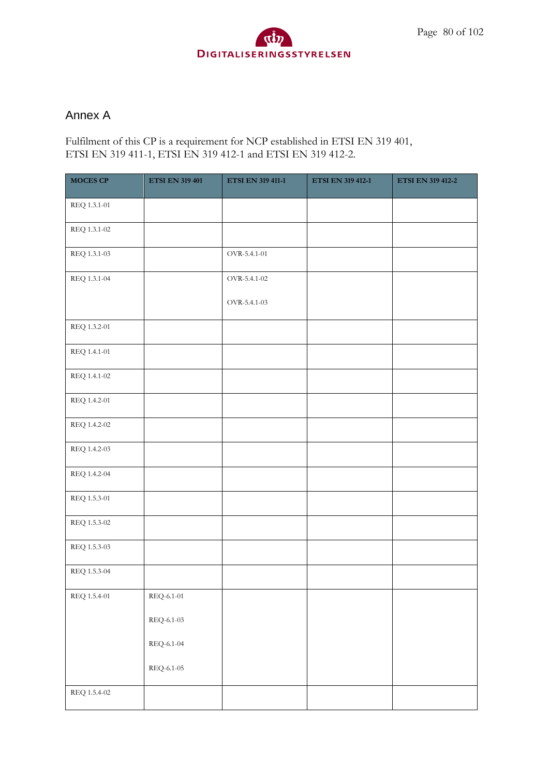## Annex A

Fulfilment of this CP is a requirement for NCP established in ETSI EN 319 401, ETSI EN 319 411-1, ETSI EN 319 412-1 and ETSI EN 319 412-2.

| <b>MOCES CP</b> | <b>ETSI EN 319 401</b>              | <b>ETSI EN 319 411-1</b> | <b>ETSI EN 319 412-1</b> | <b>ETSI EN 319 412-2</b> |
|-----------------|-------------------------------------|--------------------------|--------------------------|--------------------------|
| REQ 1.3.1-01    |                                     |                          |                          |                          |
| REQ 1.3.1-02    |                                     |                          |                          |                          |
| REQ 1.3.1-03    |                                     | OVR-5.4.1-01             |                          |                          |
| REQ 1.3.1-04    |                                     | OVR-5.4.1-02             |                          |                          |
|                 |                                     | OVR-5.4.1-03             |                          |                          |
| REQ 1.3.2-01    |                                     |                          |                          |                          |
| REQ 1.4.1-01    |                                     |                          |                          |                          |
| REQ 1.4.1-02    |                                     |                          |                          |                          |
| REQ 1.4.2-01    |                                     |                          |                          |                          |
| REQ 1.4.2-02    |                                     |                          |                          |                          |
| REQ 1.4.2-03    |                                     |                          |                          |                          |
| REQ 1.4.2-04    |                                     |                          |                          |                          |
| REQ 1.5.3-01    |                                     |                          |                          |                          |
| REQ 1.5.3-02    |                                     |                          |                          |                          |
| REQ 1.5.3-03    |                                     |                          |                          |                          |
| REQ 1.5.3-04    |                                     |                          |                          |                          |
| REQ 1.5.4-01    | REQ-6.1-01                          |                          |                          |                          |
|                 | REQ-6.1-03                          |                          |                          |                          |
|                 | $\mathrm{REQ}\text{-}6.1\text{-}04$ |                          |                          |                          |
|                 | $\mathrm{REQ}\text{-}6.1\text{-}05$ |                          |                          |                          |
| REQ 1.5.4-02    |                                     |                          |                          |                          |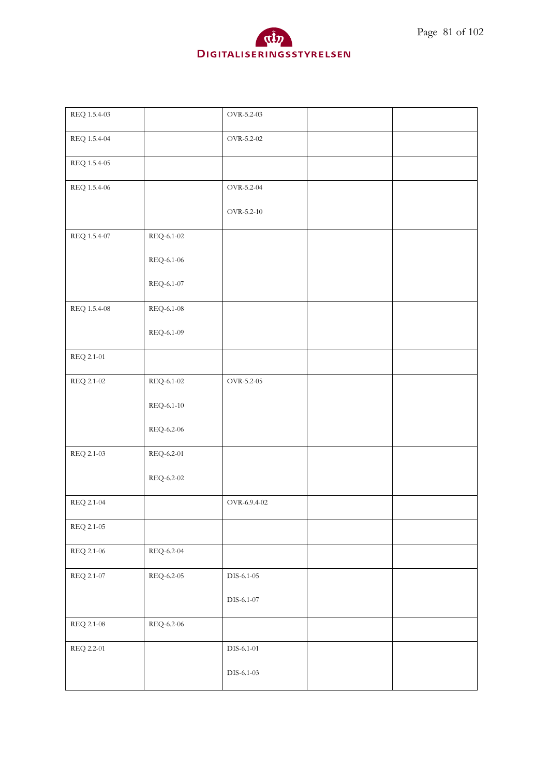

| $\rm OVR\text{-}5.2\text{-}02$<br>REQ 1.5.4-04<br>REQ 1.5.4-05<br>REQ 1.5.4-06<br>OVR-5.2-04<br>OVR-5.2-10<br>REQ 1.5.4-07<br>REQ-6.1-02<br>REQ-6.1-06<br>REQ-6.1-07<br>REQ 1.5.4-08<br>REQ-6.1-08<br>REQ-6.1-09<br>REQ 2.1-01<br>REQ 2.1-02<br>REQ-6.1-02<br>OVR-5.2-05<br>REQ-6.1-10<br>REQ-6.2-06<br>REQ 2.1-03<br>REQ-6.2-01<br>$\rm REQ\mbox{-}6.2\mbox{-}02$<br>REQ 2.1-04<br>$\rm OVR\mbox{-}6.9.4\mbox{-}02$<br>REQ 2.1-05<br>REQ 2.1-06<br>REQ-6.2-04<br>REQ 2.1-07<br>REQ-6.2-05<br>$\rm DIS$ -6.1-05<br>DIS-6.1-07<br>REQ 2.1-08<br>REQ-6.2-06<br>REQ 2.2-01<br>$\rm DIS$ -6.1-01 | REQ 1.5.4-03 | OVR-5.2-03 |  |
|----------------------------------------------------------------------------------------------------------------------------------------------------------------------------------------------------------------------------------------------------------------------------------------------------------------------------------------------------------------------------------------------------------------------------------------------------------------------------------------------------------------------------------------------------------------------------------------------|--------------|------------|--|
|                                                                                                                                                                                                                                                                                                                                                                                                                                                                                                                                                                                              |              |            |  |
|                                                                                                                                                                                                                                                                                                                                                                                                                                                                                                                                                                                              |              |            |  |
|                                                                                                                                                                                                                                                                                                                                                                                                                                                                                                                                                                                              |              |            |  |
|                                                                                                                                                                                                                                                                                                                                                                                                                                                                                                                                                                                              |              |            |  |
|                                                                                                                                                                                                                                                                                                                                                                                                                                                                                                                                                                                              |              |            |  |
|                                                                                                                                                                                                                                                                                                                                                                                                                                                                                                                                                                                              |              |            |  |
|                                                                                                                                                                                                                                                                                                                                                                                                                                                                                                                                                                                              |              |            |  |
|                                                                                                                                                                                                                                                                                                                                                                                                                                                                                                                                                                                              |              |            |  |
|                                                                                                                                                                                                                                                                                                                                                                                                                                                                                                                                                                                              |              |            |  |
|                                                                                                                                                                                                                                                                                                                                                                                                                                                                                                                                                                                              |              |            |  |
|                                                                                                                                                                                                                                                                                                                                                                                                                                                                                                                                                                                              |              |            |  |
|                                                                                                                                                                                                                                                                                                                                                                                                                                                                                                                                                                                              |              |            |  |
|                                                                                                                                                                                                                                                                                                                                                                                                                                                                                                                                                                                              |              |            |  |
|                                                                                                                                                                                                                                                                                                                                                                                                                                                                                                                                                                                              |              |            |  |
|                                                                                                                                                                                                                                                                                                                                                                                                                                                                                                                                                                                              |              |            |  |
|                                                                                                                                                                                                                                                                                                                                                                                                                                                                                                                                                                                              |              |            |  |
|                                                                                                                                                                                                                                                                                                                                                                                                                                                                                                                                                                                              |              |            |  |
|                                                                                                                                                                                                                                                                                                                                                                                                                                                                                                                                                                                              |              |            |  |
|                                                                                                                                                                                                                                                                                                                                                                                                                                                                                                                                                                                              |              |            |  |
|                                                                                                                                                                                                                                                                                                                                                                                                                                                                                                                                                                                              |              |            |  |
|                                                                                                                                                                                                                                                                                                                                                                                                                                                                                                                                                                                              |              |            |  |
|                                                                                                                                                                                                                                                                                                                                                                                                                                                                                                                                                                                              |              |            |  |
| $DIS-6.1-03$                                                                                                                                                                                                                                                                                                                                                                                                                                                                                                                                                                                 |              |            |  |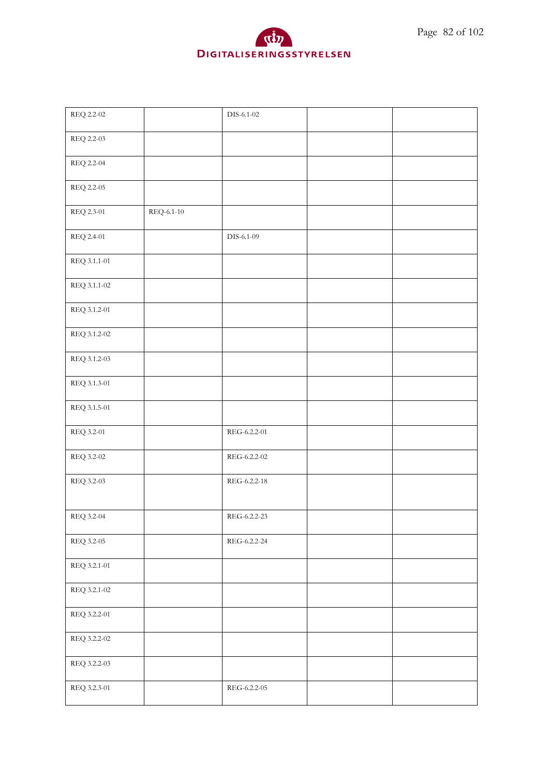



| REQ 2.2-02   |            | DIS-6.1-02   |  |
|--------------|------------|--------------|--|
| REQ 2.2-03   |            |              |  |
| REQ 2.2-04   |            |              |  |
| REQ 2.2-05   |            |              |  |
| REQ 2.3-01   | REQ-6.1-10 |              |  |
| REQ 2.4-01   |            | DIS-6.1-09   |  |
| REQ 3.1.1-01 |            |              |  |
| REQ 3.1.1-02 |            |              |  |
| REQ 3.1.2-01 |            |              |  |
| REQ 3.1.2-02 |            |              |  |
| REQ 3.1.2-03 |            |              |  |
| REQ 3.1.3-01 |            |              |  |
| REQ 3.1.5-01 |            |              |  |
| REQ 3.2-01   |            | REG-6.2.2-01 |  |
| REQ 3.2-02   |            | REG-6.2.2-02 |  |
| REQ 3.2-03   |            | REG-6.2.2-18 |  |
| REQ 3.2-04   |            | REG-6.2.2-23 |  |
| REQ 3.2-05   |            | REG-6.2.2-24 |  |
| REQ 3.2.1-01 |            |              |  |
| REQ 3.2.1-02 |            |              |  |
| REQ 3.2.2-01 |            |              |  |
| REQ 3.2.2-02 |            |              |  |
| REQ 3.2.2-03 |            |              |  |
| REQ 3.2.3-01 |            | REG-6.2.2-05 |  |
|              |            |              |  |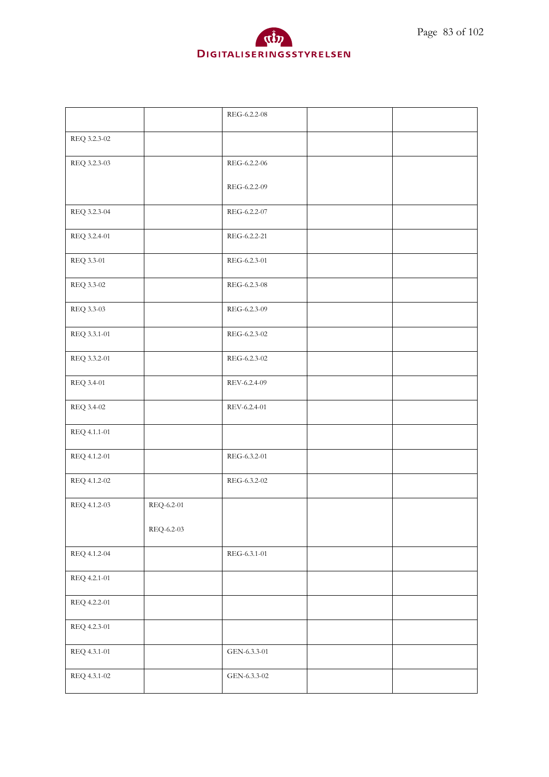

|              |            | REG-6.2.2-08   |  |
|--------------|------------|----------------|--|
| REQ 3.2.3-02 |            |                |  |
| REQ 3.2.3-03 |            | REG-6.2.2-06   |  |
|              |            | REG-6.2.2-09   |  |
| REQ 3.2.3-04 |            | REG-6.2.2-07   |  |
| REQ 3.2.4-01 |            | REG-6.2.2-21   |  |
| REQ 3.3-01   |            | REG-6.2.3-01   |  |
| REQ 3.3-02   |            | REG-6.2.3-08   |  |
| REQ 3.3-03   |            | REG-6.2.3-09   |  |
| REQ 3.3.1-01 |            | REG-6.2.3-02   |  |
| REQ 3.3.2-01 |            | REG-6.2.3-02   |  |
| REQ 3.4-01   |            | REV-6.2.4-09   |  |
| REQ 3.4-02   |            | REV-6.2.4-01   |  |
| REQ 4.1.1-01 |            |                |  |
| REQ 4.1.2-01 |            | REG-6.3.2-01   |  |
| REQ 4.1.2-02 |            | REG-6.3.2-02   |  |
| REQ 4.1.2-03 | REQ-6.2-01 |                |  |
|              | REQ-6.2-03 |                |  |
| REQ 4.1.2-04 |            | REG-6.3.1-01   |  |
| REQ 4.2.1-01 |            |                |  |
| REQ 4.2.2-01 |            |                |  |
| REQ 4.2.3-01 |            |                |  |
| REQ 4.3.1-01 |            | $GEN-6.3.3-01$ |  |
| REQ 4.3.1-02 |            | GEN-6.3.3-02   |  |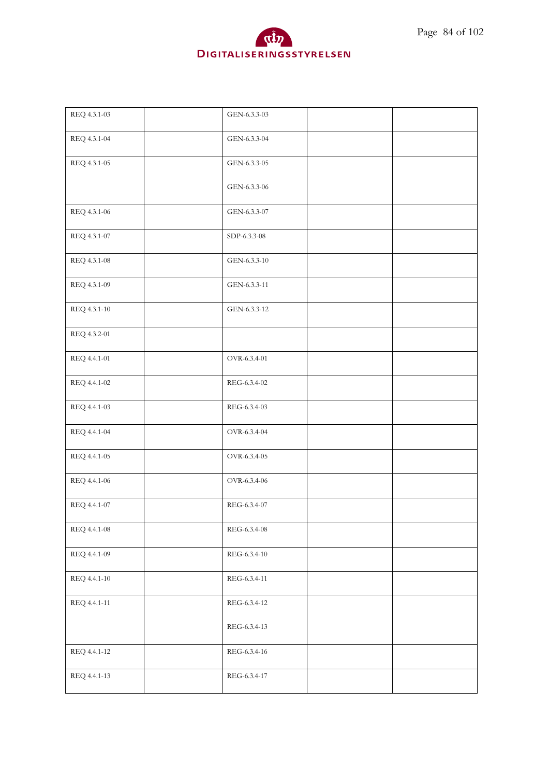

| GEN-6.3.3-04<br>REQ 4.3.1-04<br>GEN-6.3.3-05<br>REQ 4.3.1-05<br>GEN-6.3.3-06<br>REQ 4.3.1-06<br>GEN-6.3.3-07<br>SDP-6.3.3-08<br>REQ 4.3.1-07<br>REQ 4.3.1-08<br>GEN-6.3.3-10<br>GEN-6.3.3-11<br>REQ 4.3.1-09<br>REQ 4.3.1-10<br>GEN-6.3.3-12<br>REQ 4.3.2-01<br>OVR-6.3.4-01<br>REQ 4.4.1-01<br>REQ 4.4.1-02<br>REG-6.3.4-02<br>REG-6.3.4-03<br>REQ 4.4.1-03<br>OVR-6.3.4-04<br>REQ 4.4.1-04<br>OVR-6.3.4-05<br>REQ 4.4.1-05<br>REQ 4.4.1-06<br>OVR-6.3.4-06<br>REQ 4.4.1-07<br>REG-6.3.4-07<br>REQ 4.4.1-08<br>REG-6.3.4-08<br>REQ 4.4.1-09<br>REG-6.3.4-10<br>REQ 4.4.1-10<br>REG-6.3.4-11<br>REQ 4.4.1-11<br>REG-6.3.4-12<br>REG-6.3.4-13<br>REQ 4.4.1-12<br>REG-6.3.4-16<br>REQ 4.4.1-13<br>REG-6.3.4-17 | REQ 4.3.1-03 | GEN-6.3.3-03 |  |
|--------------------------------------------------------------------------------------------------------------------------------------------------------------------------------------------------------------------------------------------------------------------------------------------------------------------------------------------------------------------------------------------------------------------------------------------------------------------------------------------------------------------------------------------------------------------------------------------------------------------------------------------------------------------------------------------------------------|--------------|--------------|--|
|                                                                                                                                                                                                                                                                                                                                                                                                                                                                                                                                                                                                                                                                                                              |              |              |  |
|                                                                                                                                                                                                                                                                                                                                                                                                                                                                                                                                                                                                                                                                                                              |              |              |  |
|                                                                                                                                                                                                                                                                                                                                                                                                                                                                                                                                                                                                                                                                                                              |              |              |  |
|                                                                                                                                                                                                                                                                                                                                                                                                                                                                                                                                                                                                                                                                                                              |              |              |  |
|                                                                                                                                                                                                                                                                                                                                                                                                                                                                                                                                                                                                                                                                                                              |              |              |  |
|                                                                                                                                                                                                                                                                                                                                                                                                                                                                                                                                                                                                                                                                                                              |              |              |  |
|                                                                                                                                                                                                                                                                                                                                                                                                                                                                                                                                                                                                                                                                                                              |              |              |  |
|                                                                                                                                                                                                                                                                                                                                                                                                                                                                                                                                                                                                                                                                                                              |              |              |  |
|                                                                                                                                                                                                                                                                                                                                                                                                                                                                                                                                                                                                                                                                                                              |              |              |  |
|                                                                                                                                                                                                                                                                                                                                                                                                                                                                                                                                                                                                                                                                                                              |              |              |  |
|                                                                                                                                                                                                                                                                                                                                                                                                                                                                                                                                                                                                                                                                                                              |              |              |  |
|                                                                                                                                                                                                                                                                                                                                                                                                                                                                                                                                                                                                                                                                                                              |              |              |  |
|                                                                                                                                                                                                                                                                                                                                                                                                                                                                                                                                                                                                                                                                                                              |              |              |  |
|                                                                                                                                                                                                                                                                                                                                                                                                                                                                                                                                                                                                                                                                                                              |              |              |  |
|                                                                                                                                                                                                                                                                                                                                                                                                                                                                                                                                                                                                                                                                                                              |              |              |  |
|                                                                                                                                                                                                                                                                                                                                                                                                                                                                                                                                                                                                                                                                                                              |              |              |  |
|                                                                                                                                                                                                                                                                                                                                                                                                                                                                                                                                                                                                                                                                                                              |              |              |  |
|                                                                                                                                                                                                                                                                                                                                                                                                                                                                                                                                                                                                                                                                                                              |              |              |  |
|                                                                                                                                                                                                                                                                                                                                                                                                                                                                                                                                                                                                                                                                                                              |              |              |  |
|                                                                                                                                                                                                                                                                                                                                                                                                                                                                                                                                                                                                                                                                                                              |              |              |  |
|                                                                                                                                                                                                                                                                                                                                                                                                                                                                                                                                                                                                                                                                                                              |              |              |  |
|                                                                                                                                                                                                                                                                                                                                                                                                                                                                                                                                                                                                                                                                                                              |              |              |  |
|                                                                                                                                                                                                                                                                                                                                                                                                                                                                                                                                                                                                                                                                                                              |              |              |  |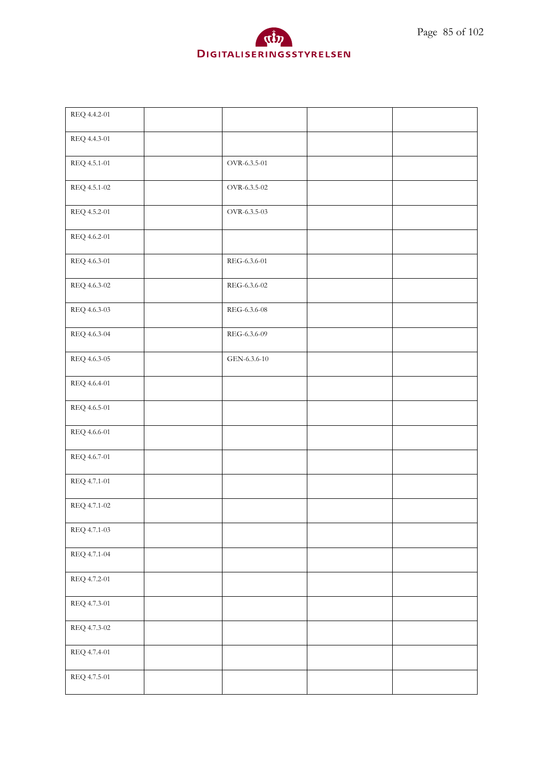

| REQ 4.4.2-01 |              |  |
|--------------|--------------|--|
| REQ 4.4.3-01 |              |  |
| REQ 4.5.1-01 | OVR-6.3.5-01 |  |
| REQ 4.5.1-02 | OVR-6.3.5-02 |  |
| REQ 4.5.2-01 | OVR-6.3.5-03 |  |
| REQ 4.6.2-01 |              |  |
| REQ 4.6.3-01 | REG-6.3.6-01 |  |
| REQ 4.6.3-02 | REG-6.3.6-02 |  |
| REQ 4.6.3-03 | REG-6.3.6-08 |  |
| REQ 4.6.3-04 | REG-6.3.6-09 |  |
| REQ 4.6.3-05 | GEN-6.3.6-10 |  |
| REQ 4.6.4-01 |              |  |
| REQ 4.6.5-01 |              |  |
| REQ 4.6.6-01 |              |  |
| REQ 4.6.7-01 |              |  |
| REQ 4.7.1-01 |              |  |
| REQ 4.7.1-02 |              |  |
| REQ 4.7.1-03 |              |  |
| REQ 4.7.1-04 |              |  |
| REQ 4.7.2-01 |              |  |
| REQ 4.7.3-01 |              |  |
| REQ 4.7.3-02 |              |  |
| REQ 4.7.4-01 |              |  |
| REQ 4.7.5-01 |              |  |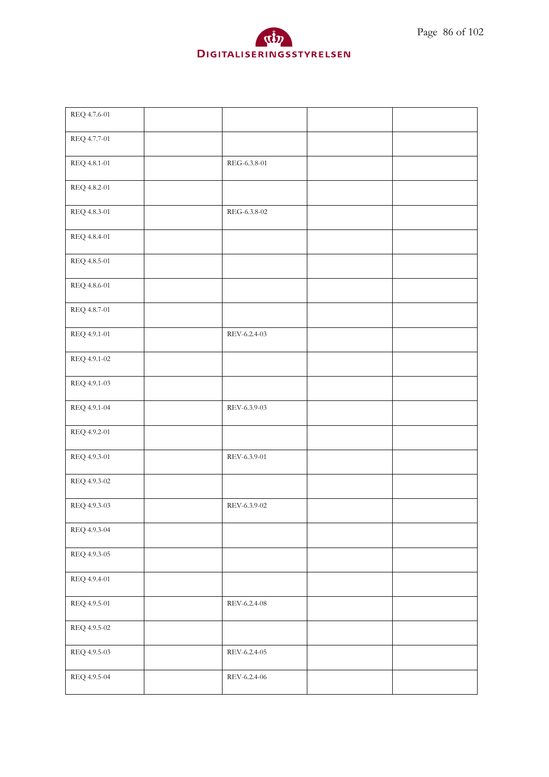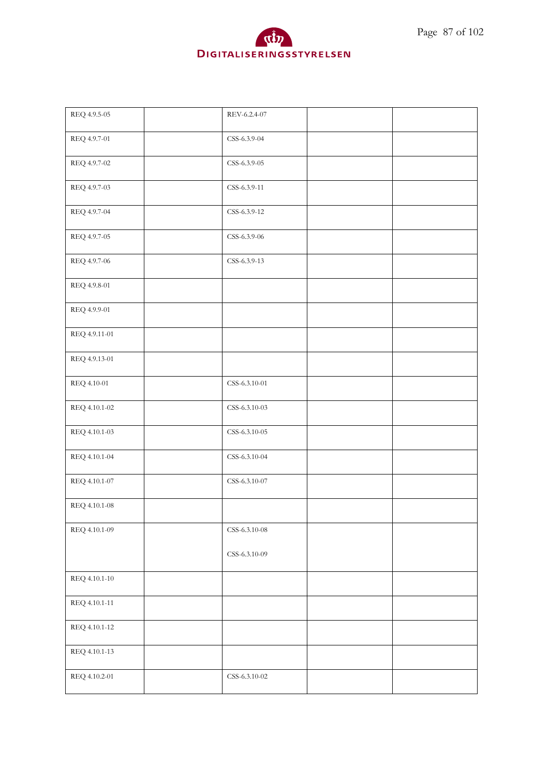

| REQ 4.9.5-05  | REV-6.2.4-07    |  |
|---------------|-----------------|--|
| REQ 4.9.7-01  | CSS-6.3.9-04    |  |
| REQ 4.9.7-02  | CSS-6.3.9-05    |  |
| REQ 4.9.7-03  | CSS-6.3.9-11    |  |
| REQ 4.9.7-04  | CSS-6.3.9-12    |  |
| REQ 4.9.7-05  | CSS-6.3.9-06    |  |
| REQ 4.9.7-06  | CSS-6.3.9-13    |  |
| REQ 4.9.8-01  |                 |  |
| REQ 4.9.9-01  |                 |  |
| REQ 4.9.11-01 |                 |  |
| REQ 4.9.13-01 |                 |  |
| REQ 4.10-01   | CSS-6.3.10-01   |  |
| REQ 4.10.1-02 | CSS-6.3.10-03   |  |
| REQ 4.10.1-03 | CSS-6.3.10-05   |  |
| REQ 4.10.1-04 | CSS-6.3.10-04   |  |
| REQ 4.10.1-07 | CSS-6.3.10-07   |  |
| REQ 4.10.1-08 |                 |  |
| REQ 4.10.1-09 | $CSS-6.3.10-08$ |  |
|               | CSS-6.3.10-09   |  |
| REQ 4.10.1-10 |                 |  |
| REQ 4.10.1-11 |                 |  |
| REQ 4.10.1-12 |                 |  |
| REQ 4.10.1-13 |                 |  |
| REQ 4.10.2-01 | $CSS-6.3.10-02$ |  |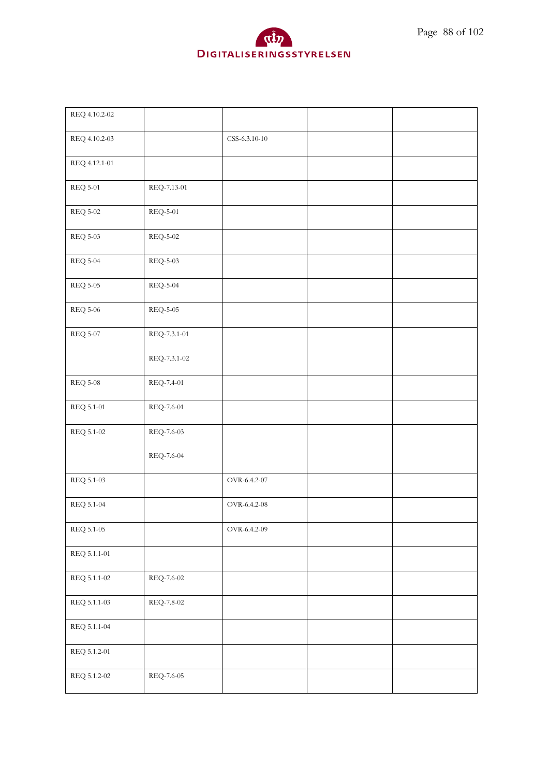

| REQ 4.10.2-02   |                                     |               |  |
|-----------------|-------------------------------------|---------------|--|
| REQ 4.10.2-03   |                                     | CSS-6.3.10-10 |  |
| REQ 4.12.1-01   |                                     |               |  |
| <b>REQ 5-01</b> | REQ-7.13-01                         |               |  |
| <b>REQ 5-02</b> | <b>REQ-5-01</b>                     |               |  |
| <b>REQ 5-03</b> | $\mathrm{REQ}\text{-}5\text{-}02$   |               |  |
| $\rm{REQ}$ 5-04 | REQ-5-03                            |               |  |
| $\rm{REQ}$ 5-05 | $REQ-5-04$                          |               |  |
| $\rm{REQ}$ 5-06 | <b>REQ-5-05</b>                     |               |  |
| <b>REQ 5-07</b> | REQ-7.3.1-01                        |               |  |
|                 | REQ-7.3.1-02                        |               |  |
| $\rm{REQ}$ 5-08 | REQ-7.4-01                          |               |  |
| REQ 5.1-01      | REQ-7.6-01                          |               |  |
| REQ 5.1-02      | REQ-7.6-03                          |               |  |
|                 | REQ-7.6-04                          |               |  |
| REQ 5.1-03      |                                     | OVR-6.4.2-07  |  |
| REQ 5.1-04      |                                     | OVR-6.4.2-08  |  |
| REQ 5.1-05      |                                     | OVR-6.4.2-09  |  |
| REQ 5.1.1-01    |                                     |               |  |
| REQ 5.1.1-02    | $\mathrm{REQ}\text{-}7.6\text{-}02$ |               |  |
| REQ 5.1.1-03    | $\mathrm{REQ}\text{-}7.8\text{-}02$ |               |  |
| REQ 5.1.1-04    |                                     |               |  |
| REQ 5.1.2-01    |                                     |               |  |
| REQ 5.1.2-02    | REQ-7.6-05                          |               |  |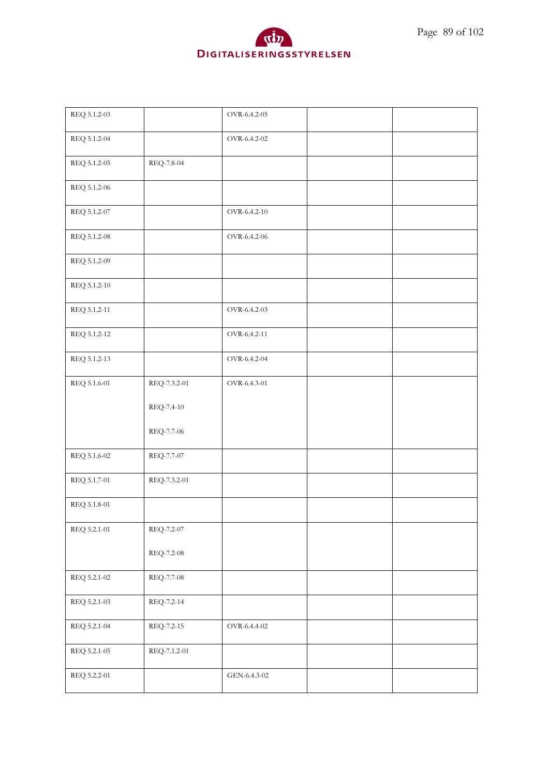



| REQ 5.1.2-03 |              | OVR-6.4.2-05                     |  |
|--------------|--------------|----------------------------------|--|
| REQ 5.1.2-04 |              | OVR-6.4.2-02                     |  |
| REQ 5.1.2-05 | REQ-7.8-04   |                                  |  |
| REQ 5.1.2-06 |              |                                  |  |
| REQ 5.1.2-07 |              | OVR-6.4.2-10                     |  |
| REQ 5.1.2-08 |              | OVR-6.4.2-06                     |  |
| REQ 5.1.2-09 |              |                                  |  |
| REQ 5.1.2-10 |              |                                  |  |
| REQ 5.1.2-11 |              | OVR-6.4.2-03                     |  |
| REQ 5.1.2-12 |              | OVR-6.4.2-11                     |  |
| REQ 5.1.2-13 |              | OVR-6.4.2-04                     |  |
| REQ 5.1.6-01 | REQ-7.3.2-01 | OVR-6.4.3-01                     |  |
|              | REQ-7.4-10   |                                  |  |
|              | REQ-7.7-06   |                                  |  |
| REQ 5.1.6-02 | REQ-7.7-07   |                                  |  |
| REQ 5.1.7-01 | REQ-7.3.2-01 |                                  |  |
| REQ 5.1.8-01 |              |                                  |  |
| REQ 5.2.1-01 | REQ-7.2-07   |                                  |  |
|              | REQ-7.2-08   |                                  |  |
| REQ 5.2.1-02 | REQ-7.7-08   |                                  |  |
| REQ 5.2.1-03 | REQ-7.2-14   |                                  |  |
| REQ 5.2.1-04 | REQ-7.2-15   | $\rm OVR\text{-}6.4.4\text{-}02$ |  |
| REQ 5.2.1-05 | REQ-7.1.2-01 |                                  |  |
| REQ 5.2.2-01 |              | GEN-6.4.3-02                     |  |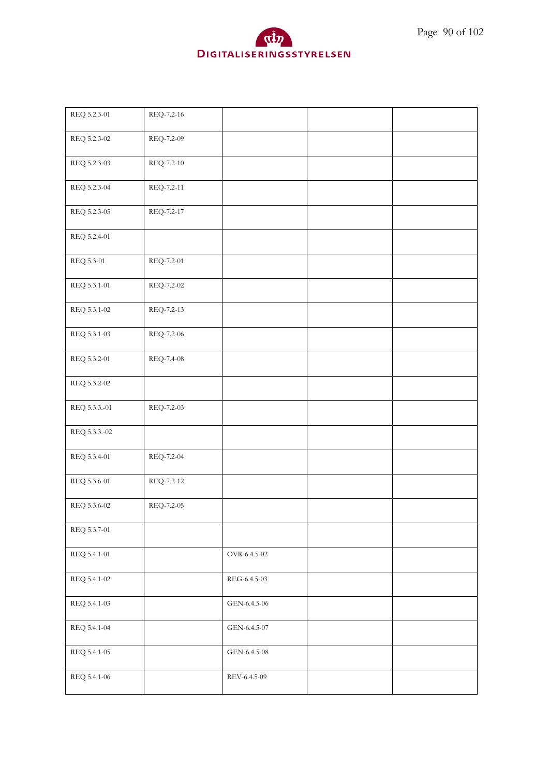

| REQ 5.2.3-01  | REQ-7.2-16 |              |  |
|---------------|------------|--------------|--|
| REQ 5.2.3-02  | REQ-7.2-09 |              |  |
| REQ 5.2.3-03  | REQ-7.2-10 |              |  |
| REQ 5.2.3-04  | REQ-7.2-11 |              |  |
| REQ 5.2.3-05  | REQ-7.2-17 |              |  |
| REQ 5.2.4-01  |            |              |  |
| REQ 5.3-01    | REQ-7.2-01 |              |  |
| REQ 5.3.1-01  | REQ-7.2-02 |              |  |
| REQ 5.3.1-02  | REQ-7.2-13 |              |  |
| REQ 5.3.1-03  | REQ-7.2-06 |              |  |
| REQ 5.3.2-01  | REQ-7.4-08 |              |  |
| REQ 5.3.2-02  |            |              |  |
| REQ 5.3.3.-01 | REQ-7.2-03 |              |  |
| REQ 5.3.3.-02 |            |              |  |
| REQ 5.3.4-01  | REQ-7.2-04 |              |  |
| REQ 5.3.6-01  | REQ-7.2-12 |              |  |
| REQ 5.3.6-02  | REQ-7.2-05 |              |  |
| REQ 5.3.7-01  |            |              |  |
| REQ 5.4.1-01  |            | OVR-6.4.5-02 |  |
| REQ 5.4.1-02  |            | REG-6.4.5-03 |  |
| REQ 5.4.1-03  |            | GEN-6.4.5-06 |  |
| REQ 5.4.1-04  |            | GEN-6.4.5-07 |  |
| REQ 5.4.1-05  |            | GEN-6.4.5-08 |  |
| REQ 5.4.1-06  |            | REV-6.4.5-09 |  |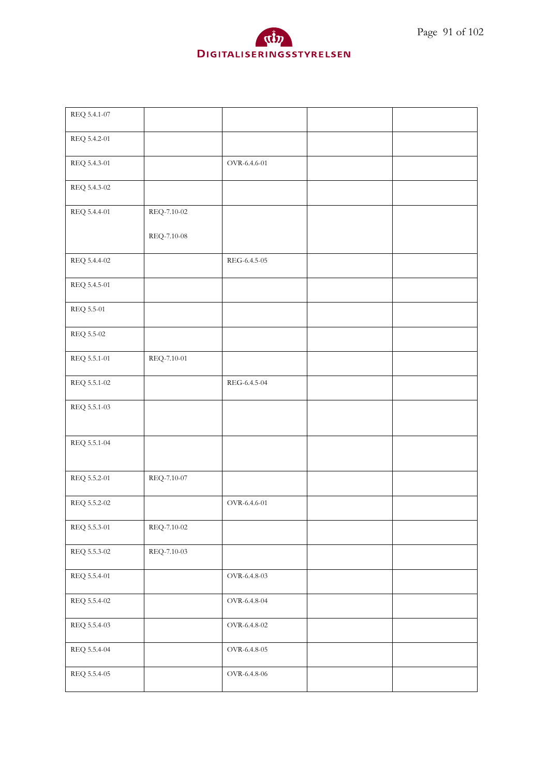

| REQ 5.4.1-07 |             |              |  |
|--------------|-------------|--------------|--|
| REQ 5.4.2-01 |             |              |  |
| REQ 5.4.3-01 |             | OVR-6.4.6-01 |  |
| REQ 5.4.3-02 |             |              |  |
| REQ 5.4.4-01 | REQ-7.10-02 |              |  |
|              | REQ-7.10-08 |              |  |
| REQ 5.4.4-02 |             | REG-6.4.5-05 |  |
| REQ 5.4.5-01 |             |              |  |
| REQ 5.5-01   |             |              |  |
| REQ 5.5-02   |             |              |  |
| REQ 5.5.1-01 | REQ-7.10-01 |              |  |
| REQ 5.5.1-02 |             | REG-6.4.5-04 |  |
| REQ 5.5.1-03 |             |              |  |
| REQ 5.5.1-04 |             |              |  |
| REQ 5.5.2-01 | REQ-7.10-07 |              |  |
| REQ 5.5.2-02 |             | OVR-6.4.6-01 |  |
| REQ 5.5.3-01 | REQ-7.10-02 |              |  |
| REQ 5.5.3-02 | REQ-7.10-03 |              |  |
| REQ 5.5.4-01 |             | OVR-6.4.8-03 |  |
| REQ 5.5.4-02 |             | OVR-6.4.8-04 |  |
| REQ 5.5.4-03 |             | OVR-6.4.8-02 |  |
| REQ 5.5.4-04 |             | OVR-6.4.8-05 |  |
| REQ 5.5.4-05 |             | OVR-6.4.8-06 |  |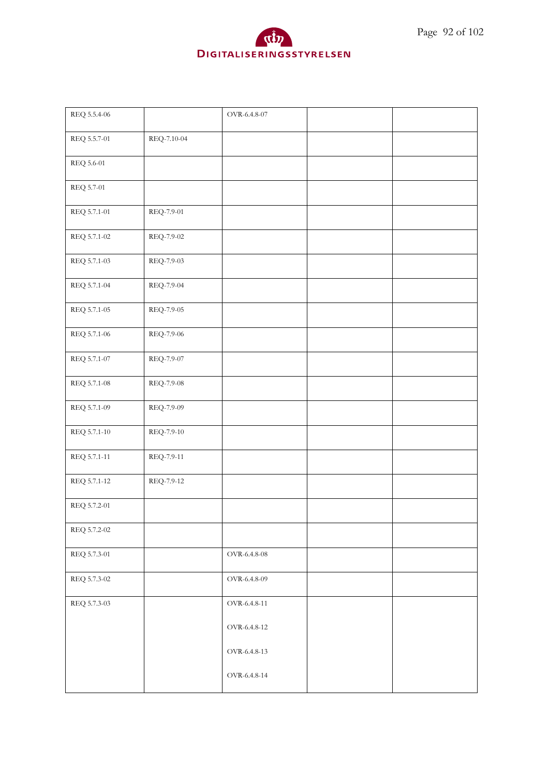

| REQ 5.5.4-06 |             | $OVR-6.4.8-07$                   |  |
|--------------|-------------|----------------------------------|--|
| REQ 5.5.7-01 | REQ-7.10-04 |                                  |  |
| REQ 5.6-01   |             |                                  |  |
| REQ 5.7-01   |             |                                  |  |
| REQ 5.7.1-01 | REQ-7.9-01  |                                  |  |
| REQ 5.7.1-02 | REQ-7.9-02  |                                  |  |
| REQ 5.7.1-03 | REQ-7.9-03  |                                  |  |
| REQ 5.7.1-04 | REQ-7.9-04  |                                  |  |
| REQ 5.7.1-05 | REQ-7.9-05  |                                  |  |
| REQ 5.7.1-06 | REQ-7.9-06  |                                  |  |
| REQ 5.7.1-07 | REQ-7.9-07  |                                  |  |
| REQ 5.7.1-08 | REQ-7.9-08  |                                  |  |
| REQ 5.7.1-09 | REQ-7.9-09  |                                  |  |
| REQ 5.7.1-10 | REQ-7.9-10  |                                  |  |
| REQ 5.7.1-11 | REQ-7.9-11  |                                  |  |
| REQ 5.7.1-12 | REQ-7.9-12  |                                  |  |
| REQ 5.7.2-01 |             |                                  |  |
| REQ 5.7.2-02 |             |                                  |  |
| REQ 5.7.3-01 |             | $\rm OVR\text{-}6.4.8\text{-}08$ |  |
| REQ 5.7.3-02 |             | OVR-6.4.8-09                     |  |
| REQ 5.7.3-03 |             | OVR-6.4.8-11                     |  |
|              |             | OVR-6.4.8-12                     |  |
|              |             | OVR-6.4.8-13                     |  |
|              |             | OVR-6.4.8-14                     |  |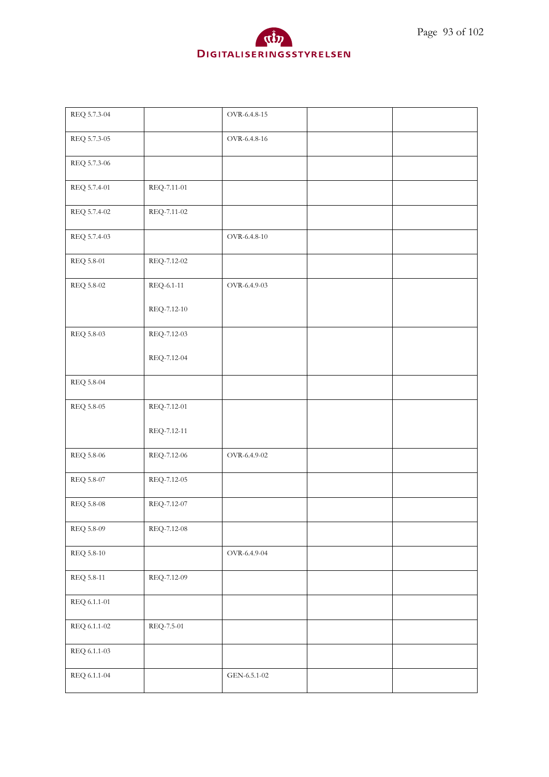

| REQ 5.7.3-04      |             | OVR-6.4.8-15        |  |
|-------------------|-------------|---------------------|--|
| REQ 5.7.3-05      |             | OVR-6.4.8-16        |  |
| REQ 5.7.3-06      |             |                     |  |
| REQ 5.7.4-01      | REQ-7.11-01 |                     |  |
| REQ 5.7.4-02      | REQ-7.11-02 |                     |  |
| REQ 5.7.4-03      |             | $\rm OVR$ -6.4.8-10 |  |
| REQ 5.8-01        | REQ-7.12-02 |                     |  |
| REQ 5.8-02        | REQ-6.1-11  | OVR-6.4.9-03        |  |
|                   | REQ-7.12-10 |                     |  |
| REQ 5.8-03        | REQ-7.12-03 |                     |  |
|                   | REQ-7.12-04 |                     |  |
| REQ 5.8-04        |             |                     |  |
| REQ 5.8-05        | REQ-7.12-01 |                     |  |
|                   | REQ-7.12-11 |                     |  |
| REQ 5.8-06        | REQ-7.12-06 | OVR-6.4.9-02        |  |
| REQ 5.8-07        | REQ-7.12-05 |                     |  |
| $\rm{REQ}$ 5.8-08 | REQ-7.12-07 |                     |  |
| REQ 5.8-09        | REQ-7.12-08 |                     |  |
| REQ 5.8-10        |             | OVR-6.4.9-04        |  |
| REQ 5.8-11        | REQ-7.12-09 |                     |  |
| REQ 6.1.1-01      |             |                     |  |
| REQ 6.1.1-02      | REQ-7.5-01  |                     |  |
| REQ 6.1.1-03      |             |                     |  |
| REQ 6.1.1-04      |             | GEN-6.5.1-02        |  |
|                   |             |                     |  |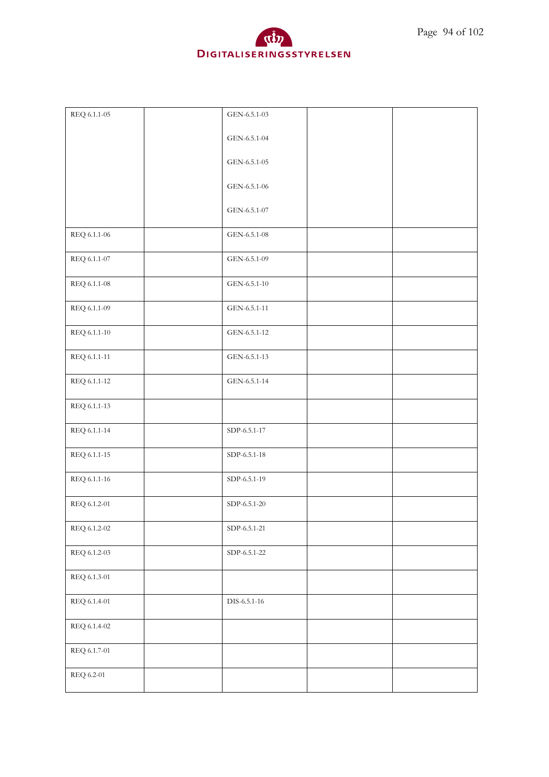

| REQ 6.1.1-05 | GEN-6.5.1-03                       |  |
|--------------|------------------------------------|--|
|              | GEN-6.5.1-04                       |  |
|              | GEN-6.5.1-05                       |  |
|              | GEN-6.5.1-06                       |  |
|              | GEN-6.5.1-07                       |  |
| REQ 6.1.1-06 | GEN-6.5.1-08                       |  |
| REQ 6.1.1-07 | GEN-6.5.1-09                       |  |
| REQ 6.1.1-08 | GEN-6.5.1-10                       |  |
| REQ 6.1.1-09 | GEN-6.5.1-11                       |  |
| REQ 6.1.1-10 | GEN-6.5.1-12                       |  |
| REQ 6.1.1-11 | GEN-6.5.1-13                       |  |
| REQ 6.1.1-12 | GEN-6.5.1-14                       |  |
| REQ 6.1.1-13 |                                    |  |
| REQ 6.1.1-14 | SDP-6.5.1-17                       |  |
| REQ 6.1.1-15 | SDP-6.5.1-18                       |  |
| REQ 6.1.1-16 | SDP-6.5.1-19                       |  |
| REQ 6.1.2-01 | SDP-6.5.1-20                       |  |
| REQ 6.1.2-02 | $SDP-6.5.1-21$                     |  |
| REQ 6.1.2-03 | ${\rm SDP}\mbox{-}6.5.1\mbox{-}22$ |  |
| REQ 6.1.3-01 |                                    |  |
| REQ 6.1.4-01 | DIS-6.5.1-16                       |  |
| REQ 6.1.4-02 |                                    |  |
| REQ 6.1.7-01 |                                    |  |
| REQ 6.2-01   |                                    |  |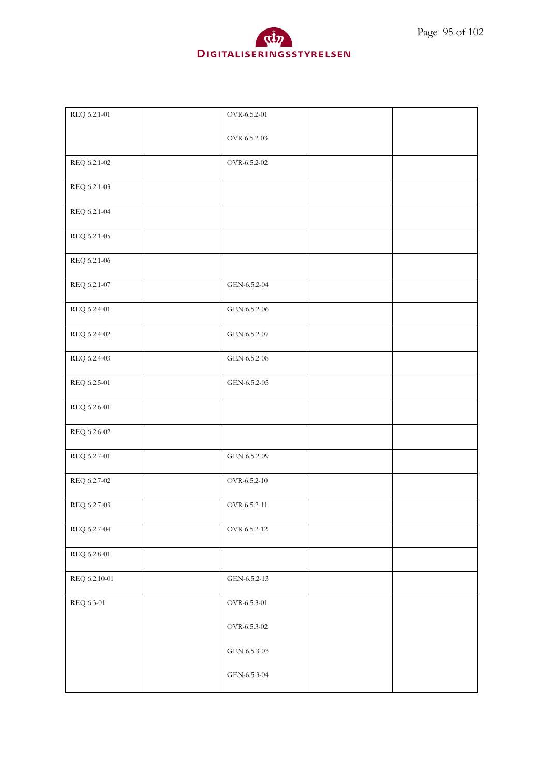

| REQ 6.2.1-01  | OVR-6.5.2-01 |  |
|---------------|--------------|--|
|               | OVR-6.5.2-03 |  |
| REQ 6.2.1-02  | OVR-6.5.2-02 |  |
| REQ 6.2.1-03  |              |  |
| REQ 6.2.1-04  |              |  |
| REQ 6.2.1-05  |              |  |
| REQ 6.2.1-06  |              |  |
| REQ 6.2.1-07  | GEN-6.5.2-04 |  |
| REQ 6.2.4-01  | GEN-6.5.2-06 |  |
| REQ 6.2.4-02  | GEN-6.5.2-07 |  |
| REQ 6.2.4-03  | GEN-6.5.2-08 |  |
| REQ 6.2.5-01  | GEN-6.5.2-05 |  |
| REQ 6.2.6-01  |              |  |
| REQ 6.2.6-02  |              |  |
| REQ 6.2.7-01  | GEN-6.5.2-09 |  |
| REQ 6.2.7-02  | OVR-6.5.2-10 |  |
| REQ 6.2.7-03  | OVR-6.5.2-11 |  |
| REQ 6.2.7-04  | OVR-6.5.2-12 |  |
| REQ 6.2.8-01  |              |  |
| REQ 6.2.10-01 | GEN-6.5.2-13 |  |
| REQ 6.3-01    | OVR-6.5.3-01 |  |
|               | OVR-6.5.3-02 |  |
|               | GEN-6.5.3-03 |  |
|               | GEN-6.5.3-04 |  |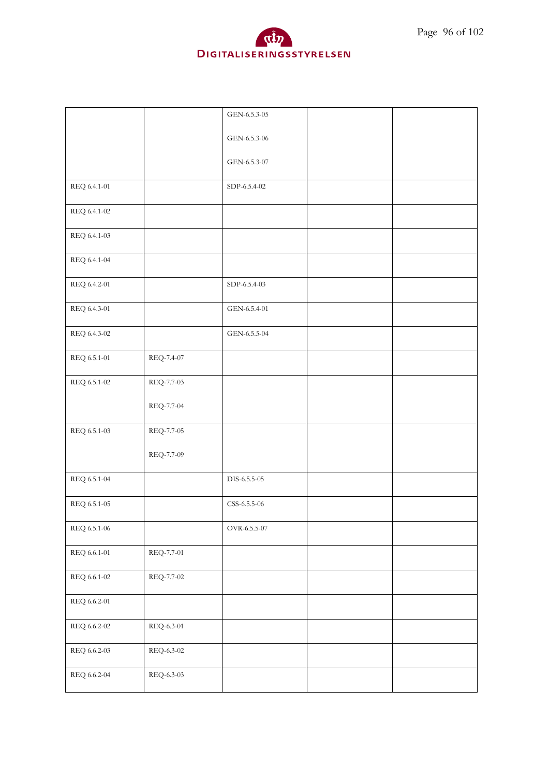

| Page 96 of 102 |  |  |  |
|----------------|--|--|--|
|----------------|--|--|--|

|                     |            | GEN-6.5.3-05 |  |
|---------------------|------------|--------------|--|
|                     |            | GEN-6.5.3-06 |  |
|                     |            | GEN-6.5.3-07 |  |
| REQ 6.4.1-01        |            | SDP-6.5.4-02 |  |
| REQ 6.4.1-02        |            |              |  |
| REQ 6.4.1-03        |            |              |  |
| REQ 6.4.1-04        |            |              |  |
| REQ 6.4.2-01        |            | SDP-6.5.4-03 |  |
| REQ 6.4.3-01        |            | GEN-6.5.4-01 |  |
| REQ 6.4.3-02        |            | GEN-6.5.5-04 |  |
| REQ 6.5.1-01        | REQ-7.4-07 |              |  |
| REQ 6.5.1-02        | REQ-7.7-03 |              |  |
|                     | REQ-7.7-04 |              |  |
| REQ 6.5.1-03        | REQ-7.7-05 |              |  |
|                     | REQ-7.7-09 |              |  |
| REQ 6.5.1-04        |            | DIS-6.5.5-05 |  |
| REQ 6.5.1-05        |            | CSS-6.5.5-06 |  |
| REQ 6.5.1-06        |            | OVR-6.5.5-07 |  |
| $\rm{REQ}$ 6.6.1-01 | REQ-7.7-01 |              |  |
| REQ 6.6.1-02        | REQ-7.7-02 |              |  |
| REQ 6.6.2-01        |            |              |  |
| REQ 6.6.2-02        | REQ-6.3-01 |              |  |
| REQ 6.6.2-03        | REQ-6.3-02 |              |  |
| REQ 6.6.2-04        | REQ-6.3-03 |              |  |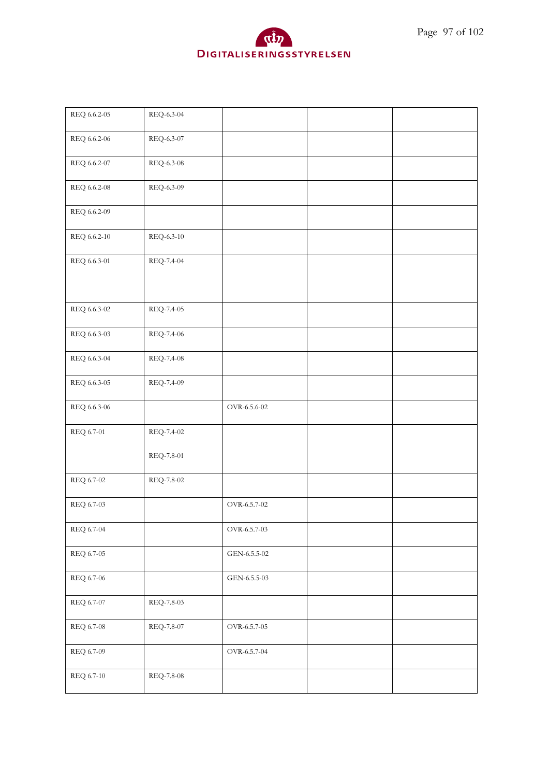

| REQ 6.6.2-05 | REQ-6.3-04 |              |  |
|--------------|------------|--------------|--|
| REQ 6.6.2-06 | REQ-6.3-07 |              |  |
| REQ 6.6.2-07 | REQ-6.3-08 |              |  |
| REQ 6.6.2-08 | REQ-6.3-09 |              |  |
| REQ 6.6.2-09 |            |              |  |
| REQ 6.6.2-10 | REQ-6.3-10 |              |  |
| REQ 6.6.3-01 | REQ-7.4-04 |              |  |
|              |            |              |  |
| REQ 6.6.3-02 | REQ-7.4-05 |              |  |
| REQ 6.6.3-03 | REQ-7.4-06 |              |  |
| REQ 6.6.3-04 | REQ-7.4-08 |              |  |
| REQ 6.6.3-05 | REQ-7.4-09 |              |  |
| REQ 6.6.3-06 |            | OVR-6.5.6-02 |  |
| REQ 6.7-01   | REQ-7.4-02 |              |  |
|              | REQ-7.8-01 |              |  |
| REQ 6.7-02   | REQ-7.8-02 |              |  |
| REQ 6.7-03   |            | OVR-6.5.7-02 |  |
| REQ 6.7-04   |            | OVR-6.5.7-03 |  |
| REQ 6.7-05   |            | GEN-6.5.5-02 |  |
| REQ 6.7-06   |            | GEN-6.5.5-03 |  |
| REQ 6.7-07   | REQ-7.8-03 |              |  |
| REQ 6.7-08   | REQ-7.8-07 | OVR-6.5.7-05 |  |
| REQ 6.7-09   |            | OVR-6.5.7-04 |  |
| REQ 6.7-10   | REQ-7.8-08 |              |  |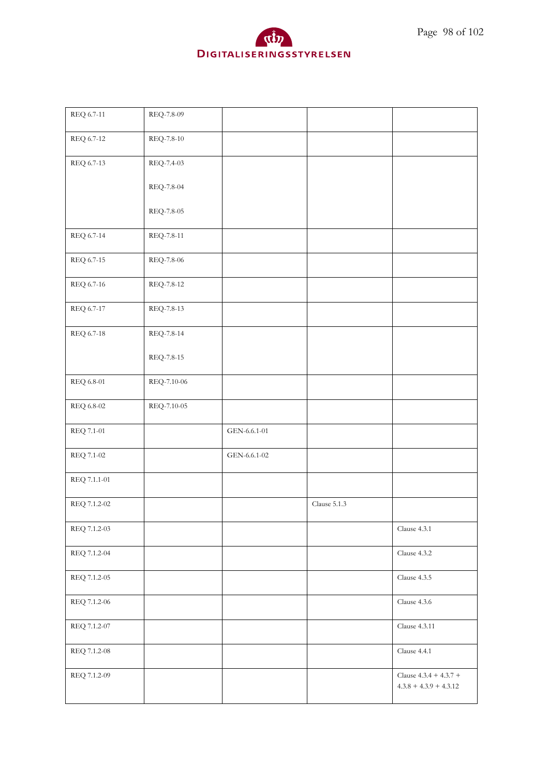

| REQ 6.7-11   | REQ-7.8-09  |              |                  |                                                      |
|--------------|-------------|--------------|------------------|------------------------------------------------------|
| REQ 6.7-12   | REQ-7.8-10  |              |                  |                                                      |
| REQ 6.7-13   | REQ-7.4-03  |              |                  |                                                      |
|              | REQ-7.8-04  |              |                  |                                                      |
|              | REQ-7.8-05  |              |                  |                                                      |
| REQ 6.7-14   | REQ-7.8-11  |              |                  |                                                      |
| REQ 6.7-15   | REQ-7.8-06  |              |                  |                                                      |
| REQ 6.7-16   | REQ-7.8-12  |              |                  |                                                      |
| REQ 6.7-17   | REQ-7.8-13  |              |                  |                                                      |
| REQ 6.7-18   | REQ-7.8-14  |              |                  |                                                      |
|              | REQ-7.8-15  |              |                  |                                                      |
| REQ 6.8-01   | REQ-7.10-06 |              |                  |                                                      |
| REQ 6.8-02   | REQ-7.10-05 |              |                  |                                                      |
| REQ 7.1-01   |             | GEN-6.6.1-01 |                  |                                                      |
| REQ 7.1-02   |             | GEN-6.6.1-02 |                  |                                                      |
| REQ 7.1.1-01 |             |              |                  |                                                      |
| REQ 7.1.2-02 |             |              | Clause $5.1.3\,$ |                                                      |
| REQ 7.1.2-03 |             |              |                  | Clause 4.3.1                                         |
| REQ 7.1.2-04 |             |              |                  | Clause 4.3.2                                         |
| REQ 7.1.2-05 |             |              |                  | Clause 4.3.5                                         |
| REQ 7.1.2-06 |             |              |                  | Clause 4.3.6                                         |
| REQ 7.1.2-07 |             |              |                  | <b>Clause 4.3.11</b>                                 |
| REQ 7.1.2-08 |             |              |                  | Clause 4.4.1                                         |
| REQ 7.1.2-09 |             |              |                  | Clause $4.3.4 + 4.3.7 +$<br>$4.3.8 + 4.3.9 + 4.3.12$ |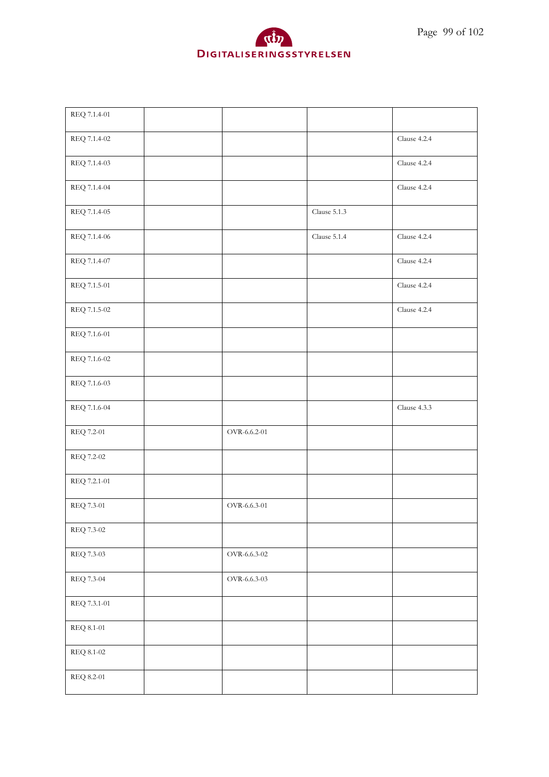



| REQ 7.1.4-01     |              |                  |              |
|------------------|--------------|------------------|--------------|
| REQ 7.1.4-02     |              |                  | Clause 4.2.4 |
| REQ 7.1.4-03     |              |                  | Clause 4.2.4 |
| REQ 7.1.4-04     |              |                  | Clause 4.2.4 |
| REQ 7.1.4-05     |              | Clause $5.1.3\,$ |              |
| REQ 7.1.4-06     |              | Clause $5.1.4$   | Clause 4.2.4 |
| REQ 7.1.4-07     |              |                  | Clause 4.2.4 |
| REQ 7.1.5-01     |              |                  | Clause 4.2.4 |
| REQ 7.1.5-02     |              |                  | Clause 4.2.4 |
| REQ 7.1.6-01     |              |                  |              |
| REQ 7.1.6-02     |              |                  |              |
| REQ 7.1.6-03     |              |                  |              |
| REQ 7.1.6-04     |              |                  | Clause 4.3.3 |
| REQ 7.2-01       | OVR-6.6.2-01 |                  |              |
| $\rm REQ$ 7.2-02 |              |                  |              |
| REQ 7.2.1-01     |              |                  |              |
| REQ 7.3-01       | OVR-6.6.3-01 |                  |              |
| REQ 7.3-02       |              |                  |              |
| REQ 7.3-03       | OVR-6.6.3-02 |                  |              |
| REQ 7.3-04       | OVR-6.6.3-03 |                  |              |
| REQ 7.3.1-01     |              |                  |              |
| REQ 8.1-01       |              |                  |              |
| REQ 8.1-02       |              |                  |              |
| REQ 8.2-01       |              |                  |              |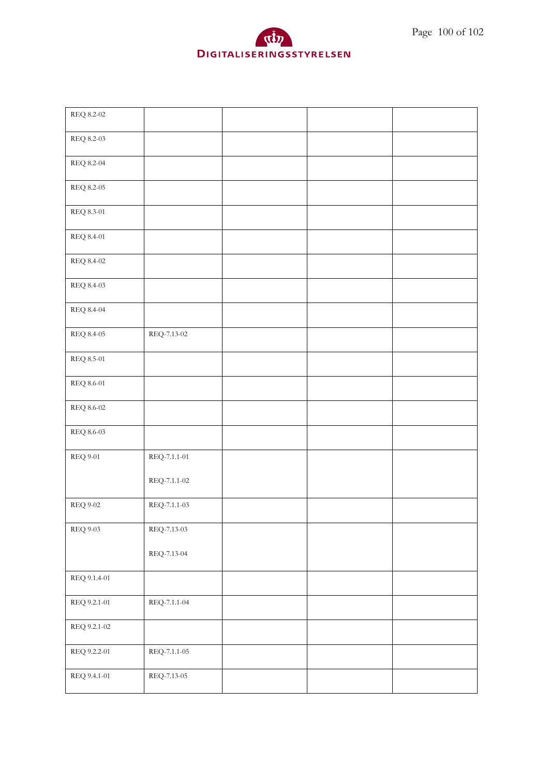| REQ 8.2-02        |                    |  |  |
|-------------------|--------------------|--|--|
| REQ 8.2-03        |                    |  |  |
| <b>REQ 8.2-04</b> |                    |  |  |
| REQ 8.2-05        |                    |  |  |
| REQ 8.3-01        |                    |  |  |
| REQ 8.4-01        |                    |  |  |
| REQ 8.4-02        |                    |  |  |
| REQ 8.4-03        |                    |  |  |
| REQ 8.4-04        |                    |  |  |
| $\rm{REQ}$ 8.4-05 | REQ-7.13-02        |  |  |
| REQ 8.5-01        |                    |  |  |
| REQ 8.6-01        |                    |  |  |
| REQ 8.6-02        |                    |  |  |
| REQ 8.6-03        |                    |  |  |
| $\rm{REQ}$ 9-01   | $REQ-7.1.1-01$     |  |  |
|                   | $REQ-7.1.1-02$     |  |  |
| <b>REQ 9-02</b>   | REQ-7.1.1-03       |  |  |
| <b>REQ 9-03</b>   | $\rm REQ$ -7.13-03 |  |  |
|                   | $REQ-7.13-04$      |  |  |
| REQ 9.1.4-01      |                    |  |  |
| REQ 9.2.1-01      | REQ-7.1.1-04       |  |  |
| REQ 9.2.1-02      |                    |  |  |
| REQ 9.2.2-01      | $REQ-7.1.1-05$     |  |  |
| REQ 9.4.1-01      | REQ-7.13-05        |  |  |

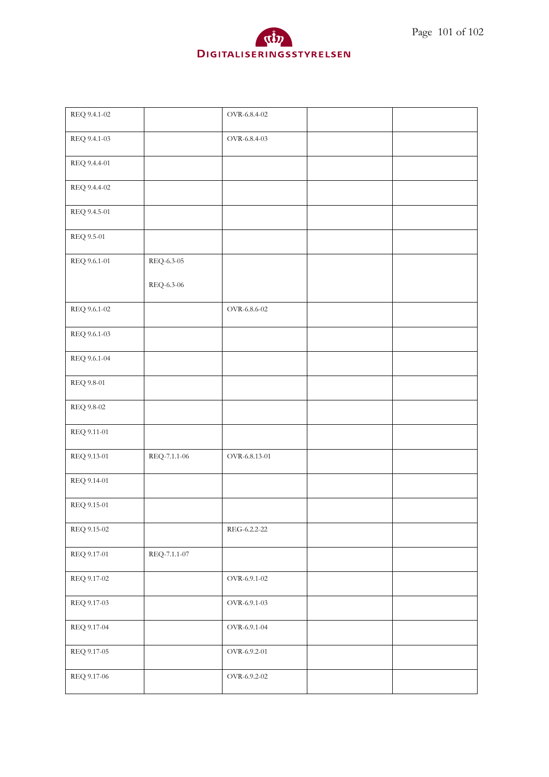

| REQ 9.4.1-03<br>OVR-6.8.4-03<br>REQ 9.4.4-01<br>REQ 9.4.4-02<br>REQ 9.4.5-01<br>REQ 9.5-01 |  |
|--------------------------------------------------------------------------------------------|--|
|                                                                                            |  |
|                                                                                            |  |
|                                                                                            |  |
|                                                                                            |  |
|                                                                                            |  |
| REQ 9.6.1-01<br>REQ-6.3-05                                                                 |  |
| REQ-6.3-06                                                                                 |  |
| REQ 9.6.1-02<br>OVR-6.8.6-02                                                               |  |
| REQ 9.6.1-03                                                                               |  |
| REQ 9.6.1-04                                                                               |  |
| REQ 9.8-01                                                                                 |  |
| REQ 9.8-02                                                                                 |  |
| REQ 9.11-01                                                                                |  |
| REQ 9.13-01<br>REQ-7.1.1-06<br>OVR-6.8.13-01                                               |  |
| REQ 9.14-01                                                                                |  |
| REQ 9.15-01                                                                                |  |
| REQ 9.15-02<br>REG-6.2.2-22                                                                |  |
| REQ-7.1.1-07<br>REQ 9.17-01                                                                |  |
| OVR-6.9.1-02<br>REQ 9.17-02                                                                |  |
| REQ 9.17-03<br>OVR-6.9.1-03                                                                |  |
| REQ 9.17-04<br>OVR-6.9.1-04                                                                |  |
| REQ 9.17-05<br>OVR-6.9.2-01                                                                |  |
| REQ 9.17-06<br>OVR-6.9.2-02                                                                |  |